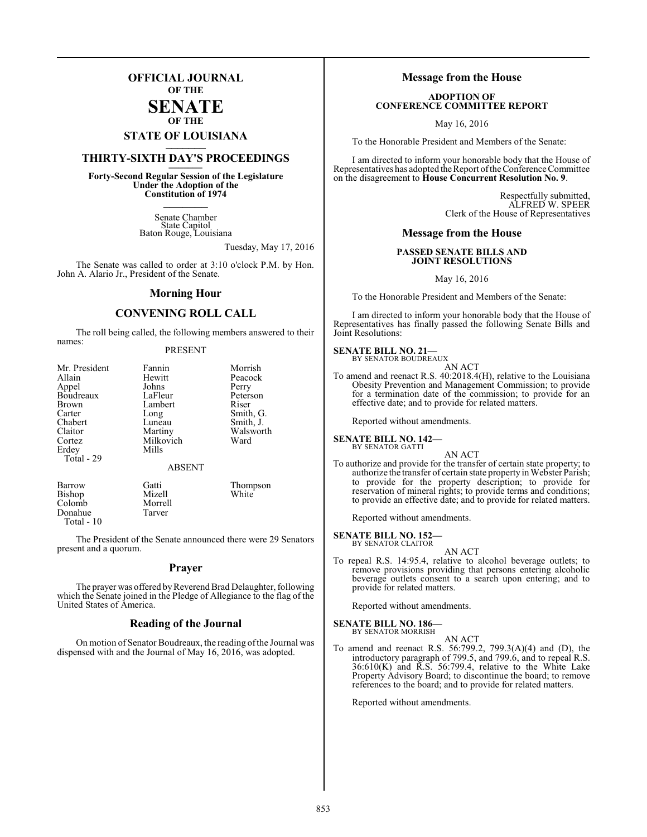## **OFFICIAL JOURNAL OF THE**

#### **SENATE OF THE**

# **STATE OF LOUISIANA \_\_\_\_\_\_\_**

## **THIRTY-SIXTH DAY'S PROCEEDINGS \_\_\_\_\_\_\_**

**Forty-Second Regular Session of the Legislature Under the Adoption of the Constitution of 1974 \_\_\_\_\_\_\_**

> Senate Chamber State Capitol Baton Rouge, Louisiana

> > Tuesday, May 17, 2016

The Senate was called to order at 3:10 o'clock P.M. by Hon. John A. Alario Jr., President of the Senate.

#### **Morning Hour**

### **CONVENING ROLL CALL**

The roll being called, the following members answered to their names:

#### PRESENT

| Mr. President | Fannin        | Morrish   |
|---------------|---------------|-----------|
| Allain        | Hewitt        | Peacock   |
| Appel         | Johns         | Perry     |
| Boudreaux     | LaFleur       | Peterson  |
| Brown         | Lambert       | Riser     |
| Carter        | Long          | Smith, G. |
| Chabert       | Luneau        | Smith, J. |
| Claitor       | Martiny       | Walsworth |
| Cortez        | Milkovich     | Ward      |
| Erdey         | Mills         |           |
| Total - 29    |               |           |
|               | <b>ABSENT</b> |           |
|               |               |           |

Barrow Gatti Thompson<br>
Bishop Mizell White<br>
White Bishop Mizell<br>Colomb Morrell Colomb Morrel<br>Donahue Tarver Donahue Total - 10

The President of the Senate announced there were 29 Senators present and a quorum.

#### **Prayer**

The prayer was offered by Reverend Brad Delaughter, following which the Senate joined in the Pledge of Allegiance to the flag of the United States of America.

#### **Reading of the Journal**

On motion of Senator Boudreaux, the reading ofthe Journal was dispensed with and the Journal of May 16, 2016, was adopted.

#### **Message from the House**

#### **ADOPTION OF CONFERENCE COMMITTEE REPORT**

May 16, 2016

To the Honorable President and Members of the Senate:

I am directed to inform your honorable body that the House of Representatives has adopted the Report of the Conference Committee on the disagreement to **House Concurrent Resolution No. 9**.

> Respectfully submitted, ALFRED W. SPEER Clerk of the House of Representatives

#### **Message from the House**

#### **PASSED SENATE BILLS AND JOINT RESOLUTIONS**

May 16, 2016

To the Honorable President and Members of the Senate:

I am directed to inform your honorable body that the House of Representatives has finally passed the following Senate Bills and Joint Resolutions:

## **SENATE BILL NO. 21—** BY SENATOR BOUDREAUX

AN ACT

To amend and reenact R.S. 40:2018.4(H), relative to the Louisiana Obesity Prevention and Management Commission; to provide for a termination date of the commission; to provide for an effective date; and to provide for related matters.

Reported without amendments.

#### **SENATE BILL NO. 142—** BY SENATOR GATTI

AN ACT

To authorize and provide for the transfer of certain state property; to authorize the transfer of certain state property in Webster Parish; to provide for the property description; to provide for reservation of mineral rights; to provide terms and conditions; to provide an effective date; and to provide for related matters.

Reported without amendments.

#### **SENATE BILL NO. 152—**

BY SENATOR CLAITOR

AN ACT To repeal R.S. 14:95.4, relative to alcohol beverage outlets; to remove provisions providing that persons entering alcoholic beverage outlets consent to a search upon entering; and to provide for related matters.

Reported without amendments.

#### **SENATE BILL NO. 186—** BY SENATOR MORRISH

AN ACT

To amend and reenact R.S. 56:799.2, 799.3(A)(4) and (D), the introductory paragraph of 799.5, and 799.6, and to repeal R.S.  $36:610(K)$  and  $\overline{R}$ .  $\overline{S}$ . 56:799.4, relative to the White Lake Property Advisory Board; to discontinue the board; to remove references to the board; and to provide for related matters.

Reported without amendments.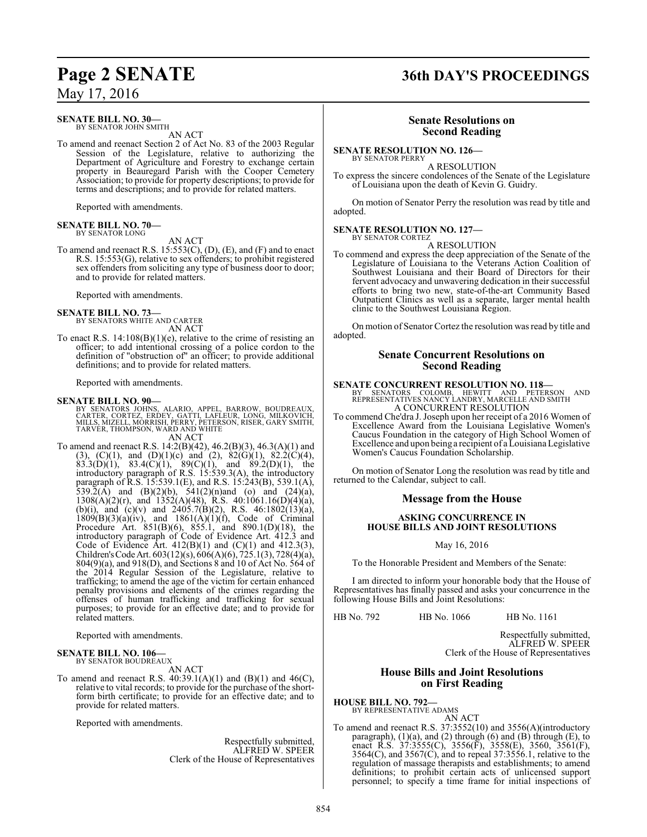### **SENATE BILL NO. 30—**

BY SENATOR JOHN SMITH AN ACT

To amend and reenact Section 2 of Act No. 83 of the 2003 Regular Session of the Legislature, relative to authorizing the Department of Agriculture and Forestry to exchange certain property in Beauregard Parish with the Cooper Cemetery Association; to provide for property descriptions; to provide for terms and descriptions; and to provide for related matters.

Reported with amendments.

#### **SENATE BILL NO. 70—** BY SENATOR LONG

AN ACT

To amend and reenact R.S.  $15:553(C)$ , (D), (E), and (F) and to enact R.S. 15:553(G), relative to sex offenders; to prohibit registered sex offenders from soliciting any type of business door to door; and to provide for related matters.

Reported with amendments.

#### **SENATE BILL NO. 73—**

BY SENATORS WHITE AND CARTER AN ACT

To enact R.S.  $14:108(B)(1)(e)$ , relative to the crime of resisting an officer; to add intentional crossing of a police cordon to the definition of "obstruction of" an officer; to provide additional definitions; and to provide for related matters.

Reported with amendments.

#### **SENATE BILL NO. 90—**

BY SENATORS JOHNS, ALARIO, APPEL, BARROW, BOUDREAUX.<br>CARTER, CORTEZ, ERDEY, GATTI, LAFLEUR, LONG, MILKOVICH,<br>MILLS, MIZELL, MORRISH, PERRY, PETERSON, RISER, GARY SMITH, TARVER, THOMPSON, WARD AND WHITE AN ACT

To amend and reenact R.S. 14:2(B)(42), 46.2(B)(3), 46.3(A)(1) and (3), (C)(1), and (D)(1)(c) and (2),  $82(G)(1)$ ,  $82.2(C)(4)$ ,  $83.3(D)(1)$ ,  $83.4(C)(1)$ ,  $89(C)(1)$ , and  $89.2(D)(1)$ , the introductory paragraph of R.S. 15:539.3(A), the introductory paragraph of R.S. 15:539.1(E), and R.S. 15:243(B), 539.1(A), 539.2(A) and  $(B)(2)(b)$ , 541(2)(n)and (o) and (24)(a),  $1308(A)(2)(r)$ , and  $1352(A)(48)$ , R.S.  $40:1061.16(D)(4)(a)$ , (b)(i), and (c)(v) and  $2405.7(B)(2)$ , R.S.  $46:1802(13)(a)$ ,  $1809(B)(3)(a)(iv)$ , and  $1861(A)(1)(f)$ , Code of Criminal Procedure Art. 851(B)(6), 855.1, and 890.1(D)(18), the introductory paragraph of Code of Evidence Art. 412.3 and Code of Evidence Art.  $412(B)(1)$  and  $(C)(1)$  and  $412.3(3)$ , Children'sCodeArt. 603(12)(s), 606(A)(6), 725.1(3), 728(4)(a), 804(9)(a), and 918(D), and Sections 8 and 10 of Act No. 564 of the 2014 Regular Session of the Legislature, relative to trafficking; to amend the age of the victim for certain enhanced penalty provisions and elements of the crimes regarding the offenses of human trafficking and trafficking for sexual purposes; to provide for an effective date; and to provide for related matters.

Reported with amendments.

#### **SENATE BILL NO. 106—** BY SENATOR BOUDREAUX

AN ACT

To amend and reenact R.S.  $40:39.1(A)(1)$  and  $(B)(1)$  and  $46(C)$ , relative to vital records; to provide for the purchase of the shortform birth certificate; to provide for an effective date; and to provide for related matters.

Reported with amendments.

Respectfully submitted, ALFRED W. SPEER Clerk of the House of Representatives

# **Page 2 SENATE 36th DAY'S PROCEEDINGS**

#### **Senate Resolutions on Second Reading**

**SENATE RESOLUTION NO. 126—** BY SENATOR PERRY

A RESOLUTION

To express the sincere condolences of the Senate of the Legislature of Louisiana upon the death of Kevin G. Guidry.

On motion of Senator Perry the resolution was read by title and adopted.

## **SENATE RESOLUTION NO. 127—** BY SENATOR CORTEZ

A RESOLUTION

To commend and express the deep appreciation of the Senate of the Legislature of Louisiana to the Veterans Action Coalition of Southwest Louisiana and their Board of Directors for their fervent advocacy and unwavering dedication in their successful efforts to bring two new, state-of-the-art Community Based Outpatient Clinics as well as a separate, larger mental health clinic to the Southwest Louisiana Region.

On motion of Senator Cortez the resolution was read by title and adopted.

#### **Senate Concurrent Resolutions on Second Reading**

**SENATE CONCURRENT RESOLUTION NO. 118—**<br>BY SENATORS COLOMB, HEWITT AND PETERSON AND<br>REPRESENTATIVES NANCY LANDRY, MARCELLE AND SMITH A CONCURRENT RESOLUTION

To commend Che'dra J. Joseph upon her receipt of a 2016 Women of Excellence Award from the Louisiana Legislative Women's Caucus Foundation in the category of High School Women of Excellence and upon being a recipient of a Louisiana Legislative Women's Caucus Foundation Scholarship.

On motion of Senator Long the resolution was read by title and returned to the Calendar, subject to call.

#### **Message from the House**

#### **ASKING CONCURRENCE IN HOUSE BILLS AND JOINT RESOLUTIONS**

May 16, 2016

To the Honorable President and Members of the Senate:

I am directed to inform your honorable body that the House of Representatives has finally passed and asks your concurrence in the following House Bills and Joint Resolutions:

HB No. 792 HB No. 1066 HB No. 1161

Respectfully submitted, ALFRED W. SPEER Clerk of the House of Representatives

#### **House Bills and Joint Resolutions on First Reading**

**HOUSE BILL NO. 792—** BY REPRESENTATIVE ADAMS

AN ACT

To amend and reenact R.S. 37:3552(10) and 3556(A)(introductory paragraph), (1)(a), and (2) through (6) and (B) through (E), to enact R.S. 37:3555(C), 3556(F), 3558(E), 3560, 3561(F), 3564(C), and 3567(C), and to repeal 37:3556.1, relative to the regulation of massage therapists and establishments; to amend definitions; to prohibit certain acts of unlicensed support personnel; to specify a time frame for initial inspections of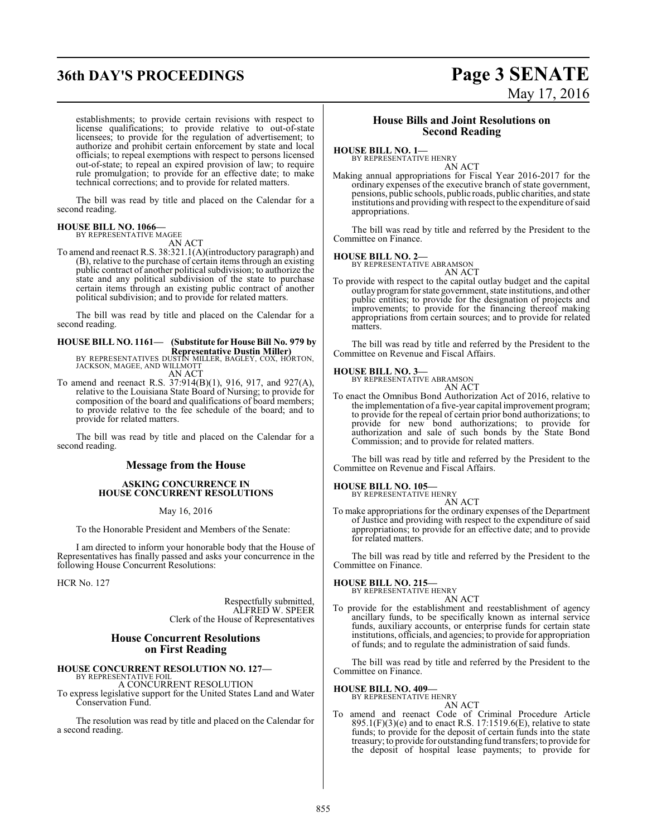# **36th DAY'S PROCEEDINGS Page 3 SENATE**

# May 17, 2016

establishments; to provide certain revisions with respect to license qualifications; to provide relative to out-of-state licensees; to provide for the regulation of advertisement; to authorize and prohibit certain enforcement by state and local officials; to repeal exemptions with respect to persons licensed out-of-state; to repeal an expired provision of law; to require rule promulgation; to provide for an effective date; to make technical corrections; and to provide for related matters.

The bill was read by title and placed on the Calendar for a second reading.

#### **HOUSE BILL NO. 1066—**

BY REPRESENTATIVE MAGEE

AN ACT

To amend and reenact R.S. 38:321.1(A)(introductory paragraph) and (B), relative to the purchase of certain items through an existing public contract of another political subdivision; to authorize the state and any political subdivision of the state to purchase certain items through an existing public contract of another political subdivision; and to provide for related matters.

The bill was read by title and placed on the Calendar for a second reading.

# **HOUSE BILL NO. 1161— (Substitute for House Bill No. 979 by**

**Representative Dustin Miller)** BY REPRESENTATIVES DUSTIN MILLER, BAGLEY, COX, HORTON, JACKSON, MAGEE, AND WILLMOTT AN ACT

To amend and reenact R.S. 37:914(B)(1), 916, 917, and 927(A), relative to the Louisiana State Board of Nursing; to provide for composition of the board and qualifications of board members; to provide relative to the fee schedule of the board; and to provide for related matters.

The bill was read by title and placed on the Calendar for a second reading.

#### **Message from the House**

#### **ASKING CONCURRENCE IN HOUSE CONCURRENT RESOLUTIONS**

May 16, 2016

To the Honorable President and Members of the Senate:

I am directed to inform your honorable body that the House of Representatives has finally passed and asks your concurrence in the following House Concurrent Resolutions:

HCR No. 127

Respectfully submitted, ALFRED W. SPEER Clerk of the House of Representatives

#### **House Concurrent Resolutions on First Reading**

#### **HOUSE CONCURRENT RESOLUTION NO. 127—** BY REPRESENTATIVE FOIL

A CONCURRENT RESOLUTION

To express legislative support for the United States Land and Water Conservation Fund.

The resolution was read by title and placed on the Calendar for a second reading.

#### **House Bills and Joint Resolutions on Second Reading**

#### **HOUSE BILL NO. 1—**

BY REPRESENTATIVE HENRY AN ACT

Making annual appropriations for Fiscal Year 2016-2017 for the ordinary expenses of the executive branch of state government, pensions, public schools, public roads, public charities, and state institutions and providing with respect to the expenditure ofsaid appropriations.

The bill was read by title and referred by the President to the Committee on Finance.

#### **HOUSE BILL NO. 2—**

BY REPRESENTATIVE ABRAMSON AN ACT

To provide with respect to the capital outlay budget and the capital outlay programfor state government, state institutions, and other public entities; to provide for the designation of projects and improvements; to provide for the financing thereof making appropriations from certain sources; and to provide for related matters.

The bill was read by title and referred by the President to the Committee on Revenue and Fiscal Affairs.

#### **HOUSE BILL NO. 3—**

BY REPRESENTATIVE ABRAMSON AN ACT

To enact the Omnibus Bond Authorization Act of 2016, relative to the implementation of a five-year capital improvement program; to provide for the repeal of certain prior bond authorizations; to provide for new bond authorizations; to provide for authorization and sale of such bonds by the State Bond Commission; and to provide for related matters.

The bill was read by title and referred by the President to the Committee on Revenue and Fiscal Affairs.

# **HOUSE BILL NO. 105—** BY REPRESENTATIVE HENRY

AN ACT

To make appropriations for the ordinary expenses of the Department of Justice and providing with respect to the expenditure of said appropriations; to provide for an effective date; and to provide for related matters.

The bill was read by title and referred by the President to the Committee on Finance.

#### **HOUSE BILL NO. 215—**

BY REPRESENTATIVE HENRY AN ACT

To provide for the establishment and reestablishment of agency ancillary funds, to be specifically known as internal service funds, auxiliary accounts, or enterprise funds for certain state institutions, officials, and agencies; to provide for appropriation of funds; and to regulate the administration of said funds.

The bill was read by title and referred by the President to the Committee on Finance.

#### **HOUSE BILL NO. 409—**

BY REPRESENTATIVE HENRY AN ACT

To amend and reenact Code of Criminal Procedure Article  $895.1(F)(3)(e)$  and to enact R.S. 17:1519.6(E), relative to state funds; to provide for the deposit of certain funds into the state treasury; to provide for outstanding fund transfers; to provide for the deposit of hospital lease payments; to provide for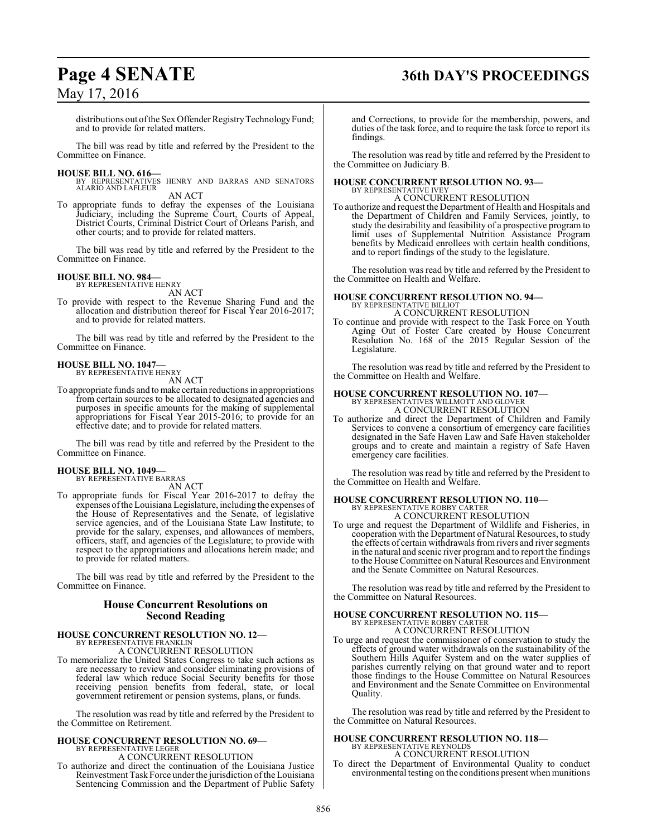# **Page 4 SENATE 36th DAY'S PROCEEDINGS**

distributions out of the Sex Offender Registry Technology Fund; and to provide for related matters.

The bill was read by title and referred by the President to the Committee on Finance.

#### **HOUSE BILL NO. 616—**

BY REPRESENTATIVES HENRY AND BARRAS AND SENATORS ALARIO AND LAFLEUR AN ACT

To appropriate funds to defray the expenses of the Louisiana Judiciary, including the Supreme Court, Courts of Appeal, District Courts, Criminal District Court of Orleans Parish, and other courts; and to provide for related matters.

The bill was read by title and referred by the President to the Committee on Finance.

#### **HOUSE BILL NO. 984—** BY REPRESENTATIVE HENRY

AN ACT

To provide with respect to the Revenue Sharing Fund and the allocation and distribution thereof for Fiscal Year 2016-2017; and to provide for related matters.

The bill was read by title and referred by the President to the Committee on Finance.

#### **HOUSE BILL NO. 1047—** BY REPRESENTATIVE HENRY

AN ACT

To appropriate funds and tomake certain reductions in appropriations from certain sources to be allocated to designated agencies and purposes in specific amounts for the making of supplemental appropriations for Fiscal Year 2015-2016; to provide for an effective date; and to provide for related matters.

The bill was read by title and referred by the President to the Committee on Finance.

#### **HOUSE BILL NO. 1049—**

BY REPRESENTATIVE BARRAS

AN ACT

To appropriate funds for Fiscal Year 2016-2017 to defray the expenses ofthe Louisiana Legislature, including the expenses of the House of Representatives and the Senate, of legislative service agencies, and of the Louisiana State Law Institute; to provide for the salary, expenses, and allowances of members, officers, staff, and agencies of the Legislature; to provide with respect to the appropriations and allocations herein made; and to provide for related matters.

The bill was read by title and referred by the President to the Committee on Finance.

#### **House Concurrent Resolutions on Second Reading**

# **HOUSE CONCURRENT RESOLUTION NO. 12—**<br>BY REPRESENTATIVE FRANKLIN<br>A CONCURRENT RESOLUTION

To memorialize the United States Congress to take such actions as are necessary to review and consider eliminating provisions of federal law which reduce Social Security benefits for those receiving pension benefits from federal, state, or local government retirement or pension systems, plans, or funds.

The resolution was read by title and referred by the President to the Committee on Retirement.

# **HOUSE CONCURRENT RESOLUTION NO. 69—** BY REPRESENTATIVE LEGER A CONCURRENT RESOLUTION

To authorize and direct the continuation of the Louisiana Justice Reinvestment Task Force under the jurisdiction of the Louisiana Sentencing Commission and the Department of Public Safety and Corrections, to provide for the membership, powers, and duties of the task force, and to require the task force to report its findings.

The resolution was read by title and referred by the President to the Committee on Judiciary B.

# **HOUSE CONCURRENT RESOLUTION NO. 93—** BY REPRESENTATIVE IVEY

A CONCURRENT RESOLUTION

To authorize and request the Department of Health and Hospitals and the Department of Children and Family Services, jointly, to study the desirability and feasibility of a prospective program to limit uses of Supplemental Nutrition Assistance Program benefits by Medicaid enrollees with certain health conditions, and to report findings of the study to the legislature.

The resolution was read by title and referred by the President to the Committee on Health and Welfare.

#### **HOUSE CONCURRENT RESOLUTION NO. 94—** BY REPRESENTATIVE BILLIOT

A CONCURRENT RESOLUTION

To continue and provide with respect to the Task Force on Youth Aging Out of Foster Care created by House Concurrent Resolution No. 168 of the 2015 Regular Session of the Legislature.

The resolution was read by title and referred by the President to the Committee on Health and Welfare.

## **HOUSE CONCURRENT RESOLUTION NO. 107—** BY REPRESENTATIVES WILLMOTT AND GLOVER A CONCURRENT RESOLUTION

To authorize and direct the Department of Children and Family Services to convene a consortium of emergency care facilities designated in the Safe Haven Law and Safe Haven stakeholder groups and to create and maintain a registry of Safe Haven emergency care facilities.

The resolution was read by title and referred by the President to the Committee on Health and Welfare.

# **HOUSE CONCURRENT RESOLUTION NO. 110—** BY REPRESENTATIVE ROBBY CARTER A CONCURRENT RESOLUTION

To urge and request the Department of Wildlife and Fisheries, in cooperation with the Department of Natural Resources, to study the effects of certain withdrawals from rivers and river segments in the natural and scenic river programand to report the findings to the House Committee on Natural Resources and Environment and the Senate Committee on Natural Resources.

The resolution was read by title and referred by the President to the Committee on Natural Resources.

### **HOUSE CONCURRENT RESOLUTION NO. 115—** BY REPRESENTATIVE ROBBY CARTER A CONCURRENT RESOLUTION

To urge and request the commissioner of conservation to study the effects of ground water withdrawals on the sustainability of the Southern Hills Aquifer System and on the water supplies of parishes currently relying on that ground water and to report those findings to the House Committee on Natural Resources and Environment and the Senate Committee on Environmental Quality.

The resolution was read by title and referred by the President to the Committee on Natural Resources.

## **HOUSE CONCURRENT RESOLUTION NO. 118—** BY REPRESENTATIVE REYNOLDS A CONCURRENT RESOLUTION

To direct the Department of Environmental Quality to conduct environmental testing on the conditions present when munitions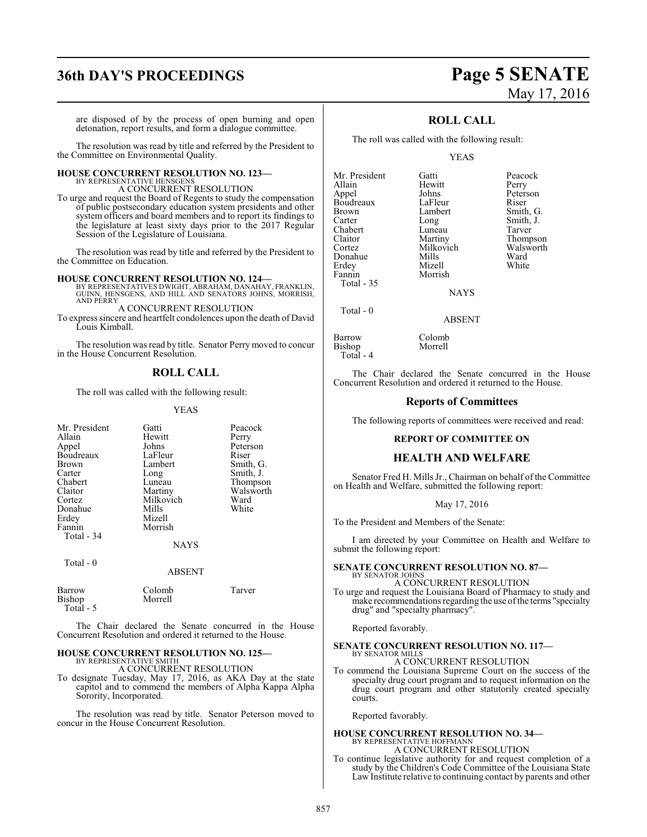# **36th DAY'S PROCEEDINGS Page 5 SENATE**

# May 17, 2016

are disposed of by the process of open burning and open detonation, report results, and form a dialogue committee.

The resolution was read by title and referred by the President to the Committee on Environmental Quality.

#### **HOUSE CONCURRENT RESOLUTION NO. 123—** BY REPRESENTATIVE HENSGENS

A CONCURRENT RESOLUTION

To urge and request the Board of Regents to study the compensation of public postsecondary education system presidents and other system officers and board members and to report its findings to the legislature at least sixty days prior to the 2017 Regular Session of the Legislature of Louisiana.

The resolution was read by title and referred by the President to the Committee on Education.

#### **HOUSE CONCURRENT RESOLUTION NO. 124—**

BY REPRESENTATIVES DWIGHT, ABRAHAM, DANAHAY, FRANKLIN, GUINN, HENSGENS, AND HILL AND SENATORS JOHNS, MORRISH, AND PERRY

A CONCURRENT RESOLUTION To express sincere and heartfelt condolences upon the death of David Louis Kimball.

The resolution was read by title. Senator Perry moved to concur in the House Concurrent Resolution.

### **ROLL CALL**

The roll was called with the following result:

#### YEAS

| Mr. President                 | Gatti             | Peacock   |
|-------------------------------|-------------------|-----------|
| Allain                        | Hewitt            | Perry     |
| Appel                         | Johns             | Peterson  |
| Boudreaux                     | LaFleur           | Riser     |
| Brown                         | Lambert           | Smith, G. |
| Carter                        | Long              | Smith, J. |
| Chabert                       | Luneau            | Thompson  |
| Claitor                       | Martiny           | Walsworth |
| Cortez                        | Milkovich         | Ward      |
| Donahue                       | Mills             | White     |
| Erdey                         | Mizell            |           |
| Fannin                        | Morrish           |           |
| Total - 34                    |                   |           |
|                               | <b>NAYS</b>       |           |
| Total - 0                     |                   |           |
|                               | <b>ABSENT</b>     |           |
| Barrow<br>Bishop<br>Total - 5 | Colomb<br>Morrell | Tarver    |
|                               |                   |           |

The Chair declared the Senate concurred in the House Concurrent Resolution and ordered it returned to the House.

#### **HOUSE CONCURRENT RESOLUTION NO. 125—** BY REPRESENTATIVE SMITH

A CONCURRENT RESOLUTION

To designate Tuesday, May 17, 2016, as AKA Day at the state capitol and to commend the members of Alpha Kappa Alpha Sorority, Incorporated.

The resolution was read by title. Senator Peterson moved to concur in the House Concurrent Resolution.

#### **ROLL CALL**

The roll was called with the following result:

Hewitt<br>Johns

**Mizell** 

#### YEAS

Mr. President Gatti Peacock Appel Johns Peterson<br>Boudreaux LaFleur Riser Boudreaux LaFleur<br>Brown Lambert Brown Lambert Smith, G.<br>
Carter Long Smith, J. Chabert Luneau<br>Claitor Martiny Claitor Martiny Thompson<br>Cortez Milkovich Walsworth Donahue Mills Ward<br>
Erdev Mizell White Fannin Morrish Total - 35

Long Smith, J.<br>
Luneau Tarver Milkovich Walsworth<br>
Mills Ward

NAYS

#### ABSENT

Barrow Colomb<br>Bishop Morrell Bishop Total - 4

Total - 0

The Chair declared the Senate concurred in the House Concurrent Resolution and ordered it returned to the House.

#### **Reports of Committees**

The following reports of committees were received and read:

#### **REPORT OF COMMITTEE ON**

#### **HEALTH AND WELFARE**

Senator Fred H. Mills Jr., Chairman on behalf of the Committee on Health and Welfare, submitted the following report:

#### May 17, 2016

To the President and Members of the Senate:

I am directed by your Committee on Health and Welfare to submit the following report:

#### **SENATE CONCURRENT RESOLUTION NO. 87—** BY SENATOR JOHNS

A CONCURRENT RESOLUTION

To urge and request the Louisiana Board of Pharmacy to study and make recommendations regarding the use of the terms "specialty" drug" and "specialty pharmacy".

Reported favorably.

#### **SENATE CONCURRENT RESOLUTION NO. 117—** BY SENATOR MILLS

A CONCURRENT RESOLUTION

To commend the Louisiana Supreme Court on the success of the specialty drug court program and to request information on the drug court program and other statutorily created specialty courts.

Reported favorably.

### **HOUSE CONCURRENT RESOLUTION NO. 34—**

BY REPRESENTATIVE HOFFMANN A CONCURRENT RESOLUTION

To continue legislative authority for and request completion of a study by the Children's Code Committee of the Louisiana State Law Institute relative to continuing contact by parents and other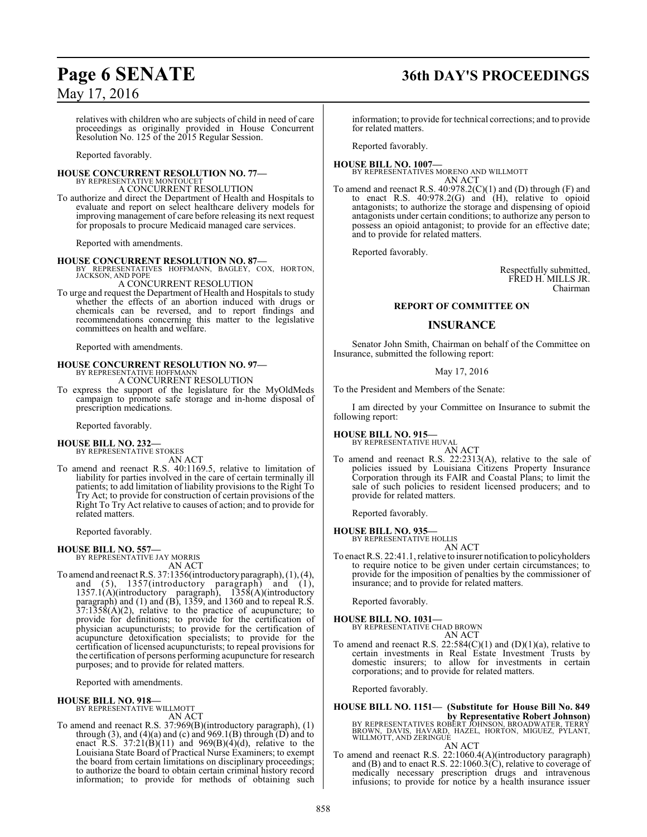relatives with children who are subjects of child in need of care proceedings as originally provided in House Concurrent Resolution No. 125 of the 2015 Regular Session.

Reported favorably.

#### **HOUSE CONCURRENT RESOLUTION NO. 77—** BY REPRESENTATIVE MONTOUCET

A CONCURRENT RESOLUTION

To authorize and direct the Department of Health and Hospitals to evaluate and report on select healthcare delivery models for improving management of care before releasing its next request for proposals to procure Medicaid managed care services.

Reported with amendments.

**HOUSE CONCURRENT RESOLUTION NO. 87—** BY REPRESENTATIVES HOFFMANN, BAGLEY, COX, HORTON, JACKSON, AND POPE A CONCURRENT RESOLUTION

To urge and request the Department of Health and Hospitals to study whether the effects of an abortion induced with drugs or chemicals can be reversed, and to report findings and recommendations concerning this matter to the legislative committees on health and welfare.

Reported with amendments.

**HOUSE CONCURRENT RESOLUTION NO. 97—** BY REPRESENTATIVE HOFFMANN A CONCURRENT RESOLUTION

To express the support of the legislature for the MyOldMeds campaign to promote safe storage and in-home disposal of prescription medications.

Reported favorably.

#### **HOUSE BILL NO. 232—**

BY REPRESENTATIVE STOKES

AN ACT To amend and reenact R.S. 40:1169.5, relative to limitation of liability for parties involved in the care of certain terminally ill patients; to add limitation of liability provisions to the Right To Try Act; to provide for construction of certain provisions of the Right To Try Act relative to causes of action; and to provide for related matters.

Reported favorably.

#### **HOUSE BILL NO. 557—**

BY REPRESENTATIVE JAY MORRIS AN ACT

- To amend and reenact R.S. 37:1356(introductoryparagraph), (1), (4), and (5), 1357(introductory paragraph) and (1),
- 1357.1(A)(introductory paragraph), 1358(A)(introductory paragraph) and (1) and (B), 1359, and 1360 and to repeal R.S.  $37:1358(A)(2)$ , relative to the practice of acupuncture; to provide for definitions; to provide for the certification of physician acupuncturists; to provide for the certification of acupuncture detoxification specialists; to provide for the certification of licensed acupuncturists; to repeal provisions for the certification of persons performing acupuncture for research purposes; and to provide for related matters.

Reported with amendments.

#### **HOUSE BILL NO. 918—**

BY REPRESENTATIVE WILLMOTT AN ACT

To amend and reenact R.S. 37:969(B)(introductory paragraph), (1) through  $(3)$ , and  $(4)(a)$  and  $(c)$  and  $969.1(B)$  through  $(D)$  and to enact R.S.  $37:21(B)(11)$  and  $969(B)(4)(d)$ , relative to the Louisiana State Board of Practical Nurse Examiners; to exempt the board from certain limitations on disciplinary proceedings; to authorize the board to obtain certain criminal history record information; to provide for methods of obtaining such

# **Page 6 SENATE 36th DAY'S PROCEEDINGS**

information; to provide for technical corrections; and to provide for related matters.

Reported favorably.

## **HOUSE BILL NO. 1007—** BY REPRESENTATIVES MORENO AND WILLMOTT AN ACT

To amend and reenact R.S. 40:978.2(C)(1) and (D) through (F) and to enact R.S. 40:978.2(G) and (H), relative to opioid antagonists; to authorize the storage and dispensing of opioid antagonists under certain conditions; to authorize any person to possess an opioid antagonist; to provide for an effective date; and to provide for related matters.

Reported favorably.

Respectfully submitted, FRED H. MILLS JR. Chairman

#### **REPORT OF COMMITTEE ON**

#### **INSURANCE**

Senator John Smith, Chairman on behalf of the Committee on Insurance, submitted the following report:

#### May 17, 2016

To the President and Members of the Senate:

I am directed by your Committee on Insurance to submit the following report:

**HOUSE BILL NO. 915—** BY REPRESENTATIVE HUVAL

AN ACT

To amend and reenact R.S. 22:2313(A), relative to the sale of policies issued by Louisiana Citizens Property Insurance Corporation through its FAIR and Coastal Plans; to limit the sale of such policies to resident licensed producers; and to provide for related matters.

Reported favorably.

**HOUSE BILL NO. 935—** BY REPRESENTATIVE HOLLIS AN ACT

To enact R.S. 22:41.1, relative to insurer notification to policyholders to require notice to be given under certain circumstances; to provide for the imposition of penalties by the commissioner of insurance; and to provide for related matters.

Reported favorably.

# **HOUSE BILL NO. 1031—** BY REPRESENTATIVE CHAD BROWN

AN ACT

To amend and reenact R.S. 22:584(C)(1) and (D)(1)(a), relative to certain investments in Real Estate Investment Trusts by domestic insurers; to allow for investments in certain corporations; and to provide for related matters.

Reported favorably.

# **HOUSE BILL NO. 1151— (Substitute for House Bill No. 849 by Representative Robert Johnson)<br>BROWN, DAVIS, HAVARD, HAZEL, HORTON, BROADWATER, TERRY<br>WILLMOTT, AND ZERINGUE**

AN ACT

To amend and reenact R.S. 22:1060.4(A)(introductory paragraph) and (B) and to enact R.S. 22:1060.3(C), relative to coverage of medically necessary prescription drugs and intravenous infusions; to provide for notice by a health insurance issuer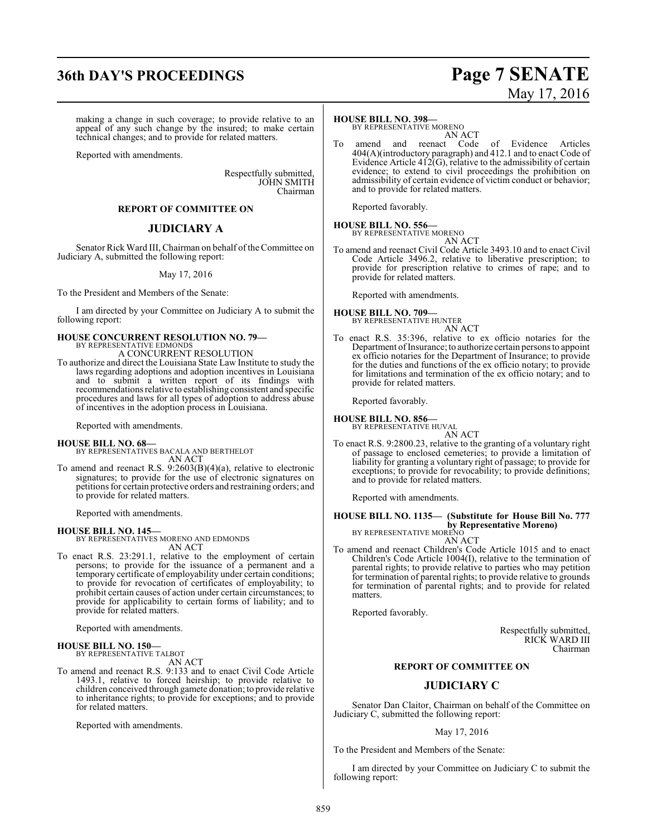# **36th DAY'S PROCEEDINGS Page 7 SENATE**

## making a change in such coverage; to provide relative to an appeal of any such change by the insured; to make certain

technical changes; and to provide for related matters.

Reported with amendments.

Respectfully submitted, JOHN SMITH Chairman

### **REPORT OF COMMITTEE ON**

#### **JUDICIARY A**

Senator Rick Ward III, Chairman on behalf of the Committee on Judiciary A, submitted the following report:

#### May 17, 2016

To the President and Members of the Senate:

I am directed by your Committee on Judiciary A to submit the following report:

#### **HOUSE CONCURRENT RESOLUTION NO. 79—** BY REPRESENTATIVE EDMONDS A CONCURRENT RESOLUTION

To authorize and direct the Louisiana State Law Institute to study the laws regarding adoptions and adoption incentives in Louisiana and to submit a written report of its findings with recommendations relative to establishing consistent and specific procedures and laws for all types of adoption to address abuse of incentives in the adoption process in Louisiana.

#### Reported with amendments.

#### **HOUSE BILL NO. 68—**

- BY REPRESENTATIVES BACALA AND BERTHELOT AN ACT
- To amend and reenact R.S. 9:2603(B)(4)(a), relative to electronic signatures; to provide for the use of electronic signatures on petitions for certain protective orders and restraining orders; and to provide for related matters.

Reported with amendments.

#### **HOUSE BILL NO. 145—**

BY REPRESENTATIVES MORENO AND EDMONDS AN ACT

To enact R.S. 23:291.1, relative to the employment of certain persons; to provide for the issuance of a permanent and a temporary certificate of employability under certain conditions; to provide for revocation of certificates of employability; to prohibit certain causes of action under certain circumstances; to provide for applicability to certain forms of liability; and to provide for related matters.

Reported with amendments.

#### **HOUSE BILL NO. 150—**

BY REPRESENTATIVE TALBOT AN ACT

To amend and reenact R.S. 9:133 and to enact Civil Code Article 1493.1, relative to forced heirship; to provide relative to children conceived through gamete donation; to provide relative to inheritance rights; to provide for exceptions; and to provide for related matters.

Reported with amendments.

#### **HOUSE BILL NO. 398—**

BY REPRESENTATIVE MORENO AN ACT

To amend and reenact Code of Evidence Articles 404(A)(introductory paragraph) and 412.1 and to enact Code of Evidence Article 412(G), relative to the admissibility of certain evidence; to extend to civil proceedings the prohibition on admissibility of certain evidence of victim conduct or behavior; and to provide for related matters.

Reported favorably.

#### **HOUSE BILL NO. 556—** BY REPRESENTATIVE MORENO

AN ACT To amend and reenact Civil Code Article 3493.10 and to enact Civil Code Article 3496.2, relative to liberative prescription; to provide for prescription relative to crimes of rape; and to provide for related matters.

Reported with amendments.

#### **HOUSE BILL NO. 709—** BY REPRESENTATIVE HUNTER

AN ACT

To enact R.S. 35:396, relative to ex officio notaries for the Department of Insurance; to authorize certain persons to appoint ex officio notaries for the Department of Insurance; to provide for the duties and functions of the ex officio notary; to provide for limitations and termination of the ex officio notary; and to provide for related matters.

Reported favorably.

#### **HOUSE BILL NO. 856—**

BY REPRESENTATIVE HUVAL

AN ACT

To enact R.S. 9:2800.23, relative to the granting of a voluntary right of passage to enclosed cemeteries; to provide a limitation of liability for granting a voluntary right of passage; to provide for exceptions; to provide for revocability; to provide definitions; and to provide for related matters.

Reported with amendments.

## **HOUSE BILL NO. 1135— (Substitute for House Bill No. 777 by Representative Moreno)** BY REPRESENTATIVE MORENO

AN ACT

To amend and reenact Children's Code Article 1015 and to enact Children's Code Article 1004(I), relative to the termination of parental rights; to provide relative to parties who may petition for termination of parental rights; to provide relative to grounds for termination of parental rights; and to provide for related matters.

Reported favorably.

Respectfully submitted, RICK WARD III Chairman

#### **REPORT OF COMMITTEE ON**

#### **JUDICIARY C**

Senator Dan Claitor, Chairman on behalf of the Committee on Judiciary C, submitted the following report:

#### May 17, 2016

To the President and Members of the Senate:

I am directed by your Committee on Judiciary C to submit the following report:

# May 17, 2016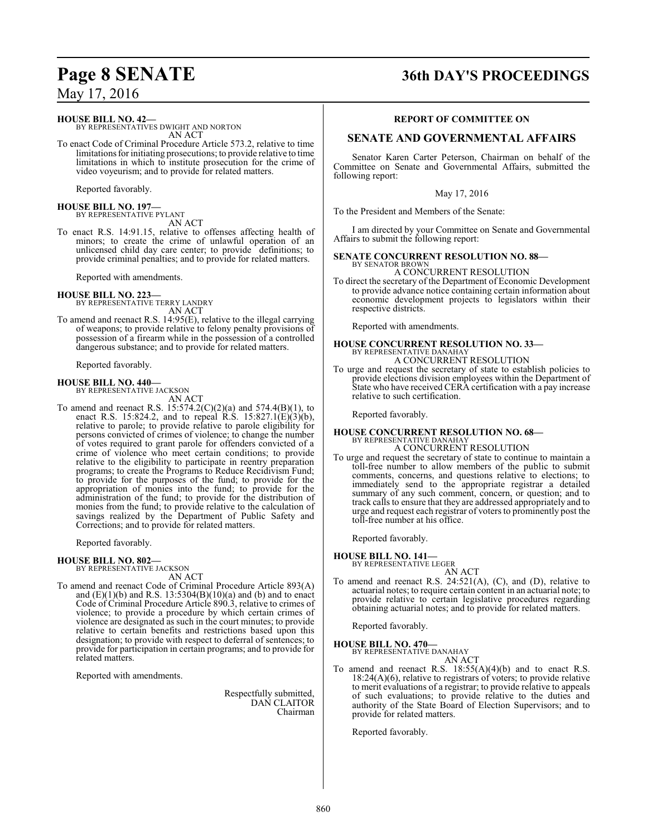# **Page 8 SENATE 36th DAY'S PROCEEDINGS**

May 17, 2016

## **HOUSE BILL NO. 42—**

BY REPRESENTATIVES DWIGHT AND NORTON AN ACT To enact Code of Criminal Procedure Article 573.2, relative to time

limitations for initiating prosecutions; to provide relative to time limitations in which to institute prosecution for the crime of video voyeurism; and to provide for related matters.

Reported favorably.

#### **HOUSE BILL NO. 197—** BY REPRESENTATIVE PYLANT

AN ACT To enact R.S. 14:91.15, relative to offenses affecting health of minors; to create the crime of unlawful operation of an unlicensed child day care center; to provide definitions; to provide criminal penalties; and to provide for related matters.

Reported with amendments.

**HOUSE BILL NO. 223—** BY REPRESENTATIVE TERRY LANDRY AN ACT

To amend and reenact R.S. 14:95(E), relative to the illegal carrying of weapons; to provide relative to felony penalty provisions of possession of a firearm while in the possession of a controlled dangerous substance; and to provide for related matters.

Reported favorably.

**HOUSE BILL NO. 440—** BY REPRESENTATIVE JACKSON

AN ACT

To amend and reenact R.S. 15:574.2(C)(2)(a) and 574.4(B)(1), to enact R.S. 15:824.2, and to repeal R.S. 15:827.1(E)(3)(b), relative to parole; to provide relative to parole eligibility for persons convicted of crimes of violence; to change the number of votes required to grant parole for offenders convicted of a crime of violence who meet certain conditions; to provide relative to the eligibility to participate in reentry preparation programs; to create the Programs to Reduce Recidivism Fund; to provide for the purposes of the fund; to provide for the appropriation of monies into the fund; to provide for the administration of the fund; to provide for the distribution of monies from the fund; to provide relative to the calculation of savings realized by the Department of Public Safety and Corrections; and to provide for related matters.

Reported favorably.

#### **HOUSE BILL NO. 802—**

BY REPRESENTATIVE JACKSON AN ACT

To amend and reenact Code of Criminal Procedure Article 893(A) and  $(E)(1)(b)$  and R.S. 13:5304 $(B)(10)(a)$  and  $(b)$  and to enact Code of Criminal Procedure Article 890.3, relative to crimes of violence; to provide a procedure by which certain crimes of violence are designated as such in the court minutes; to provide relative to certain benefits and restrictions based upon this designation; to provide with respect to deferral of sentences; to provide for participation in certain programs; and to provide for related matters.

Reported with amendments.

Respectfully submitted, DAN CLAITOR Chairman

#### **REPORT OF COMMITTEE ON**

### **SENATE AND GOVERNMENTAL AFFAIRS**

Senator Karen Carter Peterson, Chairman on behalf of the Committee on Senate and Governmental Affairs, submitted the following report:

May 17, 2016

To the President and Members of the Senate:

I am directed by your Committee on Senate and Governmental Affairs to submit the following report:

#### **SENATE CONCURRENT RESOLUTION NO. 88—** BY SENATOR BROWN

A CONCURRENT RESOLUTION

To direct the secretary of the Department of Economic Development to provide advance notice containing certain information about economic development projects to legislators within their respective districts.

Reported with amendments.

#### **HOUSE CONCURRENT RESOLUTION NO. 33—** BY REPRESENTATIVE DANAHAY A CONCURRENT RESOLUTION

To urge and request the secretary of state to establish policies to provide elections division employees within the Department of State who have received CERA certification with a pay increase relative to such certification.

Reported favorably.

## **HOUSE CONCURRENT RESOLUTION NO. 68—** BY REPRESENTATIVE DANAHAY A CONCURRENT RESOLUTION

To urge and request the secretary of state to continue to maintain a toll-free number to allow members of the public to submit comments, concerns, and questions relative to elections; to immediately send to the appropriate registrar a detailed summary of any such comment, concern, or question; and to track calls to ensure that they are addressed appropriately and to urge and request each registrar of voters to prominently post the toll-free number at his office.

Reported favorably.

**HOUSE BILL NO. 141—** BY REPRESENTATIVE LEGER

- AN ACT
- To amend and reenact R.S. 24:521(A), (C), and (D), relative to actuarial notes; to require certain content in an actuarial note; to provide relative to certain legislative procedures regarding obtaining actuarial notes; and to provide for related matters.

Reported favorably.

**HOUSE BILL NO. 470—** BY REPRESENTATIVE DANAHAY AN ACT

To amend and reenact R.S.  $18:55(A)(4)(b)$  and to enact R.S.  $18:24(A)(6)$ , relative to registrars of voters; to provide relative to merit evaluations of a registrar; to provide relative to appeals of such evaluations; to provide relative to the duties and authority of the State Board of Election Supervisors; and to provide for related matters.

Reported favorably.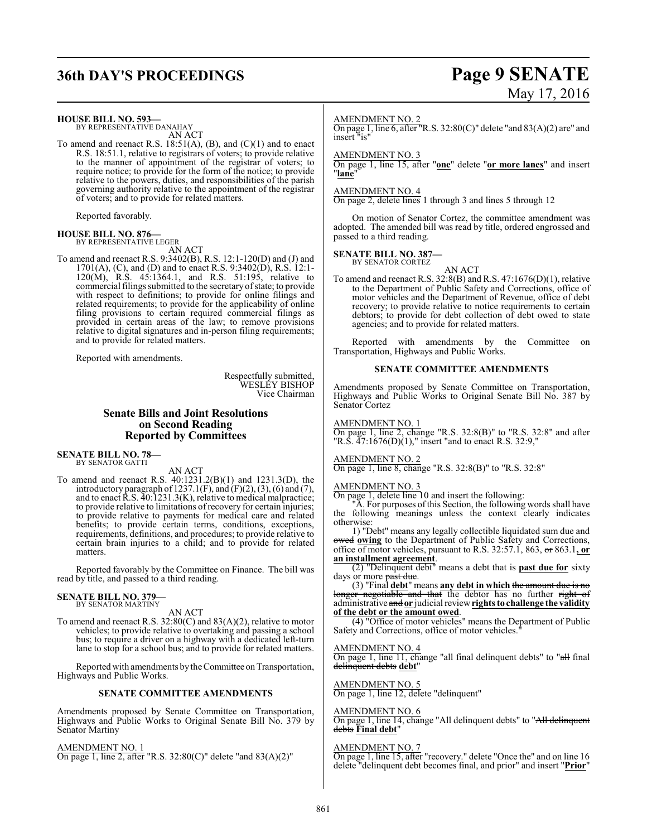# **36th DAY'S PROCEEDINGS Page 9 SENATE**

#### **HOUSE BILL NO. 593—**

BY REPRESENTATIVE DANAHAY AN ACT

To amend and reenact R.S. 18:51(A), (B), and (C)(1) and to enact R.S. 18:51.1, relative to registrars of voters; to provide relative to the manner of appointment of the registrar of voters; to require notice; to provide for the form of the notice; to provide relative to the powers, duties, and responsibilities of the parish governing authority relative to the appointment of the registrar of voters; and to provide for related matters.

Reported favorably.

## **HOUSE BILL NO. 876—** BY REPRESENTATIVE LEGER

AN ACT

To amend and reenact R.S. 9:3402(B), R.S. 12:1-120(D) and (J) and 1701(A), (C), and (D) and to enact R.S. 9:3402(D), R.S. 12:1- 120(M), R.S. 45:1364.1, and R.S. 51:195, relative to commercial filings submitted to the secretary of state; to provide with respect to definitions; to provide for online filings and related requirements; to provide for the applicability of online filing provisions to certain required commercial filings as provided in certain areas of the law; to remove provisions relative to digital signatures and in-person filing requirements; and to provide for related matters.

Reported with amendments.

Respectfully submitted, WESLEY BISHOP Vice Chairman

#### **Senate Bills and Joint Resolutions on Second Reading Reported by Committees**

**SENATE BILL NO. 78—** BY SENATOR GATTI

#### AN ACT

To amend and reenact R.S. 40:1231.2(B)(1) and 1231.3(D), the introductory paragraph of 1237.1(F), and  $(F)(2)$ ,  $(3)$ ,  $(6)$  and  $(7)$ , and to enact R.S. 40:1231.3(K), relative to medical malpractice; to provide relative to limitations of recovery for certain injuries; to provide relative to payments for medical care and related benefits; to provide certain terms, conditions, exceptions, requirements, definitions, and procedures; to provide relative to certain brain injuries to a child; and to provide for related matters.

Reported favorably by the Committee on Finance. The bill was read by title, and passed to a third reading.

#### **SENATE BILL NO. 379—** BY SENATOR MARTINY

AN ACT

To amend and reenact R.S. 32:80(C) and 83(A)(2), relative to motor vehicles; to provide relative to overtaking and passing a school bus; to require a driver on a highway with a dedicated left-turn lane to stop for a school bus; and to provide for related matters.

Reported with amendments by the Committee on Transportation, Highways and Public Works.

#### **SENATE COMMITTEE AMENDMENTS**

Amendments proposed by Senate Committee on Transportation, Highways and Public Works to Original Senate Bill No. 379 by Senator Martiny

AMENDMENT NO. 1

On page 1, line 2, after "R.S. 32:80(C)" delete "and 83(A)(2)"

# May 17, 2016

#### AMENDMENT NO. 2

On page 1, line 6, after "R.S. 32:80(C)" delete "and 83(A)(2) are" and insert "is"

#### AMENDMENT NO. 3

On page 1, line 15, after "**one**" delete "**or more lanes**" and insert "**lane**"

#### AMENDMENT NO. 4

On page 2, delete lines 1 through 3 and lines 5 through 12

On motion of Senator Cortez, the committee amendment was adopted. The amended bill was read by title, ordered engrossed and passed to a third reading.

# **SENATE BILL NO. 387—** BY SENATOR CORTEZ

AN ACT To amend and reenact R.S. 32:8(B) and R.S. 47:1676(D)(1), relative to the Department of Public Safety and Corrections, office of motor vehicles and the Department of Revenue, office of debt recovery; to provide relative to notice requirements to certain debtors; to provide for debt collection of debt owed to state agencies; and to provide for related matters.

Reported with amendments by the Committee on Transportation, Highways and Public Works.

#### **SENATE COMMITTEE AMENDMENTS**

Amendments proposed by Senate Committee on Transportation, Highways and Public Works to Original Senate Bill No. 387 by Senator Cortez

#### AMENDMENT NO. 1

On page 1, line 2, change "R.S. 32:8(B)" to "R.S. 32:8" and after "R.S.  $47:1676(D)(1)$ ," insert "and to enact R.S. 32:9,"

#### AMENDMENT NO. 2

On page 1, line 8, change "R.S. 32:8(B)" to "R.S. 32:8"

#### AMENDMENT NO. 3

On page 1, delete line 10 and insert the following:

"A. For purposes ofthis Section, the following words shall have the following meanings unless the context clearly indicates otherwise:

1) "Debt" means any legally collectible liquidated sum due and owed **owing** to the Department of Public Safety and Corrections, office of motor vehicles, pursuant to R.S. 32:57.1, 863, or 863.1**, or an installment agreement**.

(2) "Delinquent debt" means a debt that is **past due for** sixty days or more past due.

(3) "Final **debt**" means **any debt in which** the amount due is no longer negotiable and that the debtor has no further right of administrative and **or** judicial review**rights to challenge the validity of the debt or the amount owed**.

(4) "Office of motor vehicles" means the Department of Public Safety and Corrections, office of motor vehicles.

#### AMENDMENT NO. 4

On page 1, line 11, change "all final delinquent debts" to "all final delinquent debts **debt**"

AMENDMENT NO. 5

On page 1, line 12, delete "delinquent"

#### AMENDMENT NO. 6

On page 1, line 14, change "All delinquent debts" to "<del>All delinquent</del> debts **Final debt**"

#### AMENDMENT NO. 7

On page 1, line 15, after "recovery." delete "Once the" and on line 16 delete "delinquent debt becomes final, and prior" and insert "**Prior**"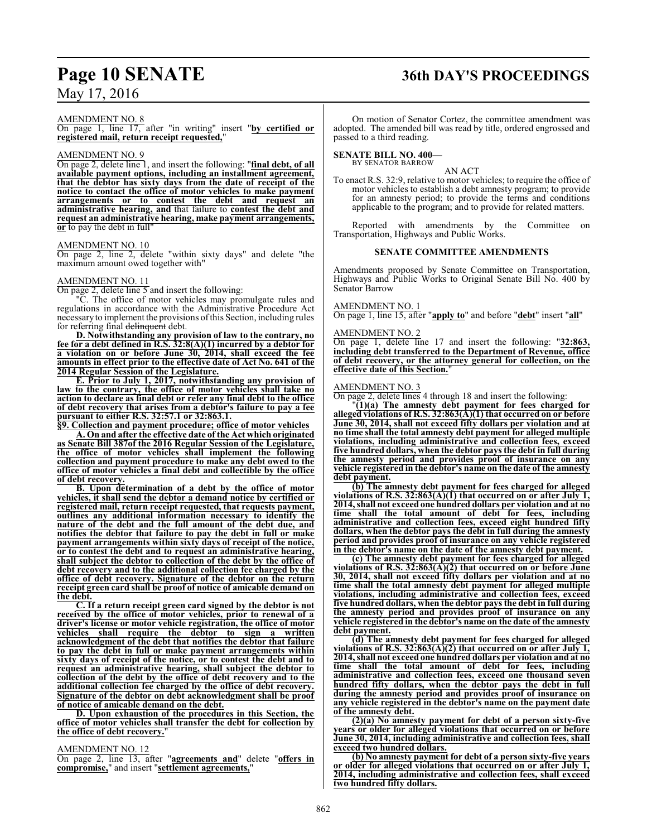# **Page 10 SENATE 36th DAY'S PROCEEDINGS**

## May 17, 2016

### AMENDMENT NO. 8

On page 1, line 17, after "in writing" insert "**by certified or registered mail, return receipt requested,**"

#### AMENDMENT NO. 9

On page 2, delete line 1, and insert the following: "**final debt, of all available payment options, including an installment agreement, that the debtor has sixty days from the date of receipt of the notice to contact the office of motor vehicles to make payment arrangements or to contest the debt and request an administrative hearing, and** that failure to **contest the debt and request an administrative hearing, make payment arrangements, or** to pay the debt in full"

#### AMENDMENT NO. 10

On page 2, line 2, delete "within sixty days" and delete "the maximum amount owed together with"

#### AMENDMENT NO. 11

On page 2, delete line 5 and insert the following:

"C. The office of motor vehicles may promulgate rules and regulations in accordance with the Administrative Procedure Act necessaryto implement the provisions ofthis Section, including rules for referring final delinquent debt.

**D. Notwithstanding any provision of law to the contrary, no fee for a debt defined in R.S. 32:8(A)(1) incurred by a debtor for a violation on or before June 30, 2014, shall exceed the fee amounts in effect prior to the effective date of Act No. 641 of the 2014 Regular Session of the Legislature.**

**E. Prior to July 1, 2017, notwithstanding any provision of law to the contrary, the office of motor vehicles shall take no action to declare as final debt or refer any final debt to the office of debt recovery that arises from a debtor's failure to pay a fee pursuant to either R.S. 32:57.1 or 32:863.1.**

**§9. Collection and payment procedure; office of motor vehicles**

**A. On and after the effective date of the Act which originated as Senate Bill 387of the 2016 Regular Session of the Legislature, the office of motor vehicles shall implement the following collection and payment procedure to make any debt owed to the office of motor vehicles a final debt and collectible by the office of debt recovery.**

**B. Upon determination of a debt by the office of motor vehicles, it shall send the debtor a demand notice by certified or registered mail, return receipt requested, that requests payment, outlines any additional information necessary to identify the nature of the debt and the full amount of the debt due, and notifies the debtor that failure to pay the debt in full or make payment arrangements within sixty days of receipt of the notice, or to contest the debt and to request an administrative hearing, shall subject the debtor to collection of the debt by the office of debt recovery and to the additional collection fee charged by the office of debt recovery. Signature of the debtor on the return receipt green card shall be proof of notice of amicable demand on the debt.**

**C. If a return receipt green card signed by the debtor is not received by the office of motor vehicles, prior to renewal of a driver's license or motor vehicle registration, the office of motor vehicles shall require the debtor to sign a written acknowledgment of the debt that notifies the debtor that failure to pay the debt in full or make payment arrangements within sixty days of receipt of the notice, or to contest the debt and to request an administrative hearing, shall subject the debtor to collection of the debt by the office of debt recovery and to the additional collection fee charged by the office of debt recovery. Signature of the debtor on debt acknowledgment shall be proof of notice of amicable demand on the debt.**

**D. Upon exhaustion of the procedures in this Section, the office of motor vehicles shall transfer the debt for collection by the office of debt recovery.**"

#### AMENDMENT NO. 12

On page 2, line 13, after "**agreements and**" delete "**offers in compromise,**" and insert "**settlement agreements,**"

# On motion of Senator Cortez, the committee amendment was

adopted. The amended bill was read by title, ordered engrossed and passed to a third reading.

#### **SENATE BILL NO. 400—**

BY SENATOR BARROW

AN ACT To enact R.S. 32:9, relative to motor vehicles; to require the office of motor vehicles to establish a debt amnesty program; to provide for an amnesty period; to provide the terms and conditions applicable to the program; and to provide for related matters.

Reported with amendments by the Committee on Transportation, Highways and Public Works.

#### **SENATE COMMITTEE AMENDMENTS**

Amendments proposed by Senate Committee on Transportation, Highways and Public Works to Original Senate Bill No. 400 by Senator Barrow

#### AMENDMENT NO. 1

On page 1, line 15, after "**apply to**" and before "**debt**" insert "**all**"

#### AMENDMENT NO. 2

On page 1, delete line 17 and insert the following: "**32:863, including debt transferred to the Department of Revenue, office of debt recovery, or the attorney general for collection, on the effective date of this Section.**"

#### AMENDMENT NO. 3

On page 2, delete lines 4 through 18 and insert the following:

"**(1)(a) The amnesty debt payment for fees charged for alleged violations of R.S. 32:863(A)(1) that occurred on or before June 30, 2014, shall not exceed fifty dollars per violation and at no time shall the total amnesty debt payment for alleged multiple violations, including administrative and collection fees, exceed five hundred dollars, when the debtor pays the debt in full during the amnesty period and provides proof of insurance on any vehicle registered in the debtor's name on the date of the amnesty debt payment.**

**(b) The amnesty debt payment for fees charged for alleged violations of R.S. 32:863(A)(1) that occurred on or after July 1, 2014, shall not exceed one hundred dollars per violation and at no time shall the total amount of debt for fees, including administrative and collection fees, exceed eight hundred fifty dollars, when the debtor pays the debt in full during the amnesty period and provides proof of insurance on any vehicle registered in the debtor's name on the date of the amnesty debt payment.**

**(c) The amnesty debt payment for fees charged for alleged violations of R.S. 32:863(A)(2) that occurred on or before June 30, 2014, shall not exceed fifty dollars per violation and at no time shall the total amnesty debt payment for alleged multiple violations, including administrative and collection fees, exceed five hundred dollars, when the debtor pays the debt in full during the amnesty period and provides proof of insurance on any vehicle registered in the debtor's name on the date of the amnesty debt payment.**

**(d) The amnesty debt payment for fees charged for alleged violations of R.S. 32:863(A)(2) that occurred on or after July 1, 2014, shall not exceed one hundred dollars per violation and at no time shall the total amount of debt for fees, including administrative and collection fees, exceed one thousand seven hundred fifty dollars, when the debtor pays the debt in full during the amnesty period and provides proof of insurance on any vehicle registered in the debtor's name on the payment date of the amnesty debt.**

**(2)(a) No amnesty payment for debt of a person sixty-five years or older for alleged violations that occurred on or before June 30, 2014, including administrative and collection fees, shall exceed two hundred dollars.**

**(b) No amnesty payment for debt of a person sixty-five years or older for alleged violations that occurred on or after July 1, 2014, including administrative and collection fees, shall exceed two hundred fifty dollars.**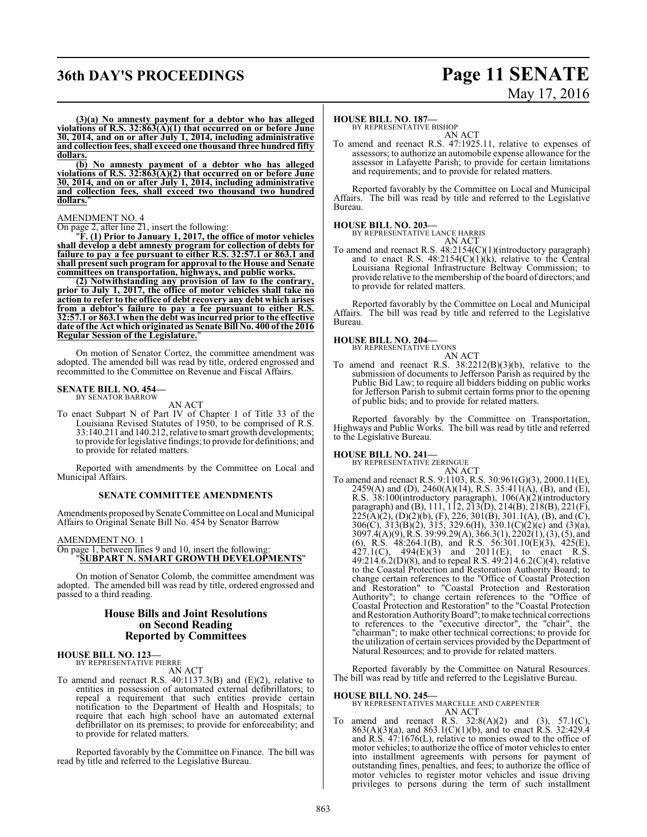# **36th DAY'S PROCEEDINGS Page 11 SENATE**

# May 17, 2016

**(3)(a) No amnesty payment for a debtor who has alleged violations of R.S. 32:863(A)(1) that occurred on or before June 30, 2014, and on or after July 1, 2014, including administrative and collection fees, shall exceed one thousand three hundred fifty dollars.**

**(b) No amnesty payment of a debtor who has alleged violations of R.S. 32:863(A)(2) that occurred on or before June 30, 2014, and on or after July 1, 2014, including administrative and collection fees, shall exceed two thousand two hundred dollars.**"

#### AMENDMENT NO. 4

On page 2, after line 21, insert the following:

"**F. (1) Prior to January 1, 2017, the office of motor vehicles shall develop a debt amnesty program for collection of debts for failure to pay a fee pursuant to either R.S. 32:57.1 or 863.1 and shall present such program for approval to the House and Senate committees on transportation, highways, and public works.**

**(2) Notwithstanding any provision of law to the contrary, prior to July 1, 2017, the office of motor vehicles shall take no action to refer to the office of debt recovery any debt which arises from a debtor's failure to pay a fee pursuant to either R.S. 32:57.1 or 863.1 when the debt was incurred prior to the effective date of the Act which originated as Senate Bill No. 400 of the 2016 Regular Session of the Legislature.** 

On motion of Senator Cortez, the committee amendment was adopted. The amended bill was read by title, ordered engrossed and recommitted to the Committee on Revenue and Fiscal Affairs.

# **SENATE BILL NO. 454—** BY SENATOR BARROW

AN ACT

To enact Subpart N of Part IV of Chapter 1 of Title 33 of the Louisiana Revised Statutes of 1950, to be comprised of R.S. 33:140.211 and 140.212, relative to smart growth developments; to provide forlegislative findings; to provide for definitions; and to provide for related matters.

Reported with amendments by the Committee on Local and Municipal Affairs.

#### **SENATE COMMITTEE AMENDMENTS**

Amendments proposed bySenate Committee on Local and Municipal Affairs to Original Senate Bill No. 454 by Senator Barrow

#### AMENDMENT NO. 1

#### On page 1, between lines 9 and 10, insert the following: "**SUBPART N. SMART GROWTH DEVELOPMENTS**"

On motion of Senator Colomb, the committee amendment was adopted. The amended bill was read by title, ordered engrossed and passed to a third reading.

#### **House Bills and Joint Resolutions on Second Reading Reported by Committees**

#### **HOUSE BILL NO. 123—** BY REPRESENTATIVE PIERRE

AN ACT

To amend and reenact R.S. 40:1137.3(B) and (E)(2), relative to entities in possession of automated external defibrillators; to repeal a requirement that such entities provide certain notification to the Department of Health and Hospitals; to require that each high school have an automated external defibrillator on its premises; to provide for enforceability; and to provide for related matters.

Reported favorably by the Committee on Finance. The bill was read by title and referred to the Legislative Bureau.

#### **HOUSE BILL NO. 187—**

BY REPRESENTATIVE BISHOP AN ACT

To amend and reenact R.S. 47:1925.11, relative to expenses of assessors; to authorize an automobile expense allowance for the assessor in Lafayette Parish; to provide for certain limitations and requirements; and to provide for related matters.

Reported favorably by the Committee on Local and Municipal Affairs. The bill was read by title and referred to the Legislative Bureau.

#### **HOUSE BILL NO. 203—**

BY REPRESENTATIVE LANCE HARRIS AN ACT

To amend and reenact R.S. 48:2154(C)(1)(introductory paragraph) and to enact R.S.  $48:2154(C)(1)(k)$ , relative to the Central Louisiana Regional Infrastructure Beltway Commission; to provide relative to the membership of the board of directors; and to provide for related matters.

Reported favorably by the Committee on Local and Municipal Affairs. The bill was read by title and referred to the Legislative Bureau.

#### **HOUSE BILL NO. 204—**



To amend and reenact R.S. 38:2212(B)(3)(b), relative to the submission of documents to Jefferson Parish as required by the Public Bid Law; to require all bidders bidding on public works for Jefferson Parish to submit certain forms prior to the opening of public bids; and to provide for related matters.

Reported favorably by the Committee on Transportation, Highways and Public Works. The bill was read by title and referred to the Legislative Bureau.

#### **HOUSE BILL NO. 241—**

BY REPRESENTATIVE ZERINGUE

AN ACT To amend and reenact R.S. 9:1103, R.S. 30:961(G)(3), 2000.11(E), 2459(A) and (D), 2460(A)(14), R.S. 35:411(A), (B), and (E), R.S. 38:100(introductory paragraph), 106(A)(2)(introductory paragraph) and (B), 111, 112, 213(D), 214(B), 218(B), 221(F),  $225(A)(2)$ , (D)(2)(b), (F), 226, 301(B), 301.1(A), (B), and (C), 306(C), 313(B)(2), 315, 329.6(H), 330.1(C)(2)(c) and (3)(a), 3097.4(A)(9), R.S. 39:99.29(A), 366.3(1), 2202(1), (3), (5), and (6), R.S. 48:264.1(B), and R.S. 56:301.10(E)(3), 425(E),  $427.1(C)$ ,  $494(E)(3)$  and  $2011(E)$ , to enact R.S. 49:214.6.2(D)(8), and to repeal R.S. 49:214.6.2(C)(4), relative to the Coastal Protection and Restoration Authority Board; to change certain references to the "Office of Coastal Protection and Restoration" to "Coastal Protection and Restoration Authority"; to change certain references to the "Office of Coastal Protection and Restoration" to the "Coastal Protection and Restoration Authority Board"; to make technical corrections to references to the "executive director", the "chair", the "chairman"; to make other technical corrections; to provide for the utilization of certain services provided by the Department of Natural Resources; and to provide for related matters.

Reported favorably by the Committee on Natural Resources. The bill was read by title and referred to the Legislative Bureau.

**HOUSE BILL NO. 245—** BY REPRESENTATIVES MARCELLE AND CARPENTER AN ACT

To amend and reenact R.S.  $32:8(A)(2)$  and  $(3)$ ,  $57.1(C)$ , 863(A)(3)(a), and 863.1(C)(1)(b), and to enact R.S. 32:429.4 and R.S. 47:1676(L), relative to monies owed to the office of motor vehicles; to authorize the office of motor vehicles to enter into installment agreements with persons for payment of outstanding fines, penalties, and fees; to authorize the office of motor vehicles to register motor vehicles and issue driving privileges to persons during the term of such installment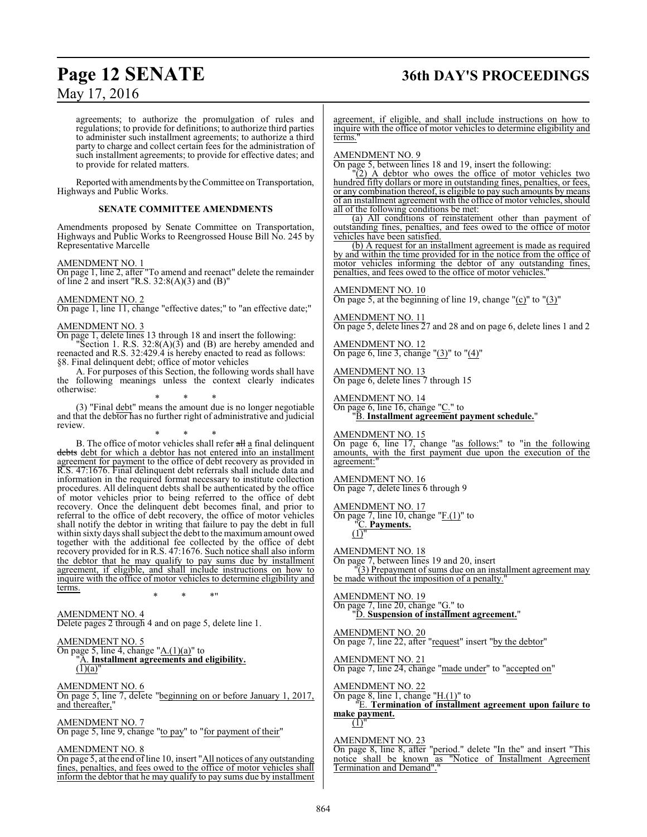# **Page 12 SENATE 36th DAY'S PROCEEDINGS**

May 17, 2016

agreements; to authorize the promulgation of rules and regulations; to provide for definitions; to authorize third parties to administer such installment agreements; to authorize a third party to charge and collect certain fees for the administration of such installment agreements; to provide for effective dates; and to provide for related matters.

Reported with amendments by the Committee on Transportation, Highways and Public Works.

#### **SENATE COMMITTEE AMENDMENTS**

Amendments proposed by Senate Committee on Transportation, Highways and Public Works to Reengrossed House Bill No. 245 by Representative Marcelle

AMENDMENT NO. 1

On page 1, line 2, after "To amend and reenact" delete the remainder of line 2 and insert "R.S.  $32:8(A)(3)$  and  $(B)$ "

### AMENDMENT NO. 2

On page 1, line 11, change "effective dates;" to "an effective date;"

#### AMENDMENT NO. 3

On page 1, delete lines 13 through 18 and insert the following:

"Section 1. R.S.  $32:8(A)(3)$  and (B) are hereby amended and reenacted and R.S. 32:429.4 is hereby enacted to read as follows: §8. Final delinquent debt; office of motor vehicles

A. For purposes of this Section, the following words shall have the following meanings unless the context clearly indicates otherwise:

\* \* \* (3) "Final debt" means the amount due is no longer negotiable and that the debtor has no further right of administrative and judicial review.

\* \* \*

B. The office of motor vehicles shall refer all a final delinquent debts debt for which a debtor has not entered into an installment agreement for payment to the office of debt recovery as provided in R.S. 47:1676. Final delinquent debt referrals shall include data and information in the required format necessary to institute collection procedures. All delinquent debts shall be authenticated by the office of motor vehicles prior to being referred to the office of debt recovery. Once the delinquent debt becomes final, and prior to referral to the office of debt recovery, the office of motor vehicles shall notify the debtor in writing that failure to pay the debt in full within sixty days shall subject the debt to the maximumamount owed together with the additional fee collected by the office of debt recovery provided for in R.S. 47:1676. Such notice shall also inform the debtor that he may qualify to pay sums due by installment agreement, if eligible, and shall include instructions on how to inquire with the office of motor vehicles to determine eligibility and terms. \* \* \*"

AMENDMENT NO. 4 Delete pages 2 through 4 and on page 5, delete line 1.

#### AMENDMENT NO. 5 On page 5, line 4, change " $A(1)(a)$ " to "A. **Installment agreements and eligibility.**  $\overline{(1)(a)}$

AMENDMENT NO. 6 On page 5, line 7, delete "beginning on or before January 1, 2017, and thereafter,"

AMENDMENT NO. 7 On page 5, line 9, change "to pay" to "for payment of their"

AMENDMENT NO. 8

On page 5, at the end of line 10, insert "All notices of any outstanding fines, penalties, and fees owed to the office of motor vehicles shall inform the debtor that he may qualify to pay sums due by installment agreement, if eligible, and shall include instructions on how to inquire with the office of motor vehicles to determine eligibility and terms.

#### AMENDMENT NO. 9

On page 5, between lines 18 and 19, insert the following:

"(2) A debtor who owes the office of motor vehicles two hundred fifty dollars or more in outstanding fines, penalties, or fees, or any combination thereof, is eligible to pay such amounts by means of an installment agreement with the office of motor vehicles, should all of the following conditions be met:

(a) All conditions of reinstatement other than payment of outstanding fines, penalties, and fees owed to the office of motor vehicles have been satisfied.

(b) A request for an installment agreement is made as required by and within the time provided for in the notice from the office of motor vehicles informing the debtor of any outstanding fines,<br>negatives and fees owed to the office of motor vehicles." and fees owed to the office of motor vehicles.

#### AMENDMENT NO. 10

On page 5, at the beginning of line 19, change " $(c)$ " to " $(3)$ "

#### AMENDMENT NO. 11

On page 5, delete lines 27 and 28 and on page 6, delete lines 1 and 2

AMENDMENT NO. 12 On page 6, line 3, change " $(3)$ " to " $(4)$ "

AMENDMENT NO. 13 On page 6, delete lines 7 through 15

AMENDMENT NO. 14 On page 6, line 16, change "C." to "B. **Installment agreement payment schedule.**"

AMENDMENT NO. 15

On page 6, line 17, change "as follows:" to "in the following amounts, with the first payment due upon the execution of the agreement:

AMENDMENT NO. 16 On page 7, delete lines 6 through 9

AMENDMENT NO. 17

On page 7, line 10, change "F.(1)" to "C. **Payments.**

 $\overline{(1)}$ "

AMENDMENT NO. 18 On page 7, between lines 19 and 20, insert "(3) Prepayment of sums due on an installment agreement may be made without the imposition of a penalty.

AMENDMENT NO. 19 On page 7, line 20, change "G." to "D. **Suspension of installment agreement.**"

AMENDMENT NO. 20 On page 7, line 22, after "request" insert "by the debtor"

AMENDMENT NO. 21 On page 7, line 24, change "made under" to "accepted on"

AMENDMENT NO. 22

On page 8, line 1, change "H.(1)" to "E. **Termination of installment agreement upon failure to make payment.**

 $(1)'$ 

AMENDMENT NO. 23

On page 8, line 8, after "period." delete "In the" and insert "This notice shall be known as "Notice of Installment Agreement Termination and Demand"."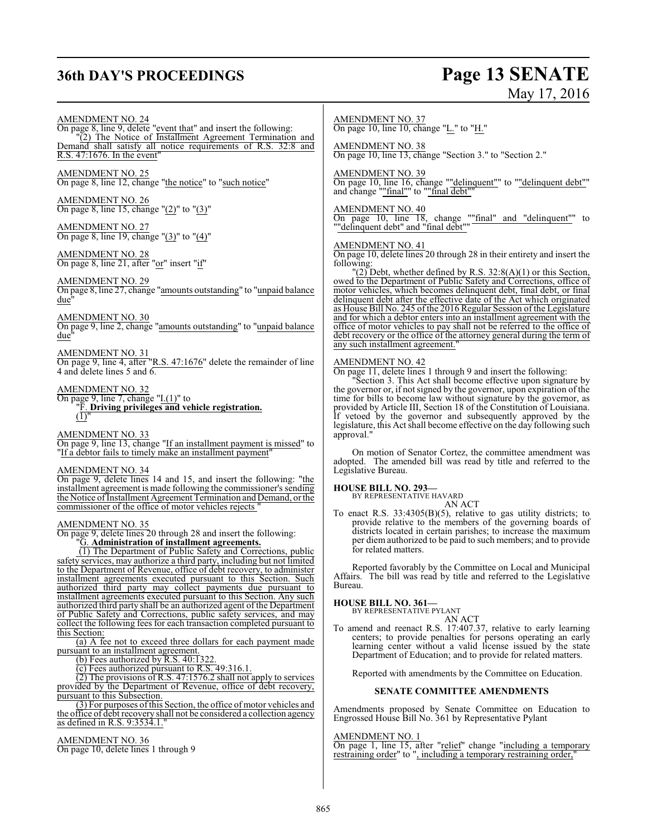# **36th DAY'S PROCEEDINGS Page 13 SENATE**

# May 17, 2016

#### AMENDMENT NO. 24 On page 8, line 9, delete "event that" and insert the following:

"(2) The Notice of Installment Agreement Termination and Demand shall satisfy all notice requirements of R.S. 32:8 and R.S. 47:1676. In the event"

#### AMENDMENT NO. 25 On page 8, line 12, change "the notice" to "such notice"

AMENDMENT NO. 26 On page 8, line 15, change "(2)" to "(3)"

#### AMENDMENT NO. 27 On page 8, line 19, change "(3)" to "(4)"

AMENDMENT NO. 28 On page 8, line 21, after "or" insert "if"

#### AMENDMENT NO. 29

On page 8, line 27, change "amounts outstanding" to "unpaid balance due"

#### AMENDMENT NO. 30

On page 9, line 2, change "amounts outstanding" to "unpaid balance due"

AMENDMENT NO. 31 On page 9, line 4, after "R.S. 47:1676" delete the remainder of line 4 and delete lines 5 and 6.

#### AMENDMENT NO. 32

On page 9, line 7, change "I.(1)" to "F. **Driving privileges and vehicle registration.**  $\overline{(1)}$ "

#### AMENDMENT NO. 33

On page 9, line 13, change "If an installment payment is missed" to "If a debtor fails to timely make an installment payment"

#### AMENDMENT NO. 34

On page 9, delete lines 14 and 15, and insert the following: "the installment agreement is made following the commissioner's sending the Notice of Installment Agreement Termination and Demand, or the commissioner of the office of motor vehicles rejects "

#### AMENDMENT NO. 35

On page 9, delete lines 20 through 28 and insert the following: "G. **Administration of installment agreements.**

(1) The Department of Public Safety and Corrections, public safety services, may authorize a third party, including but not limited to the Department of Revenue, office of debt recovery, to administer installment agreements executed pursuant to this Section. Such authorized third party may collect payments due pursuant to installment agreements executed pursuant to this Section. Any such authorized third party shall be an authorized agent of the Department of Public Safety and Corrections, public safety services, and may collect the following fees for each transaction completed pursuant to this Section:

(a) A fee not to exceed three dollars for each payment made pursuant to an installment agreement.

(b) Fees authorized by R.S. 40:1322.

 $\frac{1}{2}$  Fees authorized pursuant to R.S. 49:316.1.

(2) The provisions of R.S. 47:1576.2 shall not apply to services provided by the Department of Revenue, office of debt recovery, pursuant to this Subsection.

(3) For purposes ofthis Section, the office of motor vehicles and the office of debt recovery shall not be considered a collection agency as defined in R.S. 9:3534.1."

#### AMENDMENT NO. 36

On page 10, delete lines 1 through 9

#### AMENDMENT NO. 37

On page 10, line 10, change "L." to "H."

#### AMENDMENT NO. 38

On page 10, line 13, change "Section 3." to "Section 2."

#### AMENDMENT NO. 39

On page 10, line 16, change ""delinquent"" to ""delinquent debt"" and change ""final"" to ""final debt""

#### AMENDMENT NO. 40

On page 10, line 18, change ""final" and "delinquent"" to ""delinquent debt" and "final debt""

#### AMENDMENT NO. 41

On page 10, delete lines 20 through 28 in their entirety and insert the following:

 $\Gamma(2)$  Debt, whether defined by R.S. 32:8(A)(1) or this Section, owed to the Department of Public Safety and Corrections, office of motor vehicles, which becomes delinquent debt, final debt, or final delinquent debt after the effective date of the Act which originated as House Bill No. 245 of the 2016 Regular Session of the Legislature and for which a debtor enters into an installment agreement with the office of motor vehicles to pay shall not be referred to the office of debt recovery or the office of the attorney general during the term of any such installment agreement.

#### AMENDMENT NO. 42

On page 11, delete lines 1 through 9 and insert the following:

"Section 3. This Act shall become effective upon signature by the governor or, if not signed by the governor, upon expiration of the time for bills to become law without signature by the governor, as provided by Article III, Section 18 of the Constitution of Louisiana. If vetoed by the governor and subsequently approved by the legislature, this Act shall become effective on the day following such approval.

On motion of Senator Cortez, the committee amendment was adopted. The amended bill was read by title and referred to the Legislative Bureau.

#### **HOUSE BILL NO. 293—**

BY REPRESENTATIVE HAVARD

- AN ACT
- To enact R.S. 33:4305(B)(5), relative to gas utility districts; to provide relative to the members of the governing boards of districts located in certain parishes; to increase the maximum per diem authorized to be paid to such members; and to provide for related matters.

Reported favorably by the Committee on Local and Municipal Affairs. The bill was read by title and referred to the Legislative Bureau.

### **HOUSE BILL NO. 361—**

BY REPRESENTATIVE PYLANT AN ACT

To amend and reenact R.S. 17:407.37, relative to early learning centers; to provide penalties for persons operating an early learning center without a valid license issued by the state Department of Education; and to provide for related matters.

Reported with amendments by the Committee on Education.

#### **SENATE COMMITTEE AMENDMENTS**

Amendments proposed by Senate Committee on Education to Engrossed House Bill No. 361 by Representative Pylant

#### AMENDMENT NO. 1

On page 1, line 15, after "relief" change "including a temporary restraining order" to ", including a temporary restraining order,"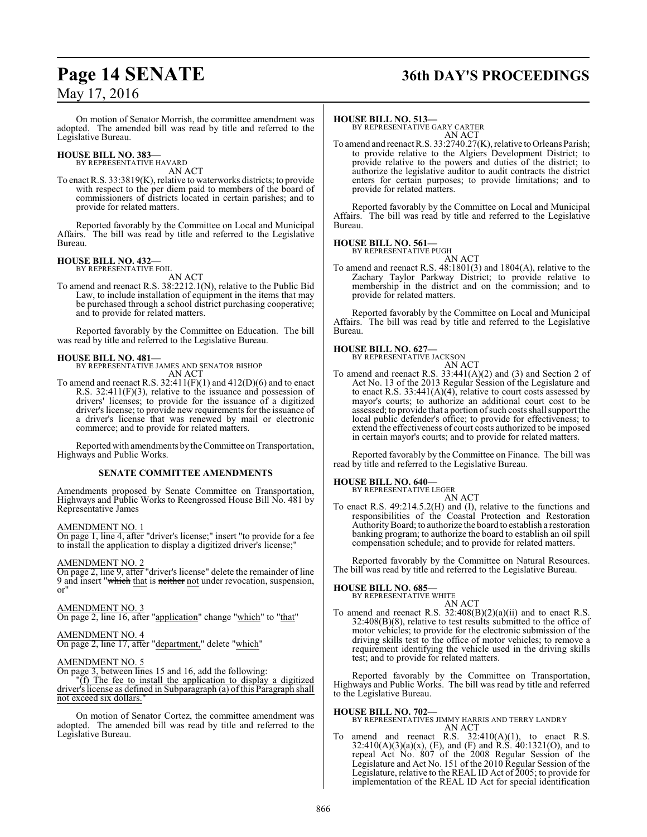# **Page 14 SENATE 36th DAY'S PROCEEDINGS**

On motion of Senator Morrish, the committee amendment was adopted. The amended bill was read by title and referred to the Legislative Bureau.

### **HOUSE BILL NO. 383—**

BY REPRESENTATIVE HAVARD AN ACT

To enact R.S. 33:3819(K), relative to waterworks districts; to provide with respect to the per diem paid to members of the board of commissioners of districts located in certain parishes; and to provide for related matters.

Reported favorably by the Committee on Local and Municipal Affairs. The bill was read by title and referred to the Legislative Bureau.

**HOUSE BILL NO. 432—** BY REPRESENTATIVE FOIL AN ACT

To amend and reenact R.S. 38:2212.1(N), relative to the Public Bid Law, to include installation of equipment in the items that may be purchased through a school district purchasing cooperative; and to provide for related matters.

Reported favorably by the Committee on Education. The bill was read by title and referred to the Legislative Bureau.

**HOUSE BILL NO. 481—** BY REPRESENTATIVE JAMES AND SENATOR BISHOP AN ACT

To amend and reenact R.S. 32:411(F)(1) and 412(D)(6) and to enact R.S. 32:411(F)(3), relative to the issuance and possession of drivers' licenses; to provide for the issuance of a digitized driver's license; to provide new requirements for the issuance of a driver's license that was renewed by mail or electronic commerce; and to provide for related matters.

Reported with amendments by the Committee on Transportation, Highways and Public Works.

#### **SENATE COMMITTEE AMENDMENTS**

Amendments proposed by Senate Committee on Transportation, Highways and Public Works to Reengrossed House Bill No. 481 by Representative James

#### AMENDMENT NO. 1

On page 1, line 4, after "driver's license;" insert "to provide for a fee to install the application to display a digitized driver's license;"

#### AMENDMENT NO. 2

On page 2, line 9, after "driver's license" delete the remainder of line 9 and insert "which that is neither not under revocation, suspension, or"

#### AMENDMENT NO. 3

On page 2, line 16, after "application" change "which" to "that"

#### AMENDMENT NO. 4

On page 2, line 17, after "department," delete "which"

#### AMENDMENT NO. 5

On page 3, between lines 15 and 16, add the following:

"(f) The fee to install the application to display a digitized driver's license as defined in Subparagraph (a) of this Paragraph shall not exceed six dollars.

On motion of Senator Cortez, the committee amendment was adopted. The amended bill was read by title and referred to the Legislative Bureau.

#### **HOUSE BILL NO. 513—**

BY REPRESENTATIVE GARY CARTER AN ACT

To amend and reenact R.S. 33:2740.27(K), relative to Orleans Parish; to provide relative to the Algiers Development District; to provide relative to the powers and duties of the district; to authorize the legislative auditor to audit contracts the district enters for certain purposes; to provide limitations; and to provide for related matters.

Reported favorably by the Committee on Local and Municipal Affairs. The bill was read by title and referred to the Legislative Bureau.

#### **HOUSE BILL NO. 561—**

BY REPRESENTATIVE PUGH AN ACT

To amend and reenact R.S. 48:1801(3) and 1804(A), relative to the Zachary Taylor Parkway District; to provide relative to membership in the district and on the commission; and to provide for related matters.

Reported favorably by the Committee on Local and Municipal Affairs. The bill was read by title and referred to the Legislative Bureau.

#### **HOUSE BILL NO. 627—**

BY REPRESENTATIVE JACKSON

```
AN ACT
```
To amend and reenact R.S. 33:441(A)(2) and (3) and Section 2 of Act No. 13 of the 2013 Regular Session of the Legislature and to enact R.S. 33:441(A)(4), relative to court costs assessed by mayor's courts; to authorize an additional court cost to be assessed; to provide that a portion of such costs shall support the local public defender's office; to provide for effectiveness; to extend the effectiveness of court costs authorized to be imposed in certain mayor's courts; and to provide for related matters.

Reported favorably by the Committee on Finance. The bill was read by title and referred to the Legislative Bureau.

#### **HOUSE BILL NO. 640—**

BY REPRESENTATIVE LEGER AN ACT

To enact R.S. 49:214.5.2(H) and (I), relative to the functions and responsibilities of the Coastal Protection and Restoration AuthorityBoard; to authorize the board to establish a restoration banking program; to authorize the board to establish an oil spill compensation schedule; and to provide for related matters.

Reported favorably by the Committee on Natural Resources. The bill was read by title and referred to the Legislative Bureau.

#### **HOUSE BILL NO. 685—**

BY REPRESENTATIVE WHITE

AN ACT To amend and reenact R.S.  $32:408(B)(2)(a)(ii)$  and to enact R.S. 32:408(B)(8), relative to test results submitted to the office of motor vehicles; to provide for the electronic submission of the driving skills test to the office of motor vehicles; to remove a requirement identifying the vehicle used in the driving skills test; and to provide for related matters.

Reported favorably by the Committee on Transportation, Highways and Public Works. The bill was read by title and referred to the Legislative Bureau.

#### **HOUSE BILL NO. 702—**

BY REPRESENTATIVES JIMMY HARRIS AND TERRY LANDRY AN ACT

To amend and reenact R.S.  $32:410(A)(1)$ , to enact R.S.  $32:410(A)(3)(a)(x)$ , (E), and (F) and R.S.  $40:1321(O)$ , and to repeal Act No. 807 of the 2008 Regular Session of the Legislature and Act No. 151 of the 2010 Regular Session of the Legislature, relative to the REAL ID Act of 2005; to provide for implementation of the REAL ID Act for special identification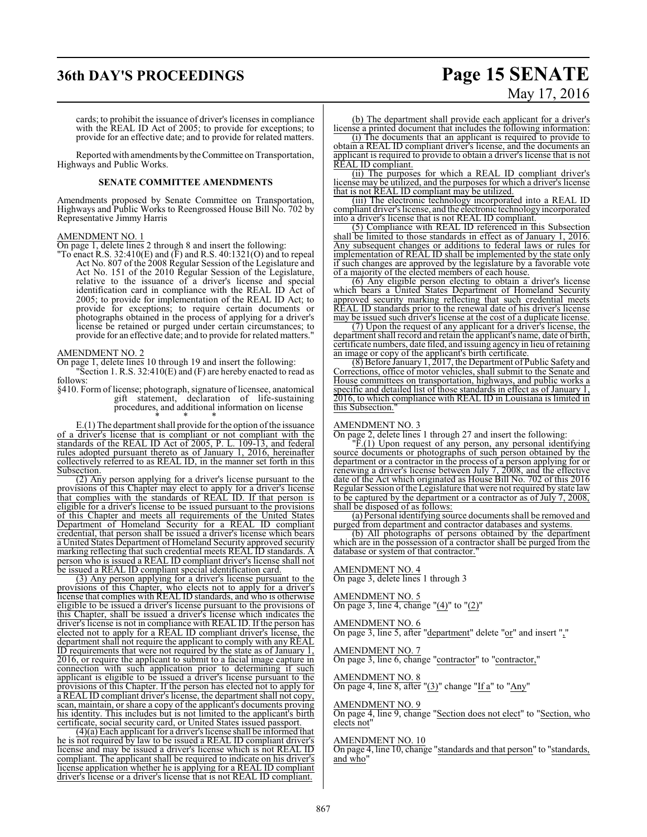# **36th DAY'S PROCEEDINGS Page 15 SENATE**

#### cards; to prohibit the issuance of driver's licenses in compliance with the REAL ID Act of 2005; to provide for exceptions; to provide for an effective date; and to provide for related matters.

Reported with amendments by the Committee on Transportation, Highways and Public Works.

#### **SENATE COMMITTEE AMENDMENTS**

Amendments proposed by Senate Committee on Transportation, Highways and Public Works to Reengrossed House Bill No. 702 by Representative Jimmy Harris

#### AMENDMENT NO. 1

On page 1, delete lines 2 through 8 and insert the following:

"To enact R.S. 32:410(E) and  $(F)$  and R.S. 40:1321(O) and to repeal Act No. 807 of the 2008 Regular Session of the Legislature and Act No. 151 of the 2010 Regular Session of the Legislature, relative to the issuance of a driver's license and special identification card in compliance with the REAL ID Act of 2005; to provide for implementation of the REAL ID Act; to provide for exceptions; to require certain documents or photographs obtained in the process of applying for a driver's license be retained or purged under certain circumstances; to provide for an effective date; and to provide for related matters."

#### AMENDMENT NO. 2

On page 1, delete lines 10 through 19 and insert the following: "Section 1. R.S.  $32:410(E)$  and  $(F)$  are hereby enacted to read as follows:

§410. Form of license; photograph, signature of licensee, anatomical gift statement, declaration of life-sustaining procedures, and additional information on license \* \* \*

 $E(1)$  The department shall provide for the option of the issuance of a driver's license that is compliant or not compliant with the standards of the REAL ID Act of 2005, P. L. 109-13, and federal rules adopted pursuant thereto as of January 1, 2016, hereinafter collectively referred to as REAL ID, in the manner set forth in this Subsection.

(2) Any person applying for a driver's license pursuant to the provisions of this Chapter may elect to apply for a driver's license that complies with the standards of REAL ID. If that person is eligible for a driver's license to be issued pursuant to the provisions of this Chapter and meets all requirements of the United States Department of Homeland Security for a REAL ID compliant credential, that person shall be issued a driver's license which bears a United States Department of Homeland Security approved security marking reflecting that such credential meets REAL ID standards. A person who is issued a REAL ID compliant driver's license shall not be issued a REAL ID compliant special identification card.

(3) Any person applying for a driver's license pursuant to the provisions of this Chapter, who elects not to apply for a driver's license that complies with REAL ID standards, and who is otherwise eligible to be issued a driver's license pursuant to the provisions of this Chapter, shall be issued a driver's license which indicates the driver's license is not in compliance with REAL ID. If the person has elected not to apply for a REAL ID compliant driver's license, the department shall not require the applicant to comply with any REAL ID requirements that were not required by the state as of January 1, 2016, or require the applicant to submit to a facial image capture in connection with such application prior to determining if such applicant is eligible to be issued a driver's license pursuant to the provisions of this Chapter. If the person has elected not to apply for a REAL ID compliant driver's license, the department shall not copy, scan, maintain, or share a copy of the applicant's documents proving his identity. This includes but is not limited to the applicant's birth certificate, social security card, or United States issued passport.

(4)(a) Each applicant for a driver's license shall be informed that he is not required by law to be issued a REAL ID compliant driver's license and may be issued a driver's license which is not REAL ID compliant. The applicant shall be required to indicate on his driver's license application whether he is applying for a REAL ID compliant driver's license or a driver's license that is not REAL ID compliant.

# May 17, 2016

(b) The department shall provide each applicant for a driver's license a printed document that includes the following information:

(i) The documents that an applicant is required to provide to obtain a REAL ID compliant driver's license, and the documents an applicant is required to provide to obtain a driver's license that is not REAL ID compliant.

(ii) The purposes for which a REAL ID compliant driver's license may be utilized, and the purposes for which a driver's license that is not REAL ID compliant may be utilized.

(iii) The electronic technology incorporated into a REAL ID compliant driver's license, and the electronic technology incorporated into a driver's license that is not REAL ID compliant.

(5) Compliance with REAL ID referenced in this Subsection shall be limited to those standards in effect as of January 1, 2016. Any subsequent changes or additions to federal laws or rules for implementation of REAL ID shall be implemented by the state only if such changes are approved by the legislature by a favorable vote of a majority of the elected members of each house.

(6) Any eligible person electing to obtain a driver's license which bears a United States Department of Homeland Security approved security marking reflecting that such credential meets REAL ID standards prior to the renewal date of his driver's license may be issued such driver's license at the cost of a duplicate license.

(7) Upon the request of any applicant for a driver's license, the department shall record and retain the applicant's name, date of birth, certificate numbers, date filed, and issuing agency in lieu of retaining an image or copy of the applicant's birth certificate.

(8) Before January 1, 2017, the Department of Public Safety and Corrections, office of motor vehicles, shall submit to the Senate and House committees on transportation, highways, and public works a specific and detailed list of those standards in effect as of January 1, 2016, to which compliance with REAL ID in Louisiana is limited in this Subsection.

#### AMENDMENT NO. 3

On page 2, delete lines 1 through 27 and insert the following:

 $\overline{F}(1)$  Upon request of any person, any personal identifying source documents or photographs of such person obtained by the department or a contractor in the process of a person applying for or renewing a driver's license between July 7, 2008, and the effective date of the Act which originated as House Bill No. 702 of this 2016 Regular Session ofthe Legislature that were not required by state law to be captured by the department or a contractor as of July 7, 2008, shall be disposed of as follows:

(a) Personal identifying source documents shall be removed and purged from department and contractor databases and systems.

(b) All photographs of persons obtained by the department which are in the possession of a contractor shall be purged from the database or system of that contractor.

#### AMENDMENT NO. 4

On page 3, delete lines 1 through 3

#### AMENDMENT NO. 5

On page 3, line 4, change " $(4)$ " to " $(2)$ "

#### AMENDMENT NO. 6

On page 3, line 5, after "department" delete "or" and insert ","

#### AMENDMENT NO. 7 On page 3, line 6, change "contractor" to "contractor,"

#### AMENDMENT NO. 8 On page 4, line 8, after "(3)" change "If a" to "Any"

#### AMENDMENT NO. 9

On page 4, line 9, change "Section does not elect" to "Section, who elects not"

#### AMENDMENT NO. 10

On page 4, line 10, change "standards and that person" to "standards, and who"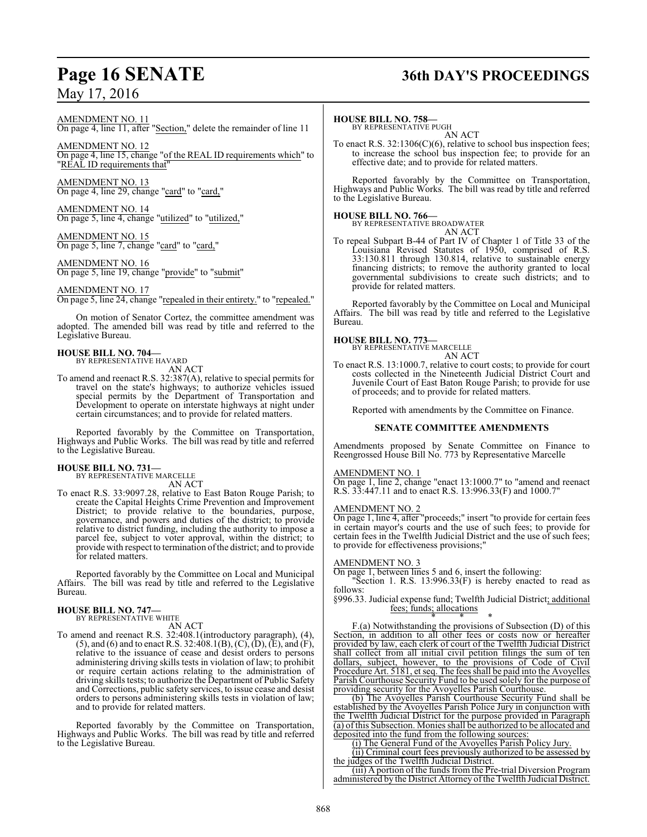# **Page 16 SENATE 36th DAY'S PROCEEDINGS**

AMENDMENT NO. 11

On page 4, line 11, after "Section," delete the remainder of line 11

AMENDMENT NO. 12 On page 4, line 15, change "of the REAL ID requirements which" to "REAL ID requirements that"

AMENDMENT NO. 13 On page 4, line 29, change "card" to "card,"

AMENDMENT NO. 14 On page 5, line 4, change "utilized" to "utilized,"

AMENDMENT NO. 15 On page 5, line 7, change "card" to "card,"

AMENDMENT NO. 16 On page 5, line 19, change "provide" to "submit"

#### AMENDMENT NO. 17

On page 5, line 24, change "repealed in their entirety." to "repealed."

On motion of Senator Cortez, the committee amendment was adopted. The amended bill was read by title and referred to the Legislative Bureau.

# **HOUSE BILL NO. 704—** BY REPRESENTATIVE HAVARD

AN ACT

To amend and reenact R.S. 32:387(A), relative to special permits for travel on the state's highways; to authorize vehicles issued special permits by the Department of Transportation and Development to operate on interstate highways at night under certain circumstances; and to provide for related matters.

Reported favorably by the Committee on Transportation, Highways and Public Works. The bill was read by title and referred to the Legislative Bureau.

#### **HOUSE BILL NO. 731—**

BY REPRESENTATIVE MARCELLE AN ACT

To enact R.S. 33:9097.28, relative to East Baton Rouge Parish; to create the Capital Heights Crime Prevention and Improvement District; to provide relative to the boundaries, purpose, governance, and powers and duties of the district; to provide relative to district funding, including the authority to impose a parcel fee, subject to voter approval, within the district; to provide with respect to termination ofthe district; and to provide for related matters.

Reported favorably by the Committee on Local and Municipal Affairs. The bill was read by title and referred to the Legislative Bureau.

#### **HOUSE BILL NO. 747—**

BY REPRESENTATIVE WHITE

AN ACT To amend and reenact R.S. 32:408.1(introductory paragraph), (4), (5), and (6) and to enact R.S. 32:408.1(B), (C), (D), (E), and (F), relative to the issuance of cease and desist orders to persons administering driving skills tests in violation of law; to prohibit or require certain actions relating to the administration of driving skills tests; to authorize the Department of Public Safety and Corrections, public safety services, to issue cease and desist orders to persons administering skills tests in violation of law; and to provide for related matters.

Reported favorably by the Committee on Transportation, Highways and Public Works. The bill was read by title and referred to the Legislative Bureau.

#### **HOUSE BILL NO. 758—**

BY REPRESENTATIVE PUGH AN ACT

To enact R.S. 32:1306(C)(6), relative to school bus inspection fees; to increase the school bus inspection fee; to provide for an effective date; and to provide for related matters.

Reported favorably by the Committee on Transportation, Highways and Public Works. The bill was read by title and referred to the Legislative Bureau.

**HOUSE BILL NO. 766—** BY REPRESENTATIVE BROADWATER

AN ACT

To repeal Subpart B-44 of Part IV of Chapter 1 of Title 33 of the Louisiana Revised Statutes of 1950, comprised of R.S. 33:130.811 through 130.814, relative to sustainable energy financing districts; to remove the authority granted to local governmental subdivisions to create such districts; and to provide for related matters.

Reported favorably by the Committee on Local and Municipal Affairs. The bill was read by title and referred to the Legislative Bureau.

#### **HOUSE BILL NO. 773—**

BY REPRESENTATIVE MARCELLE AN ACT

To enact R.S. 13:1000.7, relative to court costs; to provide for court costs collected in the Nineteenth Judicial District Court and Juvenile Court of East Baton Rouge Parish; to provide for use of proceeds; and to provide for related matters.

Reported with amendments by the Committee on Finance.

#### **SENATE COMMITTEE AMENDMENTS**

Amendments proposed by Senate Committee on Finance to Reengrossed House Bill No. 773 by Representative Marcelle

#### AMENDMENT NO. 1

On page 1, line 2, change "enact 13:1000.7" to "amend and reenact R.S. 33:447.11 and to enact R.S. 13:996.33(F) and 1000.7"

#### AMENDMENT NO. 2

On page 1, line 4, after "proceeds;" insert "to provide for certain fees in certain mayor's courts and the use of such fees; to provide for certain fees in the Twelfth Judicial District and the use of such fees; to provide for effectiveness provisions;"

#### AMENDMENT NO. 3

On page 1, between lines 5 and 6, insert the following:

"Section 1. R.S. 13:996.33(F) is hereby enacted to read as follows:

§996.33. Judicial expense fund; Twelfth Judicial District; additional fees; funds; allocations

\* \* \* F.(a) Notwithstanding the provisions of Subsection (D) of this Section, in addition to all other fees or costs now or hereafter provided by law, each clerk of court of the Twelfth Judicial District shall collect from all initial civil petition filings the sum of ten dollars, subject, however, to the provisions of Code of Civil Procedure Art. 5181, et seq. The fees shall be paid into the Avoyelles Parish Courthouse Security Fund to be used solely for the purpose of providing security for the Avoyelles Parish Courthouse.

(b) The Avoyelles Parish Courthouse Security Fund shall be established by the Avoyelles Parish Police Jury in conjunction with the Twelfth Judicial District for the purpose provided in Paragraph (a) of this Subsection. Monies shall be authorized to be allocated and deposited into the fund from the following sources:

(i) The General Fund of the Avoyelles Parish Policy Jury.

(ii) Criminal court fees previously authorized to be assessed by the judges of the Twelfth Judicial District.

(iii) A portion of the funds from the Pre-trial Diversion Program administered by the District Attorney of the Twelfth Judicial District.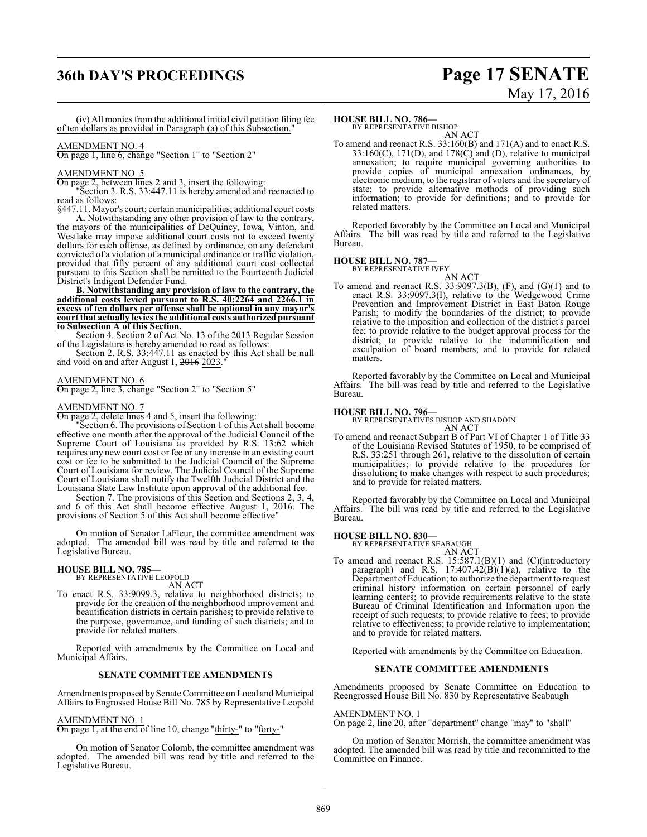# **36th DAY'S PROCEEDINGS Page 17 SENATE**

# May 17, 2016

(iv) All monies from the additional initial civil petition filing fee of ten dollars as provided in Paragraph (a) of this Subsection."

### AMENDMENT NO. 4

On page 1, line 6, change "Section 1" to "Section 2"

#### AMENDMENT NO. 5

On page 2, between lines 2 and 3, insert the following:

"Section 3. R.S. 33:447.11 is hereby amended and reenacted to read as follows:

§447.11. Mayor's court; certain municipalities; additional court costs

**A.** Notwithstanding any other provision of law to the contrary, the mayors of the municipalities of DeQuincy, Iowa, Vinton, and Westlake may impose additional court costs not to exceed twenty dollars for each offense, as defined by ordinance, on any defendant convicted of a violation of a municipal ordinance or traffic violation, provided that fifty percent of any additional court cost collected pursuant to this Section shall be remitted to the Fourteenth Judicial District's Indigent Defender Fund.

**B. Notwithstanding any provision of law to the contrary, the additional costs levied pursuant to R.S. 40:2264 and 2266.1 in excess of ten dollars per offense shall be optional in any mayor's court that actually levies the additional costs authorized pursuant to Subsection A of this Section.**

Section 4. Section 2 of Act No. 13 of the 2013 Regular Session of the Legislature is hereby amended to read as follows:

Section 2. R.S. 33:447.11 as enacted by this Act shall be null and void on and after August 1, 2016 2023.

#### AMENDMENT NO. 6

On page 2, line 3, change "Section 2" to "Section 5"

#### AMENDMENT NO. 7

On page 2, delete lines 4 and 5, insert the following:

"Section 6. The provisions of Section 1 of this Act shall become effective one month after the approval of the Judicial Council of the Supreme Court of Louisiana as provided by R.S. 13:62 which requires any new court cost or fee or any increase in an existing court cost or fee to be submitted to the Judicial Council of the Supreme Court of Louisiana for review. The Judicial Council of the Supreme Court of Louisiana shall notify the Twelfth Judicial District and the Louisiana State Law Institute upon approval of the additional fee.

Section 7. The provisions of this Section and Sections 2, 3, 4, and 6 of this Act shall become effective August 1, 2016. The provisions of Section 5 of this Act shall become effective"

On motion of Senator LaFleur, the committee amendment was adopted. The amended bill was read by title and referred to the Legislative Bureau.

#### **HOUSE BILL NO. 785—**

BY REPRESENTATIVE LEOPOLD AN ACT

To enact R.S. 33:9099.3, relative to neighborhood districts; to provide for the creation of the neighborhood improvement and beautification districts in certain parishes; to provide relative to the purpose, governance, and funding of such districts; and to provide for related matters.

Reported with amendments by the Committee on Local and Municipal Affairs.

#### **SENATE COMMITTEE AMENDMENTS**

Amendments proposed by Senate Committee on Local and Municipal Affairs to Engrossed House Bill No. 785 by Representative Leopold

#### AMENDMENT NO. 1

On page 1, at the end of line 10, change "thirty-" to "forty-"

On motion of Senator Colomb, the committee amendment was adopted. The amended bill was read by title and referred to the Legislative Bureau.

#### **HOUSE BILL NO. 786—**

BY REPRESENTATIVE BISHOP AN ACT

To amend and reenact R.S. 33:160(B) and 171(A) and to enact R.S.  $33:160(C)$ ,  $171(D)$ , and  $178(\tilde{C})$  and (D), relative to municipal annexation; to require municipal governing authorities to provide copies of municipal annexation ordinances, by electronic medium, to the registrar of voters and the secretary of state; to provide alternative methods of providing such information; to provide for definitions; and to provide for related matters.

Reported favorably by the Committee on Local and Municipal Affairs. The bill was read by title and referred to the Legislative Bureau.

#### **HOUSE BILL NO. 787—**

BY REPRESENTATIVE IVEY AN ACT

- 
- To amend and reenact R.S. 33:9097.3(B), (F), and (G)(1) and to enact R.S. 33:9097.3(I), relative to the Wedgewood Crime Prevention and Improvement District in East Baton Rouge Parish; to modify the boundaries of the district; to provide relative to the imposition and collection of the district's parcel fee; to provide relative to the budget approval process for the district; to provide relative to the indemnification and exculpation of board members; and to provide for related matters.

Reported favorably by the Committee on Local and Municipal Affairs. The bill was read by title and referred to the Legislative Bureau.

**HOUSE BILL NO. 796—** BY REPRESENTATIVES BISHOP AND SHADOIN

AN ACT To amend and reenact Subpart B of Part VI of Chapter 1 of Title 33 of the Louisiana Revised Statutes of 1950, to be comprised of R.S. 33:251 through 261, relative to the dissolution of certain municipalities; to provide relative to the procedures for dissolution; to make changes with respect to such procedures; and to provide for related matters.

Reported favorably by the Committee on Local and Municipal Affairs. The bill was read by title and referred to the Legislative Bureau.

#### **HOUSE BILL NO. 830—**

BY REPRESENTATIVE SEABAUGH AN ACT

To amend and reenact R.S. 15:587.1(B)(1) and (C)(introductory paragraph) and R.S.  $17:407.42(B)(1)(a)$ , relative to the Department ofEducation; to authorize the department to request criminal history information on certain personnel of early learning centers; to provide requirements relative to the state Bureau of Criminal Identification and Information upon the receipt of such requests; to provide relative to fees; to provide relative to effectiveness; to provide relative to implementation; and to provide for related matters.

Reported with amendments by the Committee on Education.

#### **SENATE COMMITTEE AMENDMENTS**

Amendments proposed by Senate Committee on Education to Reengrossed House Bill No. 830 by Representative Seabaugh

#### AMENDMENT NO. 1

On page 2, line 20, after "department" change "may" to "shall"

On motion of Senator Morrish, the committee amendment was adopted. The amended bill was read by title and recommitted to the Committee on Finance.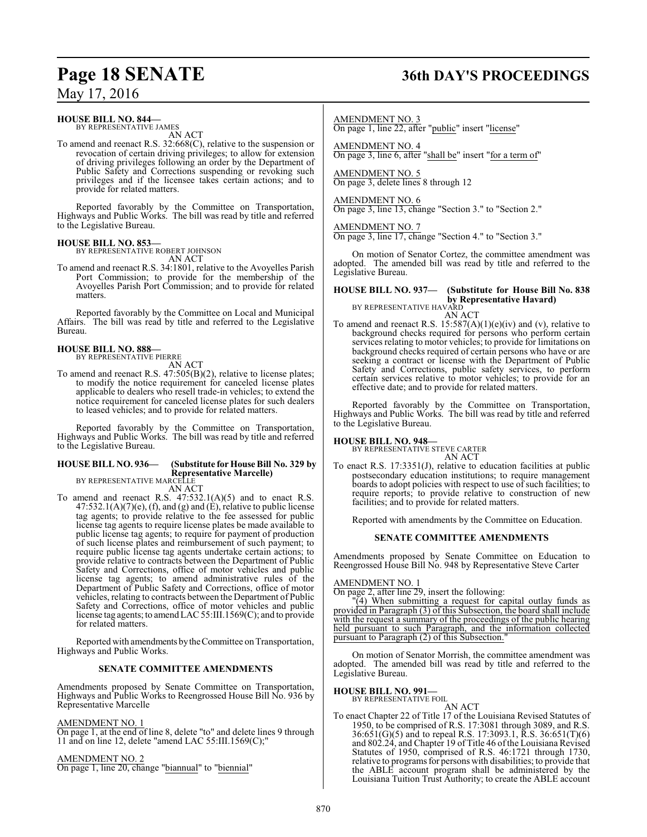# **Page 18 SENATE 36th DAY'S PROCEEDINGS**

May 17, 2016

#### **HOUSE BILL NO. 844—**

BY REPRESENTATIVE JAMES AN ACT

To amend and reenact R.S. 32:668(C), relative to the suspension or revocation of certain driving privileges; to allow for extension of driving privileges following an order by the Department of Public Safety and Corrections suspending or revoking such privileges and if the licensee takes certain actions; and to provide for related matters.

Reported favorably by the Committee on Transportation, Highways and Public Works. The bill was read by title and referred to the Legislative Bureau.

#### **HOUSE BILL NO. 853—**

BY REPRESENTATIVE ROBERT JOHNSON AN ACT

To amend and reenact R.S. 34:1801, relative to the Avoyelles Parish Port Commission; to provide for the membership of the Avoyelles Parish Port Commission; and to provide for related matters.

Reported favorably by the Committee on Local and Municipal Affairs. The bill was read by title and referred to the Legislative Bureau.

#### **HOUSE BILL NO. 888—** BY REPRESENTATIVE PIERRE

AN ACT

To amend and reenact R.S. 47:505(B)(2), relative to license plates; to modify the notice requirement for canceled license plates applicable to dealers who resell trade-in vehicles; to extend the notice requirement for canceled license plates for such dealers to leased vehicles; and to provide for related matters.

Reported favorably by the Committee on Transportation, Highways and Public Works. The bill was read by title and referred to the Legislative Bureau.

## **HOUSE BILL NO. 936— (Substitute for House Bill No. 329 by Representative Marcelle)** BY REPRESENTATIVE MARCELLE

AN ACT

To amend and reenact R.S.  $47:532.1(A)(5)$  and to enact R.S.  $47:532.1(A)(7)(e)$ , (f), and (g) and (E), relative to public license tag agents; to provide relative to the fee assessed for public license tag agents to require license plates be made available to public license tag agents; to require for payment of production of such license plates and reimbursement of such payment; to require public license tag agents undertake certain actions; to provide relative to contracts between the Department of Public Safety and Corrections, office of motor vehicles and public license tag agents; to amend administrative rules of the Department of Public Safety and Corrections, office of motor vehicles, relating to contracts between the Department of Public Safety and Corrections, office of motor vehicles and public license tag agents; to amendLAC 55:III.1569(C); and to provide for related matters.

Reported with amendments bytheCommittee on Transportation, Highways and Public Works.

#### **SENATE COMMITTEE AMENDMENTS**

Amendments proposed by Senate Committee on Transportation, Highways and Public Works to Reengrossed House Bill No. 936 by Representative Marcelle

#### AMENDMENT NO. 1

On page 1, at the end of line 8, delete "to" and delete lines 9 through 11 and on line 12, delete "amend LAC 55:III.1569(C);"

#### AMENDMENT NO. 2

On page 1, line 20, change "biannual" to "biennial"

AMENDMENT NO. 3

On page 1, line 22, after "public" insert "license"

AMENDMENT NO. 4 On page 3, line 6, after "shall be" insert "for a term of"

AMENDMENT NO. 5 On page 3, delete lines 8 through 12

#### AMENDMENT NO. 6

On page 3, line 13, change "Section 3." to "Section 2."

AMENDMENT NO. 7 On page 3, line 17, change "Section 4." to "Section 3."

On motion of Senator Cortez, the committee amendment was adopted. The amended bill was read by title and referred to the Legislative Bureau.

#### **HOUSE BILL NO. 937— (Substitute for House Bill No. 838 by Representative Havard)** BY REPRESENTATIVE HAVARD

AN ACT

To amend and reenact R.S.  $15:587(A)(1)(e)(iv)$  and (v), relative to background checks required for persons who perform certain services relating to motor vehicles; to provide for limitations on background checks required of certain persons who have or are seeking a contract or license with the Department of Public Safety and Corrections, public safety services, to perform certain services relative to motor vehicles; to provide for an effective date; and to provide for related matters.

Reported favorably by the Committee on Transportation, Highways and Public Works. The bill was read by title and referred to the Legislative Bureau.

**HOUSE BILL NO. 948—** BY REPRESENTATIVE STEVE CARTER AN ACT

To enact R.S. 17:3351(J), relative to education facilities at public postsecondary education institutions; to require management boards to adopt policies with respect to use of such facilities; to require reports; to provide relative to construction of new facilities; and to provide for related matters.

Reported with amendments by the Committee on Education.

#### **SENATE COMMITTEE AMENDMENTS**

Amendments proposed by Senate Committee on Education to Reengrossed House Bill No. 948 by Representative Steve Carter

#### AMENDMENT NO. 1

On page 2, after line 29, insert the following:

"(4) When submitting a request for capital outlay funds as provided in Paragraph (3) of this Subsection, the board shall include with the request a summary of the proceedings of the public hearing held pursuant to such Paragraph, and the information collected pursuant to Paragraph (2) of this Subsection."

On motion of Senator Morrish, the committee amendment was adopted. The amended bill was read by title and referred to the Legislative Bureau.

#### **HOUSE BILL NO. 991—**

BY REPRESENTATIVE FOIL

AN ACT To enact Chapter 22 of Title 17 of the Louisiana Revised Statutes of 1950, to be comprised of R.S. 17:3081 through 3089, and R.S. 36:651(G)(5) and to repeal R.S. 17:3093.1, R.S. 36:651(T)(6) and 802.24, and Chapter 19 of Title 46 ofthe Louisiana Revised Statutes of 1950, comprised of R.S. 46:1721 through 1730, relative to programs for persons with disabilities; to provide that the ABLE account program shall be administered by the Louisiana Tuition Trust Authority; to create the ABLE account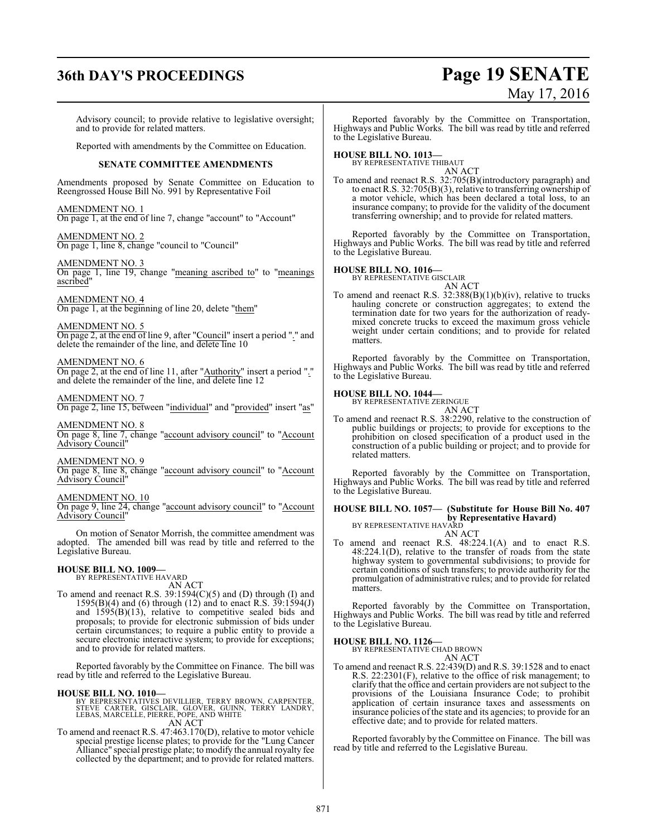# **36th DAY'S PROCEEDINGS Page 19 SENATE**

# May 17, 2016

Advisory council; to provide relative to legislative oversight; and to provide for related matters.

Reported with amendments by the Committee on Education.

#### **SENATE COMMITTEE AMENDMENTS**

Amendments proposed by Senate Committee on Education to Reengrossed House Bill No. 991 by Representative Foil

AMENDMENT NO. 1 On page 1, at the end of line 7, change "account" to "Account"

AMENDMENT NO. 2 On page 1, line 8, change "council to "Council"

AMENDMENT NO. 3 On page 1, line 19, change "meaning ascribed to" to "meanings ascribed"

AMENDMENT NO. 4 On page 1, at the beginning of line 20, delete "them"

AMENDMENT NO. 5 On page 2, at the end of line 9, after "Council" insert a period "." and delete the remainder of the line, and delete line 10

AMENDMENT NO. 6

On page 2, at the end of line 11, after "Authority" insert a period "." and delete the remainder of the line, and delete line 12

#### AMENDMENT NO. 7

On page 2, line 15, between "individual" and "provided" insert "as"

AMENDMENT NO. 8 On page 8, line 7, change "account advisory council" to "Account Advisory Council"

AMENDMENT NO. 9

On page 8, line 8, change "account advisory council" to "Account Advisory Council"

#### AMENDMENT NO. 10

On page 9, line 24, change "account advisory council" to "Account Advisory Council"

On motion of Senator Morrish, the committee amendment was adopted. The amended bill was read by title and referred to the Legislative Bureau.

#### **HOUSE BILL NO. 1009—**

BY REPRESENTATIVE HAVARD AN ACT

To amend and reenact R.S. 39:1594(C)(5) and (D) through (I) and 1595(B)(4) and (6) through (12) and to enact R.S. 39:1594(J) and 1595(B)(13), relative to competitive sealed bids and proposals; to provide for electronic submission of bids under certain circumstances; to require a public entity to provide a secure electronic interactive system; to provide for exceptions; and to provide for related matters.

Reported favorably by the Committee on Finance. The bill was read by title and referred to the Legislative Bureau.

#### **HOUSE BILL NO. 1010—**

BY REPRESENTATIVES DEVILLIER, TERRY BROWN, CARPENTER,<br>STEVE CARTER, GISCLAIR, GLOVER, GUINN, TERRY LANDRY,<br>LEBAS, MARCELLE, PIERRE, POPE, AND WHITE<br>AN ACT

To amend and reenact R.S. 47:463.170(D), relative to motor vehicle special prestige license plates; to provide for the "Lung Cancer Alliance" special prestige plate; to modify the annual royalty fee collected by the department; and to provide for related matters.

Reported favorably by the Committee on Transportation, Highways and Public Works. The bill was read by title and referred to the Legislative Bureau.

#### **HOUSE BILL NO. 1013—**

BY REPRESENTATIVE THIBAUT

AN ACT To amend and reenact R.S. 32:705(B)(introductory paragraph) and to enact R.S. 32:705(B)(3), relative to transferring ownership of a motor vehicle, which has been declared a total loss, to an insurance company; to provide for the validity of the document transferring ownership; and to provide for related matters.

Reported favorably by the Committee on Transportation, Highways and Public Works. The bill was read by title and referred to the Legislative Bureau.

#### **HOUSE BILL NO. 1016—**

BY REPRESENTATIVE GISCLAIR

AN ACT To amend and reenact R.S. 32:388(B)(1)(b)(iv), relative to trucks hauling concrete or construction aggregates; to extend the termination date for two years for the authorization of readymixed concrete trucks to exceed the maximum gross vehicle weight under certain conditions; and to provide for related matters.

Reported favorably by the Committee on Transportation, Highways and Public Works. The bill was read by title and referred to the Legislative Bureau.

#### **HOUSE BILL NO. 1044—**

BY REPRESENTATIVE ZERINGUE AN ACT

To amend and reenact R.S. 38:2290, relative to the construction of public buildings or projects; to provide for exceptions to the prohibition on closed specification of a product used in the construction of a public building or project; and to provide for related matters.

Reported favorably by the Committee on Transportation, Highways and Public Works. The bill was read by title and referred to the Legislative Bureau.

## **HOUSE BILL NO. 1057— (Substitute for House Bill No. 407 by Representative Havard)**

BY REPRESENTATIVE HAVARD AN ACT To amend and reenact R.S. 48:224.1(A) and to enact R.S. 48:224.1(D), relative to the transfer of roads from the state highway system to governmental subdivisions; to provide for certain conditions of such transfers; to provide authority for the promulgation of administrative rules; and to provide for related matters.

Reported favorably by the Committee on Transportation, Highways and Public Works. The bill was read by title and referred to the Legislative Bureau.

#### **HOUSE BILL NO. 1126—**

BY REPRESENTATIVE CHAD BROWN AN ACT

To amend and reenact R.S. 22:439(D) and R.S. 39:1528 and to enact R.S. 22:2301(F), relative to the office of risk management; to clarify that the office and certain providers are not subject to the provisions of the Louisiana Insurance Code; to prohibit application of certain insurance taxes and assessments on insurance policies of the state and its agencies; to provide for an effective date; and to provide for related matters.

Reported favorably by the Committee on Finance. The bill was read by title and referred to the Legislative Bureau.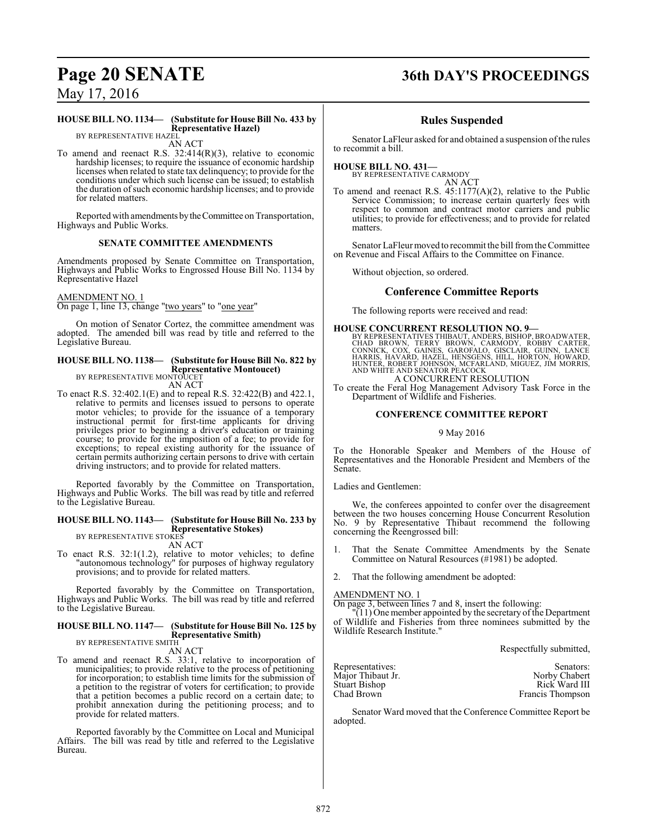# **Page 20 SENATE 36th DAY'S PROCEEDINGS**

May 17, 2016

#### **HOUSE BILL NO. 1134— (Substitute for House Bill No. 433 by Representative Hazel)** BY REPRESENTATIVE HAZEL

AN ACT

To amend and reenact R.S. 32:414(R)(3), relative to economic hardship licenses; to require the issuance of economic hardship licenses when related to state tax delinquency; to provide for the conditions under which such license can be issued; to establish the duration of such economic hardship licenses; and to provide for related matters.

Reported with amendments bytheCommittee on Transportation, Highways and Public Works.

#### **SENATE COMMITTEE AMENDMENTS**

Amendments proposed by Senate Committee on Transportation, Highways and Public Works to Engrossed House Bill No. 1134 by Representative Hazel

#### AMENDMENT NO. 1

On page 1, line 13, change "two years" to "one year"

On motion of Senator Cortez, the committee amendment was adopted. The amended bill was read by title and referred to the Legislative Bureau.

## **HOUSE BILL NO. 1138— (Substitute for House Bill No. 822 by Representative Montoucet)** BY REPRESENTATIVE MONTOUCET

AN ACT

To enact R.S. 32:402.1(E) and to repeal R.S. 32:422(B) and 422.1, relative to permits and licenses issued to persons to operate motor vehicles; to provide for the issuance of a temporary instructional permit for first-time applicants for driving privileges prior to beginning a driver's education or training course; to provide for the imposition of a fee; to provide for exceptions; to repeal existing authority for the issuance of certain permits authorizing certain persons to drive with certain driving instructors; and to provide for related matters.

Reported favorably by the Committee on Transportation, Highways and Public Works. The bill was read by title and referred to the Legislative Bureau.

#### **HOUSE BILL NO. 1143— (Substitute for House Bill No. 233 by Representative Stokes)** BY REPRESENTATIVE STOKES

## AN ACT

To enact R.S. 32:1(1.2), relative to motor vehicles; to define "autonomous technology" for purposes of highway regulatory provisions; and to provide for related matters.

Reported favorably by the Committee on Transportation, Highways and Public Works. The bill was read by title and referred to the Legislative Bureau.

#### **HOUSE BILL NO. 1147— (Substitute for House Bill No. 125 by Representative Smith)** BY REPRESENTATIVE SMITH

AN ACT

To amend and reenact R.S. 33:1, relative to incorporation of municipalities; to provide relative to the process of petitioning for incorporation; to establish time limits for the submission of a petition to the registrar of voters for certification; to provide that a petition becomes a public record on a certain date; to prohibit annexation during the petitioning process; and to provide for related matters.

Reported favorably by the Committee on Local and Municipal Affairs. The bill was read by title and referred to the Legislative Bureau.

#### **Rules Suspended**

Senator LaFleur asked for and obtained a suspension ofthe rules to recommit a bill.

#### **HOUSE BILL NO. 431—** BY REPRESENTATIVE CARMODY

AN ACT

To amend and reenact R.S. 45:1177(A)(2), relative to the Public Service Commission; to increase certain quarterly fees with respect to common and contract motor carriers and public utilities; to provide for effectiveness; and to provide for related matters.

Senator LaFleur moved to recommit the bill fromthe Committee on Revenue and Fiscal Affairs to the Committee on Finance.

Without objection, so ordered.

#### **Conference Committee Reports**

The following reports were received and read:

#### **HOUSE CONCURRENT RESOLUTION NO. 9—**

BY REPRESENTATIVES THIBAUT, ANDERS, BISHOP, BROADWATER,<br>CHAD BROWN, TERRY BROWN, CARMODY, ROBBY CARTER,<br>CONNICK, COX, GAINES, GAROFALO, GISCLAIR, GUINN, LANCE<br>HARRIS, HAVARD, HAZEL, HENSGENS, HILL, HORTON, HOWARD,<br>HUNTER, A CONCURRENT RESOLUTION

To create the Feral Hog Management Advisory Task Force in the Department of Wildlife and Fisheries.

#### **CONFERENCE COMMITTEE REPORT**

#### 9 May 2016

To the Honorable Speaker and Members of the House of Representatives and the Honorable President and Members of the Senate.

Ladies and Gentlemen:

We, the conferees appointed to confer over the disagreement between the two houses concerning House Concurrent Resolution No. 9 by Representative Thibaut recommend the following concerning the Reengrossed bill:

- 1. That the Senate Committee Amendments by the Senate Committee on Natural Resources (#1981) be adopted.
- That the following amendment be adopted:

AMENDMENT NO. 1

On page 3, between lines 7 and 8, insert the following:

 $\sqrt{11}$ ) One member appointed by the secretary of the Department of Wildlife and Fisheries from three nominees submitted by the Wildlife Research Institute."

Respectfully submitted,

| Representatives:     | Senators:        |
|----------------------|------------------|
| Major Thibaut Jr.    | Norby Chabert    |
| <b>Stuart Bishop</b> | Rick Ward III    |
| Chad Brown           | Francis Thompson |

Senator Ward moved that the Conference Committee Report be adopted.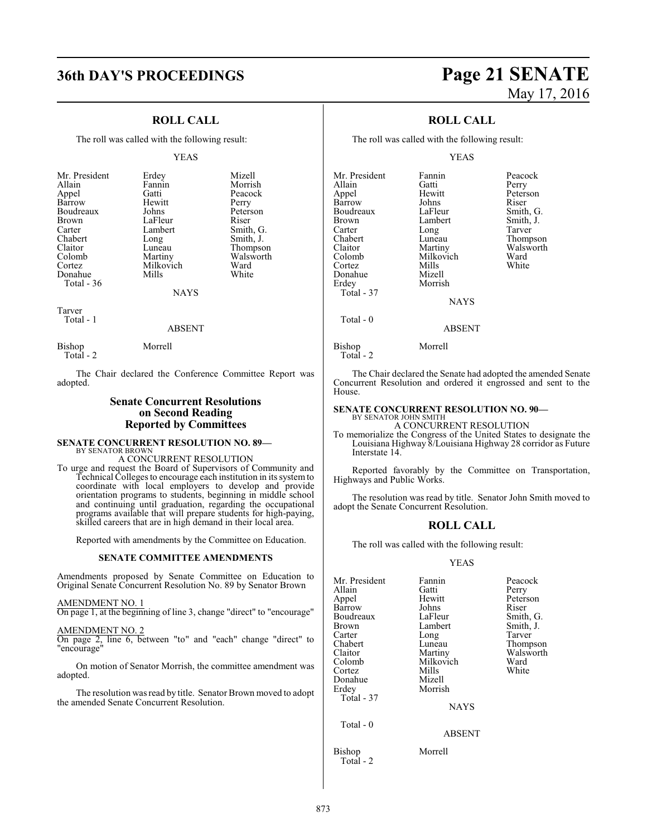# **36th DAY'S PROCEEDINGS Page 21 SENATE**

### **ROLL CALL**

The roll was called with the following result:

#### YEAS

| Mr. President | Erdey     | Mizell    |
|---------------|-----------|-----------|
|               |           |           |
| Allain        | Fannin    | Morrish   |
| Appel         | Gatti     | Peacock   |
| Barrow        | Hewitt    | Perry     |
| Boudreaux     | Johns     | Peterson  |
| Brown         | LaFleur   | Riser     |
| Carter        | Lambert   | Smith, G. |
| Chabert       | Long      | Smith, J. |
| Claitor       | Luneau    | Thompson  |
| Colomb        | Martiny   | Walsworth |
| Cortez        | Milkovich | Ward      |
| Donahue       | Mills     | White     |
| Total - 36    |           |           |
|               | NAYS      |           |

Tarver

Total - 1

#### ABSENT

Bishop Morrell Total - 2

The Chair declared the Conference Committee Report was adopted.

#### **Senate Concurrent Resolutions on Second Reading Reported by Committees**

#### **SENATE CONCURRENT RESOLUTION NO. 89—** BY SENATOR BROWN

A CONCURRENT RESOLUTION

To urge and request the Board of Supervisors of Community and Technical Colleges to encourage each institution in its systemto coordinate with local employers to develop and provide orientation programs to students, beginning in middle school and continuing until graduation, regarding the occupational programs available that will prepare students for high-paying, skilled careers that are in high demand in their local area.

Reported with amendments by the Committee on Education.

#### **SENATE COMMITTEE AMENDMENTS**

Amendments proposed by Senate Committee on Education to Original Senate Concurrent Resolution No. 89 by Senator Brown

#### AMENDMENT NO. 1

On page 1, at the beginning of line 3, change "direct" to "encourage"

#### AMENDMENT NO. 2

On page 2, line 6, between "to" and "each" change "direct" to "encourage"

On motion of Senator Morrish, the committee amendment was adopted.

The resolution was read by title. Senator Brown moved to adopt the amended Senate Concurrent Resolution.

# May 17, 2016

### **ROLL CALL**

The roll was called with the following result:

#### YEAS

Mr. President Fannin Peacock<br>Allain Catti Perry Allain Gatti Perry Barrow Johns Riser<br>Boudreaux LaFleur Smith, G. Boudreaux LaFleur Smith, G.<br>Brown Lambert Smith, J. Brown Lambert Smith,<br>
Carter Long Tarver Carter Long<br>Chabert Luneau Chabert Luneau Thompson Claitor Martiny Walsworth Colomb Milkovich Ward<br>Cortez Mills White Cortez Mills White Donahue Mizell Total - 37 Total - 0

Hewitt Peterson<br>
Johns Riser

Morrish **NAYS** 

#### ABSENT

Bishop Morrell Total - 2

The Chair declared the Senate had adopted the amended Senate Concurrent Resolution and ordered it engrossed and sent to the House.

### **SENATE CONCURRENT RESOLUTION NO. 90—**

BY SENATOR JOHN SMITH A CONCURRENT RESOLUTION

To memorialize the Congress of the United States to designate the Louisiana Highway 8/Louisiana Highway 28 corridor as Future Interstate 14.

Reported favorably by the Committee on Transportation, Highways and Public Works.

The resolution was read by title. Senator John Smith moved to adopt the Senate Concurrent Resolution.

#### **ROLL CALL**

The roll was called with the following result:

#### YEAS

| Mr. President<br>Allain<br>Appel<br>Barrow<br>Boudreaux<br><b>Brown</b><br>Carter<br>Chabert<br>Claitor<br>Colomb<br>Cortez<br>Donahue<br>Erdey<br>Total - 37 | Fannin<br>Gatti<br>Hewitt<br>Johns<br>LaFleur<br>Lambert<br>Long<br>Luneau<br>Martiny<br>Milkovich<br>Mills<br>Mizell<br>Morrish<br><b>NAYS</b> | Peacock<br>Perry<br>Peterson<br>Riser<br>Smith, G.<br>Smith, J.<br>Tarver<br>Thompson<br>Walsworth<br>Ward<br>White |
|---------------------------------------------------------------------------------------------------------------------------------------------------------------|-------------------------------------------------------------------------------------------------------------------------------------------------|---------------------------------------------------------------------------------------------------------------------|
| Total - 0                                                                                                                                                     | <b>ABSENT</b>                                                                                                                                   |                                                                                                                     |
| Bishop                                                                                                                                                        | Morrell                                                                                                                                         |                                                                                                                     |

Total - 2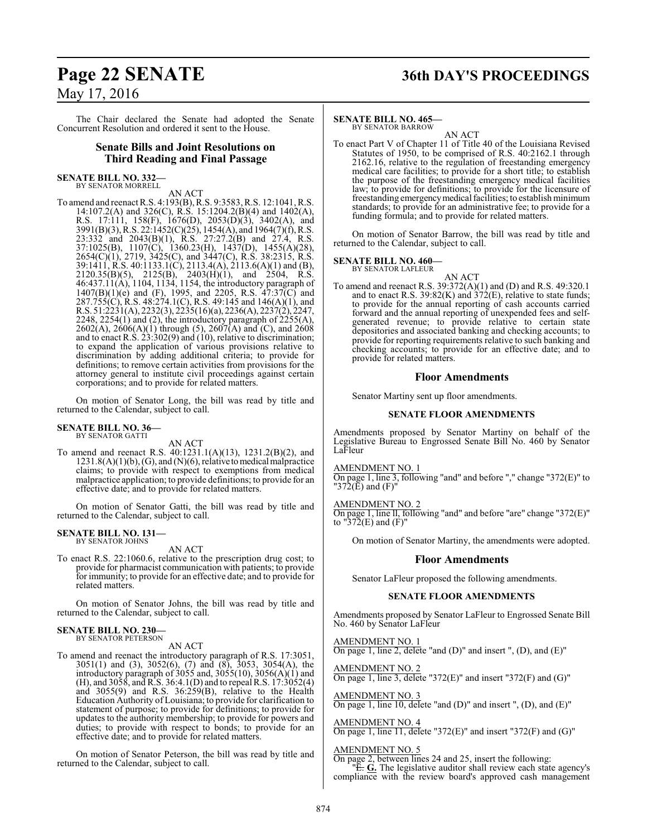# **Page 22 SENATE 36th DAY'S PROCEEDINGS** May 17, 2016

The Chair declared the Senate had adopted the Senate Concurrent Resolution and ordered it sent to the House.

#### **Senate Bills and Joint Resolutions on Third Reading and Final Passage**

#### **SENATE BILL NO. 332—** BY SENATOR MORRELL

AN ACT

To amend and reenact R.S. 4:193(B), R.S. 9:3583, R.S. 12:1041, R.S. 14:107.2(A) and 326(C), R.S. 15:1204.2(B)(4) and 1402(A), R.S. 17:111, 158(F), 1676(D), 2053(D)(3), 3402(A), and 3991(B)(3), R.S. 22:1452(C)(25), 1454(A), and 1964(7)(f), R.S. 23:332 and 2043(B)(1), R.S. 27:27.2(B) and 27.4, R.S. 37:1025(B), 1107(C), 1360.23(H), 1437(D), 1455(A)(28), 2654(C)(1), 2719, 3425(C), and 3447(C), R.S. 38:2315, R.S. 39:1411, R.S. 40:1133.1(C), 2113.4(A), 2113.6(A)(1) and (B),  $2120.35(B)(5)$ ,  $2125(B)$ ,  $2403(H)(1)$ , and  $2504$ , R.S. 46:437.11(A), 1104, 1134, 1154, the introductory paragraph of  $1407(B)(1)(e)$  and (F), 1995, and 2205, R.S. 47:37(C) and 287.755(C), R.S. 48:274.1(C), R.S. 49:145 and 146(A)(1), and R.S. 51:2231(A), 2232(3), 2235(16)(a), 2236(A), 2237(2), 2247, 2248, 2254 $(1)$  and  $(2)$ , the introductory paragraph of  $2255(A)$ , 2602(A), 2606(A)(1) through (5), 2607(A) and (C), and 2608 and to enact R.S. 23:302(9) and (10), relative to discrimination; to expand the application of various provisions relative to discrimination by adding additional criteria; to provide for definitions; to remove certain activities from provisions for the attorney general to institute civil proceedings against certain corporations; and to provide for related matters.

On motion of Senator Long, the bill was read by title and returned to the Calendar, subject to call.

#### **SENATE BILL NO. 36—** BY SENATOR GATTI

AN ACT

To amend and reenact R.S. 40:1231.1(A)(13), 1231.2(B)(2), and  $1231.8(A)(1)(b)$ , (G), and (N)(6), relative to medical malpractice claims; to provide with respect to exemptions from medical malpractice application; to provide definitions; to provide for an effective date; and to provide for related matters.

On motion of Senator Gatti, the bill was read by title and returned to the Calendar, subject to call.

#### **SENATE BILL NO. 131—** BY SENATOR JOHNS

AN ACT

To enact R.S. 22:1060.6, relative to the prescription drug cost; to provide for pharmacist communication with patients; to provide for immunity; to provide for an effective date; and to provide for related matters.

On motion of Senator Johns, the bill was read by title and returned to the Calendar, subject to call.

#### **SENATE BILL NO. 230—** BY SENATOR PETERSON

AN ACT

To amend and reenact the introductory paragraph of R.S. 17:3051, 3051(1) and (3), 3052(6), (7) and (8), 3053, 3054(A), the introductory paragraph of 3055 and, 3055(10), 3056(A)(1) and (H), and 3058, and R.S. 36:4.1(D) and to repeal R.S. 17:3052(4) and 3055(9) and R.S. 36:259(B), relative to the Health Education Authority of Louisiana; to provide for clarification to statement of purpose; to provide for definitions; to provide for updates to the authority membership; to provide for powers and duties; to provide with respect to bonds; to provide for an effective date; and to provide for related matters.

On motion of Senator Peterson, the bill was read by title and returned to the Calendar, subject to call.

### **SENATE BILL NO. 465—**

BY SENATOR BARROW AN ACT

To enact Part V of Chapter 11 of Title 40 of the Louisiana Revised Statutes of 1950, to be comprised of R.S. 40:2162.1 through 2162.16, relative to the regulation of freestanding emergency medical care facilities; to provide for a short title; to establish the purpose of the freestanding emergency medical facilities law; to provide for definitions; to provide for the licensure of freestanding emergency medical facilities; to establish minimum standards; to provide for an administrative fee; to provide for a funding formula; and to provide for related matters.

On motion of Senator Barrow, the bill was read by title and returned to the Calendar, subject to call.

#### **SENATE BILL NO. 460—**

BY SENATOR LAFLEUR

- AN ACT
- To amend and reenact R.S. 39:372(A)(1) and (D) and R.S. 49:320.1 and to enact R.S. 39:82(K) and 372(E), relative to state funds; to provide for the annual reporting of cash accounts carried forward and the annual reporting of unexpended fees and selfgenerated revenue; to provide relative to certain state depositories and associated banking and checking accounts; to provide for reporting requirements relative to such banking and checking accounts; to provide for an effective date; and to provide for related matters.

#### **Floor Amendments**

Senator Martiny sent up floor amendments.

#### **SENATE FLOOR AMENDMENTS**

Amendments proposed by Senator Martiny on behalf of the Legislative Bureau to Engrossed Senate Bill No. 460 by Senator LaFleur

AMENDMENT NO. 1

On page 1, line 3, following "and" and before "," change "372(E)" to "372 $(\bar{E})$  and  $(F)$ "

AMENDMENT NO. 2

On page 1, line ll, following "and" and before "are" change "372(E)" to "372(E) and (F)"

On motion of Senator Martiny, the amendments were adopted.

#### **Floor Amendments**

Senator LaFleur proposed the following amendments.

#### **SENATE FLOOR AMENDMENTS**

Amendments proposed by Senator LaFleur to Engrossed Senate Bill No. 460 by Senator LaFleur

AMENDMENT NO. 1 On page 1, line 2, delete "and (D)" and insert ", (D), and (E)"

AMENDMENT NO. 2 On page 1, line 3, delete "372 $(E)$ " and insert "372 $(F)$  and  $(G)$ "

AMENDMENT NO. 3 On page 1, line 10, delete "and (D)" and insert ", (D), and (E)"

AMENDMENT NO. 4 On page 1, line 11, delete "372(E)" and insert "372(F) and (G)"

AMENDMENT NO. 5

On page 2, between lines 24 and 25, insert the following:

"E. **G.** The legislative auditor shall review each state agency's compliance with the review board's approved cash management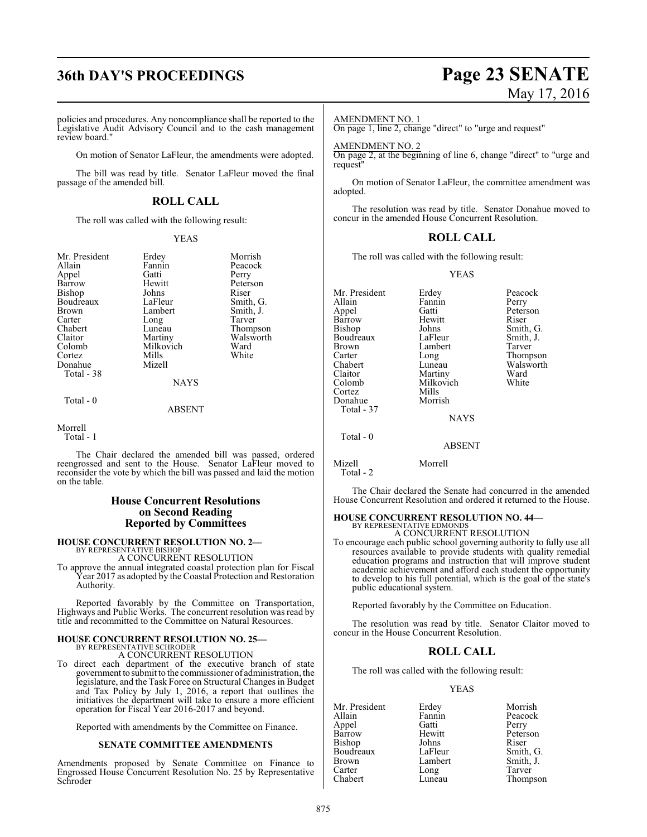# **36th DAY'S PROCEEDINGS Page 23 SENATE**

policies and procedures. Any noncompliance shall be reported to the Legislative Audit Advisory Council and to the cash management review board."

On motion of Senator LaFleur, the amendments were adopted.

The bill was read by title. Senator LaFleur moved the final passage of the amended bill.

#### **ROLL CALL**

The roll was called with the following result:

#### YEAS

Appel Gatti<br>Barrow Hewitt Boudreaux LaFleur<br>Brown Lambert Cortez Mills<br>Donahue Mizell Donahue Total - 38

Mr. President Erdey Morrish<br>Allain Fannin Peacock Fannin Peacock<br>Gatti Perry Hewitt Peterson<br>Johns Riser Bishop Johns Riser<br>Boudreaux LaFleur Smith, G. Brown Lambert Smith, J.<br>
Carter Long Tarver Carter Long Tarver<br>
Chabert Luneau Thomp Chabert Luneau Thompson<br>Claitor Martiny Walsworth Claitor Martiny Walsworth<br>Colomb Milkovich Ward Milkovich Ward<br>
Mills White

NAYS

#### Total - 0

#### ABSENT

Morrell Total - 1

The Chair declared the amended bill was passed, ordered reengrossed and sent to the House. Senator LaFleur moved to reconsider the vote by which the bill was passed and laid the motion on the table.

#### **House Concurrent Resolutions on Second Reading Reported by Committees**

# **HOUSE CONCURRENT RESOLUTION NO. 2—** BY REPRESENTATIVE BISHOP

A CONCURRENT RESOLUTION

To approve the annual integrated coastal protection plan for Fiscal Year 2017 as adopted by the Coastal Protection and Restoration Authority.

Reported favorably by the Committee on Transportation, Highways and Public Works. The concurrent resolution was read by title and recommitted to the Committee on Natural Resources.

#### **HOUSE CONCURRENT RESOLUTION NO. 25—** BY REPRESENTATIVE SCHRODER A CONCURRENT RESOLUTION

To direct each department of the executive branch of state government to submit to the commissioner of administration, the legislature, and the Task Force on Structural Changes in Budget and Tax Policy by July 1, 2016, a report that outlines the initiatives the department will take to ensure a more efficient operation for Fiscal Year 2016-2017 and beyond.

Reported with amendments by the Committee on Finance.

#### **SENATE COMMITTEE AMENDMENTS**

Amendments proposed by Senate Committee on Finance to Engrossed House Concurrent Resolution No. 25 by Representative Schroder

# May 17, 2016

#### AMENDMENT NO. 1

On page 1, line 2, change "direct" to "urge and request"

#### AMENDMENT NO. 2

On page 2, at the beginning of line 6, change "direct" to "urge and request

On motion of Senator LaFleur, the committee amendment was adopted.

The resolution was read by title. Senator Donahue moved to concur in the amended House Concurrent Resolution.

#### **ROLL CALL**

The roll was called with the following result:

YEAS

| Mr. President | Erdey         | Peacock   |
|---------------|---------------|-----------|
| Allain        | Fannin        | Perry     |
| Appel         | Gatti         | Peterson  |
| Barrow        | Hewitt        | Riser     |
| Bishop        | Johns         | Smith, G. |
| Boudreaux     | LaFleur       | Smith, J. |
| Brown         | Lambert       | Tarver    |
| Carter        | Long          | Thompson  |
| Chabert       | Luneau        | Walsworth |
| Claitor       | Martiny       | Ward      |
| Colomb        | Milkovich     | White     |
| Cortez        | Mills         |           |
| Donahue       | Morrish       |           |
| Total - 37    |               |           |
|               | <b>NAYS</b>   |           |
| Total - 0     |               |           |
|               | <b>ABSENT</b> |           |
| Mizell        | Morrell       |           |

Total - 2

The Chair declared the Senate had concurred in the amended House Concurrent Resolution and ordered it returned to the House.

#### **HOUSE CONCURRENT RESOLUTION NO. 44—** BY REPRESENTATIVE EDMONDS

A CONCURRENT RESOLUTION

To encourage each public school governing authority to fully use all resources available to provide students with quality remedial education programs and instruction that will improve student academic achievement and afford each student the opportunity to develop to his full potential, which is the goal of the state's public educational system.

Reported favorably by the Committee on Education.

The resolution was read by title. Senator Claitor moved to concur in the House Concurrent Resolution.

#### **ROLL CALL**

The roll was called with the following result:

#### YEAS

| Mr. President | Erdey   | Morrish   |
|---------------|---------|-----------|
| Allain        | Fannin  | Peacock   |
| Appel         | Gatti   | Perry     |
| Barrow        | Hewitt  | Peterson  |
| Bishop        | Johns   | Riser     |
| Boudreaux     | LaFleur | Smith, G. |
| Brown         | Lambert | Smith, J. |
| Carter        | Long    | Tarver    |
| Chabert       | Luneau  | Thompson  |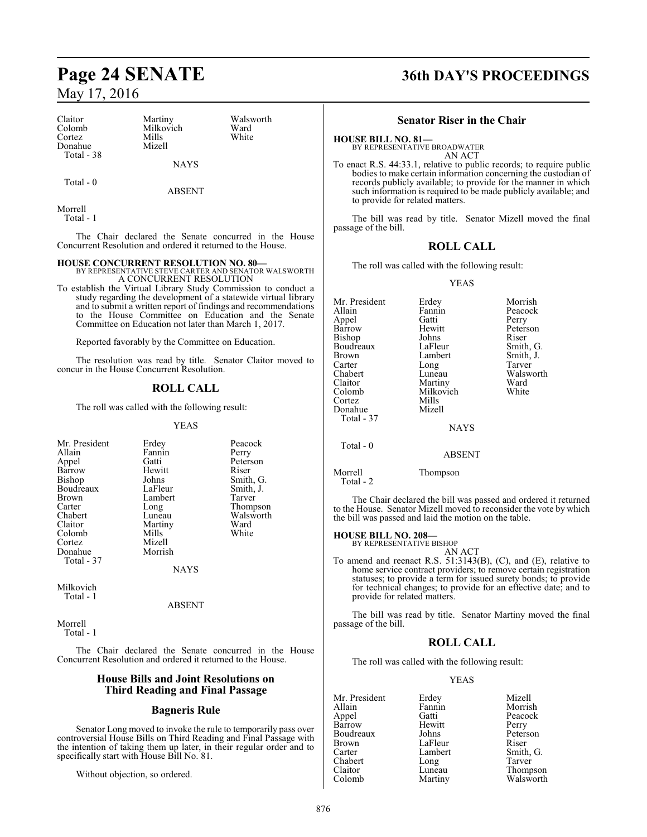| Claitor     | Martiny     | Walsworth |
|-------------|-------------|-----------|
|             |             |           |
| Colomb      | Milkovich   | Ward      |
| Cortez      | Mills       | White     |
| Donahue     | Mizell      |           |
| Total $-38$ |             |           |
|             | <b>NAYS</b> |           |

Total - 0

ABSENT

Morrell Total - 1

The Chair declared the Senate concurred in the House Concurrent Resolution and ordered it returned to the House.

**HOUSE CONCURRENT RESOLUTION NO. 80—** BY REPRESENTATIVE STEVE CARTER AND SENATOR WALSWORTH A CONCURRENT RESOLUTION

To establish the Virtual Library Study Commission to conduct a study regarding the development of a statewide virtual library and to submit a written report of findings and recommendations to the House Committee on Education and the Senate Committee on Education not later than March 1, 2017.

Reported favorably by the Committee on Education.

The resolution was read by title. Senator Claitor moved to concur in the House Concurrent Resolution.

#### **ROLL CALL**

The roll was called with the following result:

#### YEAS

| Mr. President | Erdey   | Peacock   |
|---------------|---------|-----------|
| Allain        | Fannin  | Perry     |
| Appel         | Gatti   | Peterson  |
| Barrow        | Hewitt  | Riser     |
| Bishop        | Johns   | Smith, G. |
| Boudreaux     | LaFleur | Smith, J. |
| <b>Brown</b>  | Lambert | Tarver    |
| Carter        | Long    | Thompson  |
| Chabert       | Luneau  | Walsworth |
| Claitor       | Martiny | Ward      |
| Colomb        | Mills   | White     |
| Cortez        | Mizell  |           |
| Donahue       | Morrish |           |
| Total - 37    |         |           |
|               | NAYS    |           |

Milkovich Total - 1

ABSENT

Morrell Total - 1

The Chair declared the Senate concurred in the House Concurrent Resolution and ordered it returned to the House.

#### **House Bills and Joint Resolutions on Third Reading and Final Passage**

#### **Bagneris Rule**

Senator Long moved to invoke the rule to temporarily pass over controversial House Bills on Third Reading and Final Passage with the intention of taking them up later, in their regular order and to specifically start with House Bill No. 81.

Without objection, so ordered.

# **Page 24 SENATE 36th DAY'S PROCEEDINGS**

#### **Senator Riser in the Chair**

**HOUSE BILL NO. 81—** BY REPRESENTATIVE BROADWATER

AN ACT

To enact R.S. 44:33.1, relative to public records; to require public bodies to make certain information concerning the custodian of records publicly available; to provide for the manner in which such information is required to be made publicly available; and to provide for related matters.

The bill was read by title. Senator Mizell moved the final passage of the bill.

### **ROLL CALL**

The roll was called with the following result:

#### YEAS

| Mr. President<br>Allain<br>Appel<br>Barrow<br>Bishop<br>Boudreaux<br>Brown<br>Carter<br>Chabert<br>Claitor<br>Colomb | Erdey<br>Fannin<br>Gatti<br>Hewitt<br>Johns<br>LaFleur<br>Lambert<br>Long<br>Luneau<br>Martiny<br>Milkovich | Morrish<br>Peacock<br>Perry<br>Peterson<br>Riser<br>Smith, G.<br>Smith, J.<br>Tarver<br>Walsworth<br>Ward<br>White |
|----------------------------------------------------------------------------------------------------------------------|-------------------------------------------------------------------------------------------------------------|--------------------------------------------------------------------------------------------------------------------|
| Cortez<br>Donahue                                                                                                    | Mills<br>Mizell                                                                                             |                                                                                                                    |
| Total - 37                                                                                                           | <b>NAYS</b>                                                                                                 |                                                                                                                    |
| Total $-0$                                                                                                           | <b>ABSENT</b>                                                                                               |                                                                                                                    |

Morrell Thompson

Total - 2

The Chair declared the bill was passed and ordered it returned to the House. Senator Mizell moved to reconsider the vote by which the bill was passed and laid the motion on the table.

#### **HOUSE BILL NO. 208—**

BY REPRESENTATIVE BISHOP AN ACT

To amend and reenact R.S. 51:3143(B), (C), and (E), relative to home service contract providers; to remove certain registration statuses; to provide a term for issued surety bonds; to provide for technical changes; to provide for an effective date; and to provide for related matters.

The bill was read by title. Senator Martiny moved the final passage of the bill.

#### **ROLL CALL**

The roll was called with the following result:

#### YEAS

| Mr. President | Erdey   | Mizell    |
|---------------|---------|-----------|
| Allain        | Fannin  | Morrish   |
| Appel         | Gatti   | Peacock   |
| <b>Barrow</b> | Hewitt  | Perry     |
| Boudreaux     | Johns   | Peterson  |
| <b>Brown</b>  | LaFleur | Riser     |
| Carter        | Lambert | Smith, G. |
| Chabert       | Long    | Tarver    |
| Claitor       | Luneau  | Thompson  |
| Colomb        | Martiny | Walsworth |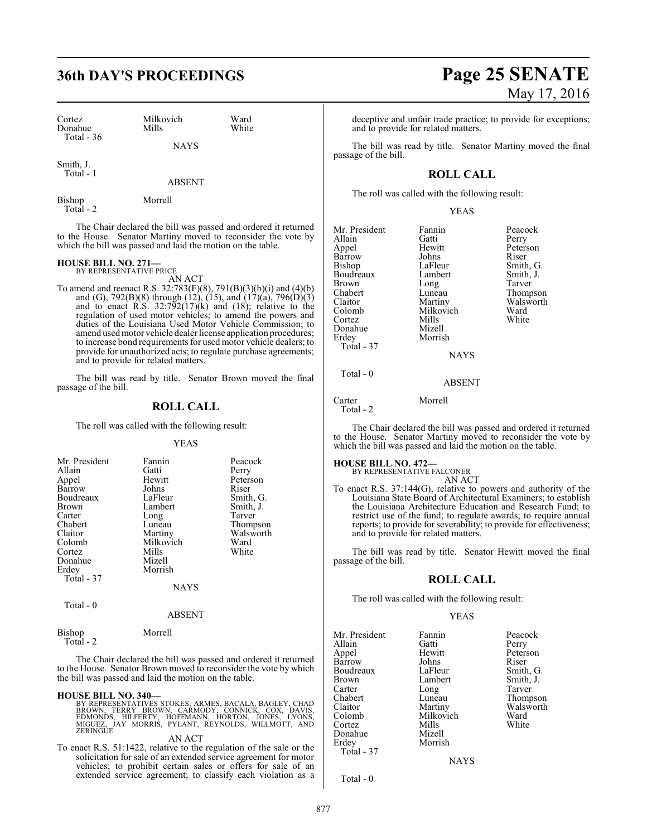| Cortez                 | Milkovich   | Ward  |
|------------------------|-------------|-------|
| Donahue<br>Total $-36$ | Mills       | White |
|                        | <b>NAYS</b> |       |

Smith, J. Total - 1

ABSENT

Bishop Morrell Total - 2

The Chair declared the bill was passed and ordered it returned to the House. Senator Martiny moved to reconsider the vote by which the bill was passed and laid the motion on the table.

# **HOUSE BILL NO. 271—** BY REPRESENTATIVE PRICE

AN ACT

To amend and reenact R.S. 32:783(F)(8), 791(B)(3)(b)(i) and (4)(b) and (G), 792(B)(8) through (12), (15), and (17)(a), 796(D)(3) and to enact R.S.  $32:792(17)(k)$  and  $(18)$ ; relative to the regulation of used motor vehicles; to amend the powers and duties of the Louisiana Used Motor Vehicle Commission; to amend usedmotor vehicle dealer license application procedures; to increase bond requirements for used motor vehicle dealers; to provide for unauthorized acts; to regulate purchase agreements; and to provide for related matters.

The bill was read by title. Senator Brown moved the final passage of the bill.

### **ROLL CALL**

The roll was called with the following result:

#### YEAS

| Mr. President | Fannin      | Peacock   |
|---------------|-------------|-----------|
| Allain        | Gatti       | Perry     |
| Appel         | Hewitt      | Peterson  |
| Barrow        | Johns       | Riser     |
| Boudreaux     | LaFleur     | Smith, G. |
| <b>Brown</b>  | Lambert     | Smith, J. |
| Carter        | Long        | Tarver    |
| Chabert       | Luneau      | Thompson  |
| Claitor       | Martiny     | Walsworth |
| Colomb        | Milkovich   | Ward      |
| Cortez        | Mills       | White     |
| Donahue       | Mizell      |           |
| Erdey         | Morrish     |           |
| Total - 37    |             |           |
|               | <b>NAYS</b> |           |

Total - 0

#### ABSENT

| Bishop     | Morrell |
|------------|---------|
| Total $-2$ |         |

The Chair declared the bill was passed and ordered it returned to the House. Senator Brown moved to reconsider the vote by which the bill was passed and laid the motion on the table.

**HOUSE BILL NO. 340—**<br>BY REPRESENTATIVES STOKES, ARMES, BACALA, BAGLEY, CHAD<br>BROWN, TERRY BROWN, CARMODY, CONNICK, COX, DAVIS,<br>EDMONDS, HILFERTY, HOFFMANN, HORTON, JONES, LYONS,<br>MIGUEZ, JAY MORRIS, PYLANT, REYNOLDS, WILLMO

#### AN ACT

To enact R.S. 51:1422, relative to the regulation of the sale or the solicitation for sale of an extended service agreement for motor vehicles; to prohibit certain sales or offers for sale of an extended service agreement; to classify each violation as a

deceptive and unfair trade practice; to provide for exceptions; and to provide for related matters.

The bill was read by title. Senator Martiny moved the final passage of the bill.

### **ROLL CALL**

The roll was called with the following result:

Morrish

YEAS

Mr. President Fannin Peacock<br>Allain Catti Perry Allain Gatti Perry Barrow Johns<br>Bishop LaFleur Boudreaux Lambert Smith,<br>Brown Long Tarver Brown Long<br>Chabert Luneau Chabert Luneau Thompson Claitor Martiny Walsworth Colomb Milkovich Ward<br>Cortez Mills White Cortez Mills White Donahue Mizell<br>Erdey Morris Total - 37

Hewitt Peterson<br>
Johns Riser LaFleur Smith, G.<br>Lambert Smith, J.

Total - 0

Carter Morrell Total - 2

The Chair declared the bill was passed and ordered it returned to the House. Senator Martiny moved to reconsider the vote by which the bill was passed and laid the motion on the table.

NAYS

ABSENT

## **HOUSE BILL NO. 472—** BY REPRESENTATIVE FALCONER

AN ACT

To enact R.S. 37:144(G), relative to powers and authority of the Louisiana State Board of Architectural Examiners; to establish the Louisiana Architecture Education and Research Fund; to restrict use of the fund; to regulate awards; to require annual reports; to provide for severability; to provide for effectiveness; and to provide for related matters.

The bill was read by title. Senator Hewitt moved the final passage of the bill.

#### **ROLL CALL**

The roll was called with the following result:

#### YEAS

| Mr. President | Fannin    | Peacock   |
|---------------|-----------|-----------|
| Allain        | Gatti     | Perry     |
| Appel         | Hewitt    | Peterson  |
| Barrow        | Johns     | Riser     |
| Boudreaux     | LaFleur   | Smith, G. |
| Brown         | Lambert   | Smith, J. |
| Carter        | Long      | Tarver    |
| Chabert       | Luneau    | Thompson  |
| Claitor       | Martiny   | Walsworth |
| Colomb        | Milkovich | Ward      |
| Cortez        | Mills     | White     |
| Donahue       | Mizell    |           |
| Erdey         | Morrish   |           |
| Total - 37    |           |           |
|               |           |           |

**NAYS** 

Total - 0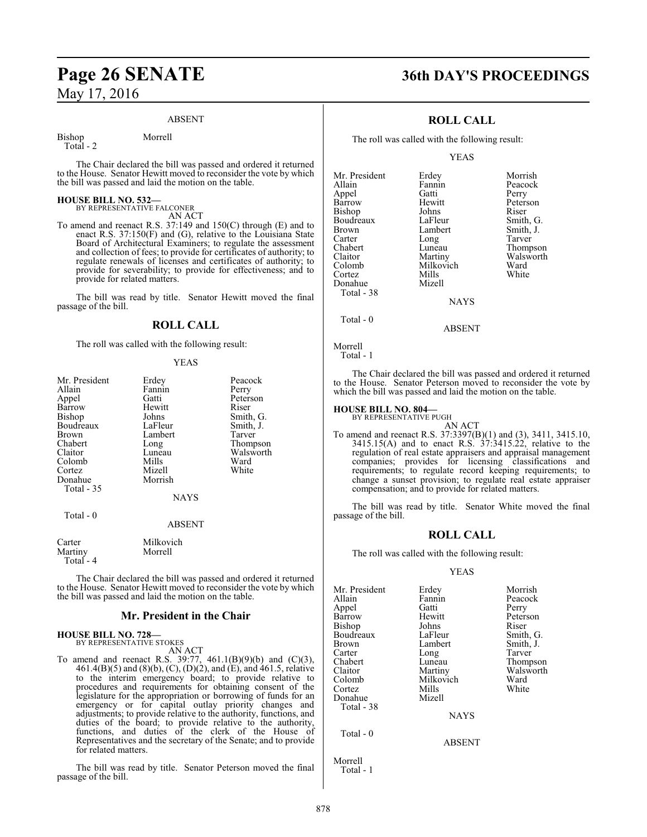#### ABSENT

Total - 2

Bishop Morrell

The Chair declared the bill was passed and ordered it returned to the House. Senator Hewitt moved to reconsider the vote by which the bill was passed and laid the motion on the table.

#### **HOUSE BILL NO. 532—** BY REPRESENTATIVE FALCONER

AN ACT

To amend and reenact R.S. 37:149 and 150(C) through (E) and to enact R.S. 37:150(F) and (G), relative to the Louisiana State Board of Architectural Examiners; to regulate the assessment and collection of fees; to provide for certificates of authority; to regulate renewals of licenses and certificates of authority; to provide for severability; to provide for effectiveness; and to provide for related matters.

The bill was read by title. Senator Hewitt moved the final passage of the bill.

#### **ROLL CALL**

The roll was called with the following result:

#### YEAS

| Mr. President        | Erdey         | Peacock   |
|----------------------|---------------|-----------|
| Allain               | Fannin        | Perry     |
| Appel                | Gatti         | Peterson  |
| Barrow               | Hewitt        | Riser     |
| Bishop               | Johns         | Smith, G. |
| Boudreaux            | LaFleur       | Smith, J. |
| Brown                | Lambert       | Tarver    |
| Chabert              | Long          | Thompson  |
| Claitor              | Luneau        | Walsworth |
| Colomb               | Mills         | Ward      |
| Cortez               | Mizell        | White     |
| Donahue              | Morrish       |           |
| Total - 35           |               |           |
|                      | <b>NAYS</b>   |           |
| Total - 0            |               |           |
|                      | <b>ABSENT</b> |           |
| Carter               | Milkovich     |           |
| Martiny<br>Total - 4 | Morrell       |           |
|                      |               |           |

The Chair declared the bill was passed and ordered it returned to the House. Senator Hewitt moved to reconsider the vote by which the bill was passed and laid the motion on the table.

#### **Mr. President in the Chair**

## **HOUSE BILL NO. 728—** BY REPRESENTATIVE STOKES

AN ACT

To amend and reenact R.S. 39:77, 461.1(B)(9)(b) and (C)(3), 461.4(B)(5) and (8)(b), (C), (D)(2), and (E), and 461.5, relative to the interim emergency board; to provide relative to procedures and requirements for obtaining consent of the legislature for the appropriation or borrowing of funds for an emergency or for capital outlay priority changes and adjustments; to provide relative to the authority, functions, and duties of the board; to provide relative to the authority, functions, and duties of the clerk of the House of Representatives and the secretary of the Senate; and to provide for related matters.

The bill was read by title. Senator Peterson moved the final passage of the bill.

# **Page 26 SENATE 36th DAY'S PROCEEDINGS**

### **ROLL CALL**

The roll was called with the following result:

YEAS

| Mr. President | Erdey     | Morrish       |
|---------------|-----------|---------------|
| Allain        | Fannin    | Peacock       |
| Appel         | Gatti     | Perry         |
| Barrow        | Hewitt    | Peterson      |
| Bishop        | Johns     | Riser         |
| Boudreaux     | LaFleur   | Smith, C      |
| <b>Brown</b>  | Lambert   | Smith, J.     |
| Carter        | Long      | Tarver        |
| Chabert       | Luneau    | <b>Thomps</b> |
| Claitor       | Martiny   | Walswor       |
| Colomb        | Milkovich | Ward          |
| Cortez        | Mills     | White         |
| Donahue       | Mizell    |               |
| Total - 38    |           |               |
|               | NAYS      |               |

tti Perry<br>Witt Peters witt Peterson<br>
ns Riser Fleur Smith, G.<br>
nbert Smith, J. Smith, J.<br>Tarver neau Thompson<br>
rtiny Walsworth Walsworth<br>Ward lkovich Ward<br><sup>Ils</sup> White

**NAYS** 

Morrell

Total - 0

Total - 1

The Chair declared the bill was passed and ordered it returned to the House. Senator Peterson moved to reconsider the vote by which the bill was passed and laid the motion on the table.

ABSENT

#### **HOUSE BILL NO. 804—** BY REPRESENTATIVE PUGH

AN ACT To amend and reenact R.S. 37:3397(B)(1) and (3), 3411, 3415.10,  $3415.15(A)$  and to enact R.S.  $37:3415.22$ , relative to the regulation of real estate appraisers and appraisal management companies; provides for licensing classifications and requirements; to regulate record keeping requirements; to change a sunset provision; to regulate real estate appraiser compensation; and to provide for related matters.

The bill was read by title. Senator White moved the final passage of the bill.

#### **ROLL CALL**

The roll was called with the following result:

#### YEAS

| Mr. President | Erdey         | Morrish   |
|---------------|---------------|-----------|
| Allain        | Fannin        | Peacock   |
| Appel         | Gatti         | Perry     |
| Barrow        | Hewitt        | Peterson  |
| Bishop        | Johns         | Riser     |
| Boudreaux     | LaFleur       | Smith, G. |
| Brown         | Lambert       | Smith, J. |
| Carter        | Long          | Tarver    |
| Chabert       | Luneau        | Thompson  |
| Claitor       | Martiny       | Walsworth |
| Colomb        | Milkovich     | Ward      |
| Cortez        | Mills         | White     |
| Donahue       | Mizell        |           |
| Total - 38    |               |           |
|               | <b>NAYS</b>   |           |
| Total $-0$    |               |           |
|               | <b>ABSENT</b> |           |
| Morrell       |               |           |

Total - 1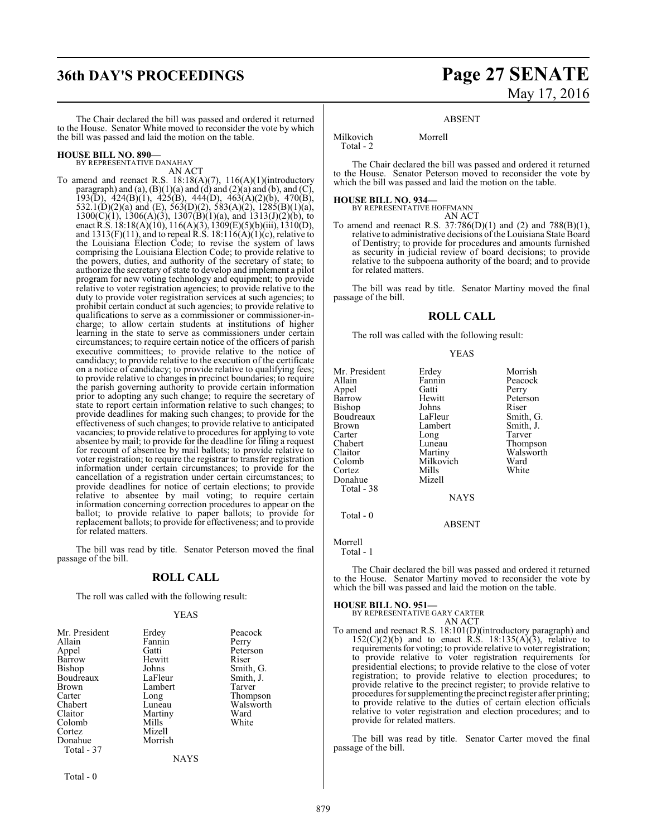# **36th DAY'S PROCEEDINGS Page 27 SENATE** May 17, 2016

The Chair declared the bill was passed and ordered it returned to the House. Senator White moved to reconsider the vote by which the bill was passed and laid the motion on the table.

#### **HOUSE BILL NO. 890—** BY REPRESENTATIVE DANAHAY

AN ACT

To amend and reenact R.S. 18:18(A)(7), 116(A)(1)(introductory paragraph) and (a),  $(B)(1)(a)$  and  $(d)$  and  $(2)(a)$  and  $(b)$ , and  $(C)$ , 193(D), 424(B)(1), 425(B), 444(D), 463(A)(2)(b), 470(B), 532.1(D)(2)(a) and (E), 563(D)(2), 583(A)(2), 1285(B)(1)(a),  $1300(C)(1)$ ,  $1306(A)(3)$ ,  $1307(B)(1)(a)$ , and  $1313(J)(2)(b)$ , to enactR.S. 18:18(A)(10), 116(A)(3), 1309(E)(5)(b)(iii), 1310(D), and  $1313(F)(11)$ , and to repeal R.S.  $18:116(A)(1)(c)$ , relative to the Louisiana Election Code; to revise the system of laws comprising the Louisiana Election Code; to provide relative to the powers, duties, and authority of the secretary of state; to authorize the secretary of state to develop and implement a pilot program for new voting technology and equipment; to provide relative to voter registration agencies; to provide relative to the duty to provide voter registration services at such agencies; to prohibit certain conduct at such agencies; to provide relative to qualifications to serve as a commissioner or commissioner-incharge; to allow certain students at institutions of higher learning in the state to serve as commissioners under certain circumstances; to require certain notice of the officers of parish executive committees; to provide relative to the notice of candidacy; to provide relative to the execution of the certificate on a notice of candidacy; to provide relative to qualifying fees; to provide relative to changes in precinct boundaries; to require the parish governing authority to provide certain information prior to adopting any such change; to require the secretary of state to report certain information relative to such changes; to provide deadlines for making such changes; to provide for the effectiveness of such changes; to provide relative to anticipated vacancies; to provide relative to procedures for applying to vote absentee by mail; to provide for the deadline for filing a request for recount of absentee by mail ballots; to provide relative to voter registration; to require the registrar to transfer registration information under certain circumstances; to provide for the cancellation of a registration under certain circumstances; to provide deadlines for notice of certain elections; to provide relative to absentee by mail voting; to require certain information concerning correction procedures to appear on the ballot; to provide relative to paper ballots; to provide for replacement ballots; to provide for effectiveness; and to provide for related matters.

The bill was read by title. Senator Peterson moved the final passage of the bill.

#### **ROLL CALL**

The roll was called with the following result:

#### YEAS

| Peterson<br>Riser<br>Smith, G.<br>Smith, J.<br>Tarver<br>Thompson<br>Walsworth<br>Ward<br>White |  |
|-------------------------------------------------------------------------------------------------|--|
|                                                                                                 |  |
|                                                                                                 |  |

ABSENT

Milkovich Morrell Total - 2

The Chair declared the bill was passed and ordered it returned to the House. Senator Peterson moved to reconsider the vote by which the bill was passed and laid the motion on the table.

## **HOUSE BILL NO. 934—**

| BY REPRESENTATIVE HOFFMANN |        |  |
|----------------------------|--------|--|
|                            | AN ACT |  |

To amend and reenact R.S. 37:786(D)(1) and (2) and 788(B)(1), relative to administrative decisions ofthe Louisiana State Board of Dentistry; to provide for procedures and amounts furnished as security in judicial review of board decisions; to provide relative to the subpoena authority of the board; and to provide for related matters.

The bill was read by title. Senator Martiny moved the final passage of the bill.

#### **ROLL CALL**

The roll was called with the following result:

#### YEAS

Mr. President Erdey Morrish<br>Allain Fannin Peacock Fannin Peacock<br>Gatti Perry Appel Gatti<br>Barrow Hewitt Hewitt Peterson<br>Johns Riser Bishop Johns Riser<br>Boudreaux LaFleur Smith G. Boudreaux LaFleur Smith, G.<br>Brown Lambert Smith, J. Brown Lambert<br>
Carter Long Carter Long Tarver<br>
Chabert Luneau Thomp Chabert Luneau Thompson<br>Claitor Martiny Walsworth Claitor Martiny Walsworth Milkovich Ward<br>
Mills White Cortez Mills<br>Donahue Mizell Donahue Total - 38 **NAYS**  Total - 0 ABSENT

Morrell

Total - 1

The Chair declared the bill was passed and ordered it returned to the House. Senator Martiny moved to reconsider the vote by which the bill was passed and laid the motion on the table.

#### **HOUSE BILL NO. 951—**

BY REPRESENTATIVE GARY CARTER AN ACT

To amend and reenact R.S. 18:101(D)(introductory paragraph) and  $152(C)(2)(b)$  and to enact R.S.  $18:135(A)(3)$ , relative to requirements for voting; to provide relative to voter registration; to provide relative to voter registration requirements for presidential elections; to provide relative to the close of voter registration; to provide relative to election procedures; to provide relative to the precinct register; to provide relative to procedures for supplementing the precinct register after printing; to provide relative to the duties of certain election officials relative to voter registration and election procedures; and to provide for related matters.

The bill was read by title. Senator Carter moved the final passage of the bill.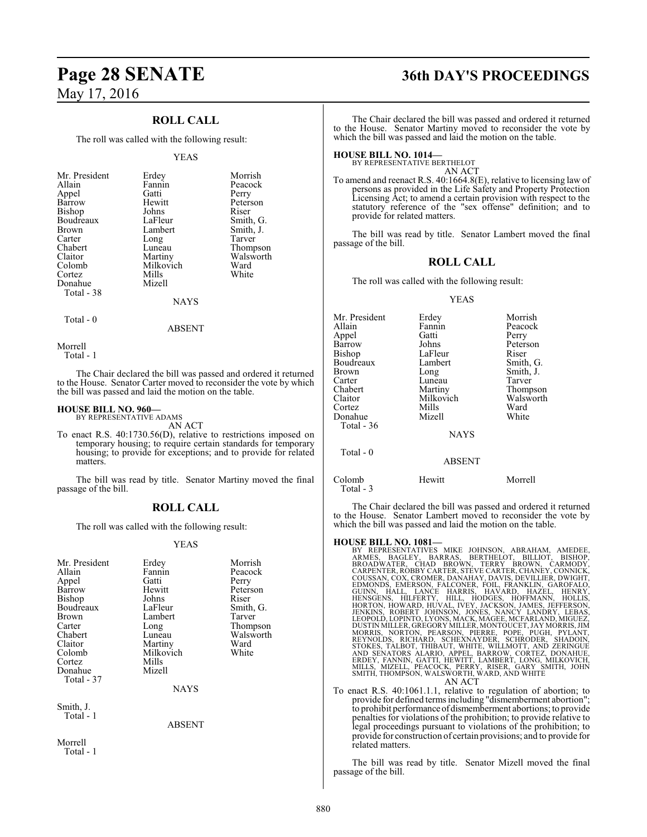### **ROLL CALL**

The roll was called with the following result:

#### YEAS

| Mr. President<br>Allain<br>Appel<br>Barrow<br>Bishop<br>Boudreaux<br><b>Brown</b><br>Carter | Erdey<br>Fannin<br>Gatti<br>Hewitt<br>Johns<br>LaFleur<br>Lambert<br>Long | Morrish<br>Peacock<br>Perry<br>Peterson<br>Riser<br>Smith, G.<br>Smith, J.<br>Tarver |
|---------------------------------------------------------------------------------------------|---------------------------------------------------------------------------|--------------------------------------------------------------------------------------|
| Claitor<br>Colomb                                                                           | Martiny<br>Milkovich                                                      | Thompson<br>Walsworth<br>Ward                                                        |
| Cortez                                                                                      | Mills                                                                     | White                                                                                |
| Donahue<br>Total - 38                                                                       | Mizell<br><b>NAYS</b>                                                     |                                                                                      |

 $Total - 0$ 

#### ABSENT

Morrell

Total - 1

The Chair declared the bill was passed and ordered it returned to the House. Senator Carter moved to reconsider the vote by which the bill was passed and laid the motion on the table.

#### **HOUSE BILL NO. 960—**

BY REPRESENTATIVE ADAMS AN ACT

To enact R.S. 40:1730.56(D), relative to restrictions imposed on temporary housing; to require certain standards for temporary housing; to provide for exceptions; and to provide for related matters.

The bill was read by title. Senator Martiny moved the final passage of the bill.

#### **ROLL CALL**

The roll was called with the following result:

#### YEAS

| Mr. President<br>Allain<br>Appel<br>Barrow<br>Bishop<br>Boudreaux | Erdey<br>Fannin<br>Gatti<br>Hewitt<br>Johns<br>LaFleur | Morrish<br>Peacock<br>Perry<br>Peterson<br>Riser<br>Smith, G. |
|-------------------------------------------------------------------|--------------------------------------------------------|---------------------------------------------------------------|
| Brown                                                             | Lambert                                                | Tarver                                                        |
| Carter                                                            | Long                                                   | Thompson                                                      |
| Chabert<br>Claitor                                                | Luneau                                                 | Walsworth<br>Ward                                             |
| Colomb                                                            | Martiny<br>Milkovich                                   | White                                                         |
| Cortez                                                            | Mills                                                  |                                                               |
| Donahue                                                           | Mizell                                                 |                                                               |
| Total - 37                                                        |                                                        |                                                               |
|                                                                   | <b>NAYS</b>                                            |                                                               |
| Smith, J.<br>Total - 1                                            |                                                        |                                                               |
|                                                                   | <b>ABSENT</b>                                          |                                                               |
| Morrell<br>Total - 1                                              |                                                        |                                                               |

# **Page 28 SENATE 36th DAY'S PROCEEDINGS**

The Chair declared the bill was passed and ordered it returned to the House. Senator Martiny moved to reconsider the vote by which the bill was passed and laid the motion on the table.

**HOUSE BILL NO. 1014—** BY REPRESENTATIVE BERTHELOT

AN ACT

To amend and reenact R.S. 40:1664.8(E), relative to licensing law of persons as provided in the Life Safety and Property Protection Licensing Act; to amend a certain provision with respect to the statutory reference of the "sex offense" definition; and to provide for related matters.

The bill was read by title. Senator Lambert moved the final passage of the bill.

#### **ROLL CALL**

The roll was called with the following result:

#### YEAS

| Mr. President | Erdey         | Morrish   |
|---------------|---------------|-----------|
| Allain        | Fannin        | Peacock   |
| Appel         | Gatti         | Perry     |
| Barrow        | Johns         | Peterson  |
| <b>Bishop</b> | LaFleur       | Riser     |
| Boudreaux     | Lambert       | Smith, G. |
| Brown         | Long          | Smith, J. |
| Carter        | Luneau        | Tarver    |
| Chabert       | Martiny       | Thompson  |
| Claitor       | Milkovich     | Walsworth |
| Cortez        | Mills         | Ward      |
| Donahue       | Mizell        | White     |
| Total - 36    |               |           |
|               | <b>NAYS</b>   |           |
| Total $-0$    |               |           |
|               | <b>ABSENT</b> |           |
| Colomb        | Hewitt        | Morrell   |

The Chair declared the bill was passed and ordered it returned to the House. Senator Lambert moved to reconsider the vote by which the bill was passed and laid the motion on the table.

Total - 3

HOUSE BILL NO. 1081—<br>
BY REPRESENTATIVES MIKE JOHNSON, ABRAHAM, AMEDEE, BY REPRESENTATIVES MIKE JOHNSON, CBILLIOT, BISHOP, BROADWATER, CHAD BROWN, TERRY BROWN, CARMODY, CARMODY, CONSAN, CHAD BROWN, TERRY BROWN, CONNICK, CO

To enact R.S. 40:1061.1.1, relative to regulation of abortion; to provide for defined terms including "dismemberment abortion"; to prohibit performance of dismemberment abortions; to provide penalties for violations of the prohibition; to provide relative to legal proceedings pursuant to violations of the prohibition; to provide for construction of certain provisions; and to provide for related matters.

The bill was read by title. Senator Mizell moved the final passage of the bill.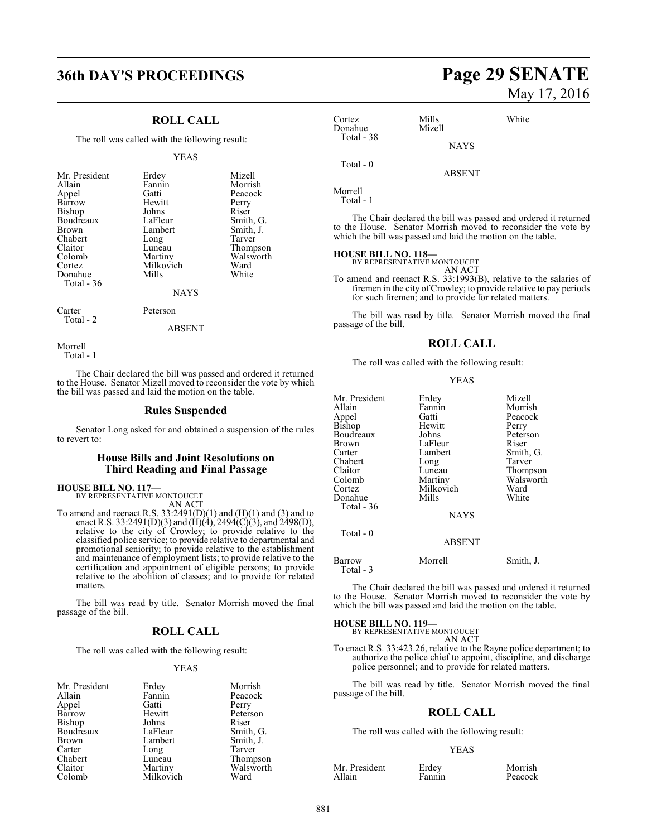# **36th DAY'S PROCEEDINGS Page 29 SENATE**

### **ROLL CALL**

The roll was called with the following result:

#### YEAS

| Mr. President |           | Mizell    |
|---------------|-----------|-----------|
|               | Erdey     |           |
| Allain        | Fannin    | Morrish   |
| Appel         | Gatti     | Peacock   |
| Barrow        | Hewitt    | Perry     |
| <b>Bishop</b> | Johns     | Riser     |
| Boudreaux     | LaFleur   | Smith, G. |
| <b>Brown</b>  | Lambert   | Smith, J. |
| Chabert       | Long      | Tarver    |
| Claitor       | Luneau    | Thompson  |
| Colomb        | Martiny   | Walsworth |
| Cortez        | Milkovich | Ward      |
| Donahue       | Mills     | White     |
| Total - 36    |           |           |
|               | NAVC      |           |

#### NAYS

Carter Peterson Total - 2

#### ABSENT

Morrell Total - 1

The Chair declared the bill was passed and ordered it returned to the House. Senator Mizell moved to reconsider the vote by which the bill was passed and laid the motion on the table.

#### **Rules Suspended**

Senator Long asked for and obtained a suspension of the rules to revert to:

#### **House Bills and Joint Resolutions on Third Reading and Final Passage**

**HOUSE BILL NO. 117—** BY REPRESENTATIVE MONTOUCET

AN ACT

To amend and reenact R.S.  $33:2491(D)(1)$  and  $(H)(1)$  and  $(3)$  and to enact R.S. 33:2491(D)(3) and (H)(4), 2494(C)(3), and 2498(D), relative to the city of Crowley; to provide relative to the classified police service; to provide relative to departmental and promotional seniority; to provide relative to the establishment and maintenance of employment lists; to provide relative to the certification and appointment of eligible persons; to provide relative to the abolition of classes; and to provide for related matters.

The bill was read by title. Senator Morrish moved the final passage of the bill.

#### **ROLL CALL**

The roll was called with the following result:

#### YEAS

| Erdey     | Morrish           |
|-----------|-------------------|
|           | Peacock           |
| Gatti     | Perry             |
| Hewitt    | Peterson          |
| Johns     | Riser             |
|           | Smith, G.         |
| Lambert   | Smith, J.         |
| Long      | Tarver            |
| Luneau    | Thompson          |
| Martiny   | Walsworth         |
| Milkovich | Ward              |
|           | Fannin<br>LaFleur |

# May 17, 2016

| Cortez<br>Donahue | Mills<br>Mizell | White |
|-------------------|-----------------|-------|
| Total - 38        | <b>NAYS</b>     |       |
| Total - 0         | <b>ABSENT</b>   |       |

Morrell

Total - 1

The Chair declared the bill was passed and ordered it returned to the House. Senator Morrish moved to reconsider the vote by which the bill was passed and laid the motion on the table.

## **HOUSE BILL NO. 118—** BY REPRESENTATIVE MONTOUCET

AN ACT

To amend and reenact R.S. 33:1993(B), relative to the salaries of firemen in the city ofCrowley; to provide relative to pay periods for such firemen; and to provide for related matters.

The bill was read by title. Senator Morrish moved the final passage of the bill.

#### **ROLL CALL**

The roll was called with the following result:

#### YEAS

| Mr. President | Erdey         | Mizell    |
|---------------|---------------|-----------|
| Allain        | Fannin        | Morrish   |
| Appel         | Gatti         | Peacock   |
| Bishop        | Hewitt        | Perry     |
| Boudreaux     | Johns         | Peterson  |
| <b>Brown</b>  | LaFleur       | Riser     |
| Carter        | Lambert       | Smith, G. |
| Chabert       | Long          | Tarver    |
| Claitor       | Luneau        | Thompson  |
| Colomb        | Martiny       | Walsworth |
| Cortez        | Milkovich     | Ward      |
| Donahue       | Mills         | White     |
| Total - 36    |               |           |
|               | <b>NAYS</b>   |           |
| Total $-0$    |               |           |
|               | <b>ABSENT</b> |           |
|               |               |           |

Barrow Morrell Smith, J. Total - 3

The Chair declared the bill was passed and ordered it returned to the House. Senator Morrish moved to reconsider the vote by which the bill was passed and laid the motion on the table.

#### **HOUSE BILL NO. 119—**

BY REPRESENTATIVE MONTOUCET AN ACT

To enact R.S. 33:423.26, relative to the Rayne police department; to authorize the police chief to appoint, discipline, and discharge police personnel; and to provide for related matters.

The bill was read by title. Senator Morrish moved the final passage of the bill.

#### **ROLL CALL**

The roll was called with the following result:

#### YEAS

Mr. President Erdey Morrish<br>Allain Fannin Peacock

**Peacock**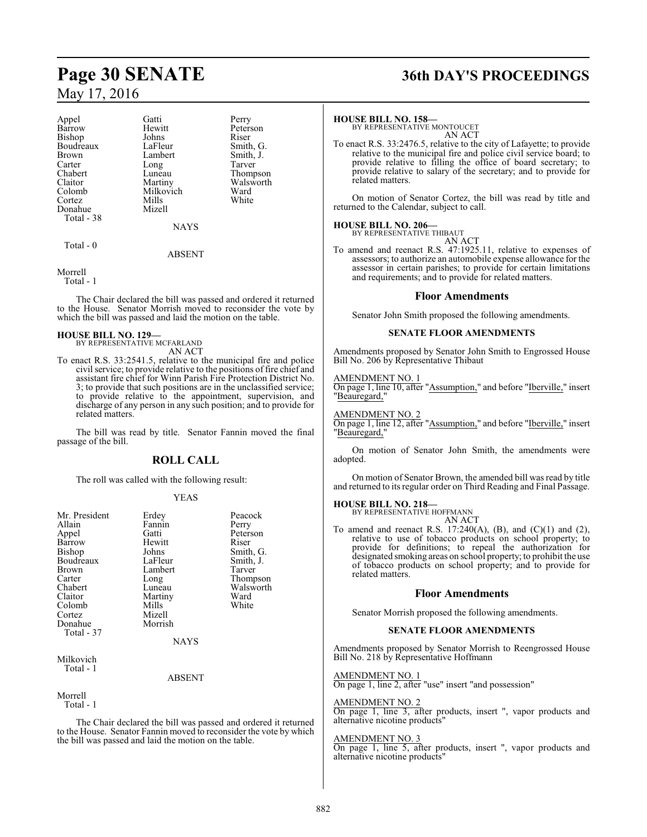| Appel      | Gatti         | Perry  |
|------------|---------------|--------|
| Barrow     | Hewitt        | Peters |
| Bishop     | Johns         | Riser  |
| Boudreaux  | LaFleur       | Smith, |
| Brown      | Lambert       | Smith, |
| Carter     | Long          | Tarver |
| Chabert    | Luneau        | Thomp  |
| Claitor    | Martiny       | Walsw  |
| Colomb     | Milkovich     | Ward   |
| Cortez     | Mills         | White  |
| Donahue    | Mizell        |        |
| Total - 38 |               |        |
|            | <b>BTATTO</b> |        |

NAYS

Peterson<br>Riser

Smith, G. Smith, J.<br>Tarver

Thompson Walsworth<br>Ward

Total - 0

#### ABSENT

Morrell

Total - 1

The Chair declared the bill was passed and ordered it returned to the House. Senator Morrish moved to reconsider the vote by which the bill was passed and laid the motion on the table.

#### **HOUSE BILL NO. 129—**

BY REPRESENTATIVE MCFARLAND AN ACT

To enact R.S. 33:2541.5, relative to the municipal fire and police civil service; to provide relative to the positions of fire chief and assistant fire chief for Winn Parish Fire Protection District No. 3; to provide that such positions are in the unclassified service; to provide relative to the appointment, supervision, and discharge of any person in any such position; and to provide for related matters.

The bill was read by title. Senator Fannin moved the final passage of the bill.

#### **ROLL CALL**

The roll was called with the following result:

#### YEAS

| Mr. President<br>Allain<br>Appel<br>Barrow<br><b>Bishop</b><br>Boudreaux<br>Brown<br>Carter<br>Chabert<br>Claitor<br>Colomb<br>Cortez<br>Donahue<br>Total - 37 | Erdey<br>Fannin<br>Gatti<br>Hewitt<br>Johns<br>LaFleur<br>Lambert<br>Long<br>Luneau<br>Martiny<br>Mills<br>Mizell<br>Morrish<br><b>NAYS</b> | Peacock<br>Perry<br>Peterson<br>Riser<br>Smith, G.<br>Smith, J.<br>Tarver<br>Thompson<br>Walsworth<br>Ward<br>White |
|----------------------------------------------------------------------------------------------------------------------------------------------------------------|---------------------------------------------------------------------------------------------------------------------------------------------|---------------------------------------------------------------------------------------------------------------------|
| Milkovich<br>Total - 1                                                                                                                                         | ARSENT                                                                                                                                      |                                                                                                                     |

Morrell

Total - 1

The Chair declared the bill was passed and ordered it returned to the House. Senator Fannin moved to reconsider the vote by which the bill was passed and laid the motion on the table.

# **Page 30 SENATE 36th DAY'S PROCEEDINGS**

#### **HOUSE BILL NO. 158—**

BY REPRESENTATIVE MONTOUCET AN ACT

To enact R.S. 33:2476.5, relative to the city of Lafayette; to provide relative to the municipal fire and police civil service board; to provide relative to filling the office of board secretary; to provide relative to salary of the secretary; and to provide for related matters.

On motion of Senator Cortez, the bill was read by title and returned to the Calendar, subject to call.

#### **HOUSE BILL NO. 206—**

BY REPRESENTATIVE THIBAUT AN ACT

To amend and reenact R.S. 47:1925.11, relative to expenses of assessors; to authorize an automobile expense allowance for the assessor in certain parishes; to provide for certain limitations and requirements; and to provide for related matters.

#### **Floor Amendments**

Senator John Smith proposed the following amendments.

#### **SENATE FLOOR AMENDMENTS**

Amendments proposed by Senator John Smith to Engrossed House Bill No. 206 by Representative Thibaut

#### AMENDMENT NO. 1

On page 1, line 10, after "Assumption," and before "Iberville," insert "Beauregard,

#### AMENDMENT NO. 2

On page 1, line 12, after "Assumption," and before "Iberville," insert "Beauregard,"

On motion of Senator John Smith, the amendments were adopted.

On motion of Senator Brown, the amended bill was read by title and returned to its regular order on Third Reading and Final Passage.

# **HOUSE BILL NO. 218—** BY REPRESENTATIVE HOFFMANN

AN ACT

To amend and reenact R.S. 17:240(A), (B), and (C)(1) and (2), relative to use of tobacco products on school property; to provide for definitions; to repeal the authorization for designated smoking areas on school property; to prohibit the use of tobacco products on school property; and to provide for related matters.

#### **Floor Amendments**

Senator Morrish proposed the following amendments.

#### **SENATE FLOOR AMENDMENTS**

Amendments proposed by Senator Morrish to Reengrossed House Bill No. 218 by Representative Hoffmann

AMENDMENT NO. 1 On page 1, line 2, after "use" insert "and possession"

#### AMENDMENT NO. 2

On page 1, line 3, after products, insert ", vapor products and alternative nicotine products"

#### AMENDMENT NO. 3

On page 1, line 5, after products, insert ", vapor products and alternative nicotine products"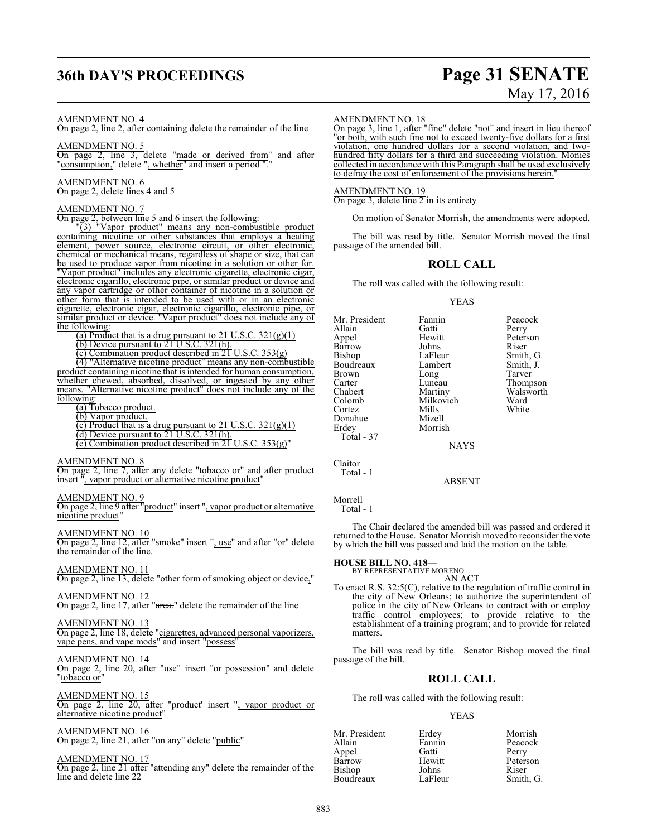# **36th DAY'S PROCEEDINGS Page 31 SENATE**

# May 17, 2016

#### AMENDMENT NO. 4

On page 2, line 2, after containing delete the remainder of the line

#### AMENDMENT NO. 5

On page 2, line 3, delete "made or derived from" and after "consumption," delete ", whether" and insert a period "."

#### AMENDMENT NO. 6

On page 2, delete lines 4 and 5

#### AMENDMENT NO. 7

On page 2, between line 5 and 6 insert the following:

"(3) "Vapor product" means any non-combustible product containing nicotine or other substances that employs a heating element, power source, electronic circuit, or other electronic, chemical or mechanical means, regardless of shape or size, that can be used to produce vapor from nicotine in a solution or other for. "Vapor product" includes any electronic cigarette, electronic cigar, electronic cigarillo, electronic pipe, or similar product or device and any vapor cartridge or other container of nicotine in a solution or other form that is intended to be used with or in an electronic cigarette, electronic cigar, electronic cigarillo, electronic pipe, or similar product or device. "Vapor product" does not include any of the following:

(a) Product that is a drug pursuant to 21 U.S.C.  $321(g)(1)$ 

(b) Device pursuant to 21 U.S.C. 321(h).

(c) Combination product described in 21 U.S.C. 353(g)

(4) "Alternative nicotine product" means any non-combustible product containing nicotine that is intended for human consumption, whether chewed, absorbed, dissolved, or ingested by any other means. "Alternative nicotine product" does not include any of the following:

(a) Tobacco product.

(b) Vapor product.

(c) Product that is a drug pursuant to 21 U.S.C.  $321(g)(1)$ 

(d) Device pursuant to 21 U.S.C. 321(h).

(e) Combination product described in 21 U.S.C. 353(g)"

#### AMENDMENT NO. 8

On page 2, line 7, after any delete "tobacco or" and after product insert ", vapor product or alternative nicotine product"

#### AMENDMENT NO. 9

On page 2, line 9 after "product" insert ", vapor product or alternative nicotine product"

AMENDMENT NO. 10

On page 2, line 12, after "smoke" insert ", use" and after "or" delete the remainder of the line.

#### AMENDMENT NO. 11

On page 2, line 13, delete "other form of smoking object or device,"

#### AMENDMENT NO. 12

On page 2, line 17, after "area." delete the remainder of the line

#### AMENDMENT NO. 13 On page 2, line 18, delete "cigarettes, advanced personal vaporizers, vape pens, and vape mods" and insert "possess"

AMENDMENT NO. 14 On page 2, line 20, after "use" insert "or possession" and delete "tobacco or"

AMENDMENT NO. 15 On page 2, line 20, after "product' insert ", vapor product or alternative nicotine product"

AMENDMENT NO. 16 On page 2, line 21, after "on any" delete "public"

AMENDMENT NO. 17 On page 2, line 21 after "attending any" delete the remainder of the line and delete line 22

#### AMENDMENT NO. 18

On page 3, line 1, after "fine" delete "not" and insert in lieu thereof "or both, with such fine not to exceed twenty-five dollars for a first violation, one hundred dollars for a second violation, and twohundred fifty dollars for a third and succeeding violation. Monies collected in accordance with this Paragraph shall be used exclusively to defray the cost of enforcement of the provisions herein.

#### AMENDMENT NO. 19

On page 3, delete line  $2$  in its entirety

On motion of Senator Morrish, the amendments were adopted.

The bill was read by title. Senator Morrish moved the final passage of the amended bill.

#### **ROLL CALL**

The roll was called with the following result:

#### YEAS

Mr. President Fannin Peacock<br>Allain Gatti Perry Allain Gatti<br>Appel Hewitt Barrow Johns<br>Bishop LaFleur Boudreaux Lambert Smith,<br>Brown Long Tarver Brown Long<br>Carter Luneau Carter Luneau Thompson<br>Chabert Martiny Walsworth Chabert Martiny Walsworth<br>Colomb Milkovich Ward Colomb Milkovich Ward Cortez Mills White Donahue Mizell<br>Erdey Morris Total - 37

Hewitt Peterson<br>
Johns Riser LaFleur Smith, G.<br>Lambert Smith, J.

**NAYS** 

Morrish

Claitor Total - 1

ABSENT

### Morrell

Total - 1

The Chair declared the amended bill was passed and ordered it returned to the House. Senator Morrish moved to reconsider the vote by which the bill was passed and laid the motion on the table.

# **HOUSE BILL NO. 418—** BY REPRESENTATIVE MORENO

AN ACT To enact R.S. 32:5(C), relative to the regulation of traffic control in the city of New Orleans; to authorize the superintendent of police in the city of New Orleans to contract with or employ traffic control employees; to provide relative to the establishment of a training program; and to provide for related matters.

The bill was read by title. Senator Bishop moved the final passage of the bill.

#### **ROLL CALL**

The roll was called with the following result:

#### YEAS

| Mr. President | Erdey   | Morrish   |
|---------------|---------|-----------|
| Allain        | Fannin  | Peacock   |
| Appel         | Gatti   | Perry     |
| Barrow        | Hewitt  | Peterson  |
| Bishop        | Johns   | Riser     |
| Boudreaux     | LaFleur | Smith, G. |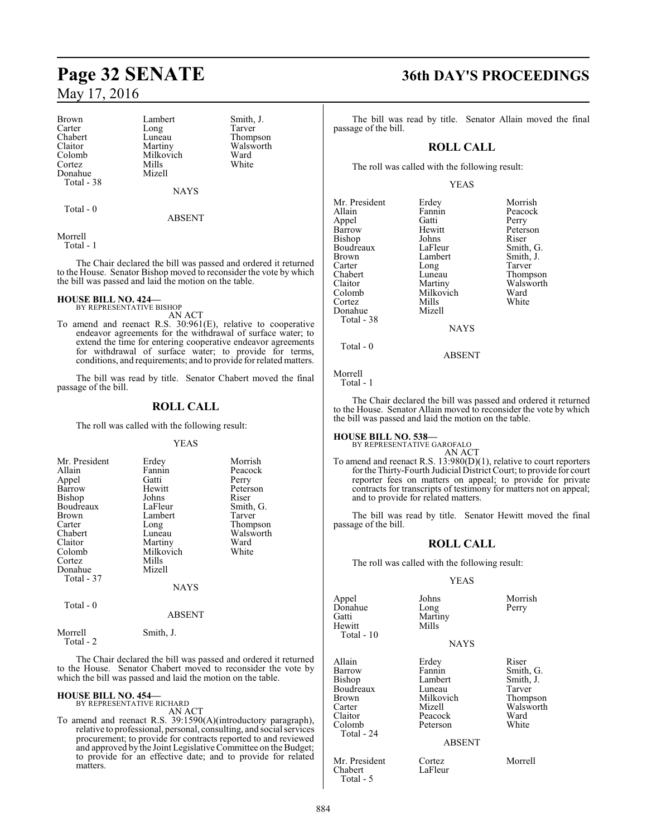Brown Lambert Smith, J.<br>
Carter Long Tarver Carter Long<br>Chabert Luneau Chabert Luneau Thompson<br>Claitor Martiny Walsworth Claitor Martiny Walsworth<br>Colomb Milkovich Ward Cortez Mills<br>Donahue Mizell Donahue Total - 38

Milkovich Ward<br>
Mills White

NAYS

Total - 0

ABSENT

Morrell

Total - 1

The Chair declared the bill was passed and ordered it returned to the House. Senator Bishop moved to reconsider the vote by which the bill was passed and laid the motion on the table.

## **HOUSE BILL NO. 424—** BY REPRESENTATIVE BISHOP

AN ACT

To amend and reenact R.S. 30:961(E), relative to cooperative endeavor agreements for the withdrawal of surface water; to extend the time for entering cooperative endeavor agreements for withdrawal of surface water; to provide for terms, conditions, and requirements; and to provide for related matters.

The bill was read by title. Senator Chabert moved the final passage of the bill.

### **ROLL CALL**

The roll was called with the following result:

#### YEAS

| Mr. President | Erdey     | Morrish   |
|---------------|-----------|-----------|
| Allain        | Fannin    | Peacock   |
| Appel         | Gatti     | Perry     |
| Barrow        | Hewitt    | Peterson  |
| Bishop        | Johns     | Riser     |
| Boudreaux     | LaFleur   | Smith, G. |
| <b>Brown</b>  | Lambert   | Tarver    |
| Carter        | Long      | Thompson  |
| Chabert       | Luneau    | Walsworth |
| Claitor       | Martiny   | Ward      |
| Colomb        | Milkovich | White     |
| Cortez        | Mills     |           |
| Donahue       | Mizell    |           |
| Total - 37    |           |           |
|               | NAYS      |           |

Total - 0

#### ABSENT

Morrell Smith, J. Total - 2

The Chair declared the bill was passed and ordered it returned to the House. Senator Chabert moved to reconsider the vote by which the bill was passed and laid the motion on the table.

## **HOUSE BILL NO. 454—** BY REPRESENTATIVE RICHARD

AN ACT

To amend and reenact R.S. 39:1590(A)(introductory paragraph), relative to professional, personal, consulting, and social services procurement; to provide for contracts reported to and reviewed and approved by the Joint Legislative Committee on the Budget; to provide for an effective date; and to provide for related matters.

# **Page 32 SENATE 36th DAY'S PROCEEDINGS**

The bill was read by title. Senator Allain moved the final passage of the bill.

### **ROLL CALL**

The roll was called with the following result:

#### YEAS

| Mr. President | Erdey       | Morrish   |
|---------------|-------------|-----------|
| Allain        | Fannin      | Peacock   |
| Appel         | Gatti       | Perry     |
| Barrow        | Hewitt      | Peterson  |
| Bishop        | Johns       | Riser     |
| Boudreaux     | LaFleur     | Smith, G. |
| Brown         | Lambert     | Smith, J. |
| Carter        | Long        | Tarver    |
| Chabert       | Luneau      | Thompson  |
| Claitor       | Martiny     | Walsworth |
| Colomb        | Milkovich   | Ward      |
| Cortez        | Mills       | White     |
| Donahue       | Mizell      |           |
| Total - 38    |             |           |
|               | <b>NAYS</b> |           |
| $Total - 0$   |             |           |

#### ABSENT

Morrell Total - 1

The Chair declared the bill was passed and ordered it returned to the House. Senator Allain moved to reconsider the vote by which the bill was passed and laid the motion on the table.

# **HOUSE BILL NO. 538—** BY REPRESENTATIVE GAROFALO

AN ACT

To amend and reenact R.S. 13:980(D)(1), relative to court reporters for the Thirty-Fourth Judicial District Court; to provide for court reporter fees on matters on appeal; to provide for private contracts for transcripts of testimony for matters not on appeal; and to provide for related matters.

The bill was read by title. Senator Hewitt moved the final passage of the bill.

#### **ROLL CALL**

The roll was called with the following result:

#### YEAS

| Appel<br>Donahue<br>Gatti<br>Hewitt<br>Total - 10                                             | Johns<br>Long<br>Martiny<br>Mills<br><b>NAYS</b>                                                    | Morrish<br>Perry                                                                    |
|-----------------------------------------------------------------------------------------------|-----------------------------------------------------------------------------------------------------|-------------------------------------------------------------------------------------|
| Allain<br>Barrow<br>Bishop<br>Boudreaux<br>Brown<br>Carter<br>Claitor<br>Colomb<br>Total - 24 | Erdey<br>Fannin<br>Lambert<br>Luneau<br>Milkovich<br>Mizell<br>Peacock<br>Peterson<br><b>ABSENT</b> | Riser<br>Smith, G.<br>Smith, J.<br>Tarver<br>Thompson<br>Walsworth<br>Ward<br>White |
| Mr. President<br>Chabert                                                                      | Cortez<br>LaFleur                                                                                   | Morrell                                                                             |

Total - 5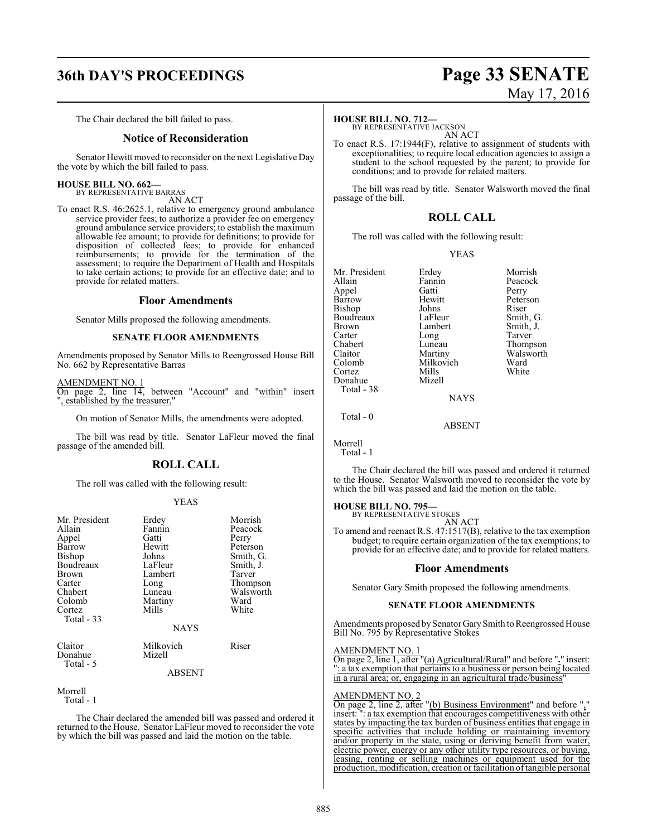# **36th DAY'S PROCEEDINGS Page 33 SENATE**

# May 17, 2016

The Chair declared the bill failed to pass.

#### **Notice of Reconsideration**

Senator Hewitt moved to reconsider on the next Legislative Day the vote by which the bill failed to pass.

## **HOUSE BILL NO. 662—** BY REPRESENTATIVE BARRAS

AN ACT

To enact R.S. 46:2625.1, relative to emergency ground ambulance service provider fees; to authorize a provider fee on emergency ground ambulance service providers; to establish the maximum allowable fee amount; to provide for definitions; to provide for disposition of collected fees; to provide for enhanced reimbursements; to provide for the termination of the assessment; to require the Department of Health and Hospitals to take certain actions; to provide for an effective date; and to provide for related matters.

#### **Floor Amendments**

Senator Mills proposed the following amendments.

#### **SENATE FLOOR AMENDMENTS**

Amendments proposed by Senator Mills to Reengrossed House Bill No. 662 by Representative Barras

AMENDMENT NO. 1 On page 2, line 14, between "Account" and "within" insert ", established by the treasurer,"

On motion of Senator Mills, the amendments were adopted.

The bill was read by title. Senator LaFleur moved the final passage of the amended bill.

#### **ROLL CALL**

The roll was called with the following result:

#### YEAS

| Mr. President<br>Allain<br>Appel<br>Barrow<br><b>Bishop</b><br>Boudreaux<br><b>Brown</b><br>Carter<br>Chabert<br>Colomb<br>Cortez<br>Total $-33$ | Erdey<br>Fannin<br>Gatti<br>Hewitt<br>Johns<br>LaFleur<br>Lambert<br>Long<br>Luneau<br>Martiny<br>Mills<br><b>NAYS</b> | Morrish<br>Peacock<br>Perry<br>Peterson<br>Smith, G.<br>Smith, J.<br>Tarver<br>Thompson<br>Walsworth<br>Ward<br>White |
|--------------------------------------------------------------------------------------------------------------------------------------------------|------------------------------------------------------------------------------------------------------------------------|-----------------------------------------------------------------------------------------------------------------------|
| Claitor<br>Donahue<br>Total - 5                                                                                                                  | Milkovich<br>Mizell                                                                                                    | Riser                                                                                                                 |

#### ABSENT

Morrell Total - 1

The Chair declared the amended bill was passed and ordered it returned to the House. Senator LaFleur moved to reconsider the vote by which the bill was passed and laid the motion on the table.

#### **HOUSE BILL NO. 712—**

BY REPRESENTATIVE JACKSON AN ACT

To enact R.S. 17:1944(F), relative to assignment of students with exceptionalities; to require local education agencies to assign a student to the school requested by the parent; to provide for conditions; and to provide for related matters.

The bill was read by title. Senator Walsworth moved the final passage of the bill.

#### **ROLL CALL**

The roll was called with the following result:

#### YEAS

| Mr. President | Erdey       | Morrish   |
|---------------|-------------|-----------|
| Allain        | Fannin      | Peacock   |
| Appel         | Gatti       | Perry     |
| Barrow        | Hewitt      | Peterson  |
| Bishop        | Johns       | Riser     |
| Boudreaux     | LaFleur     | Smith, G. |
| Brown         | Lambert     | Smith, J. |
| Carter        | Long        | Tarver    |
| Chabert       | Luneau      | Thompson  |
| Claitor       | Martiny     | Walsworth |
| Colomb        | Milkovich   | Ward      |
| Cortez        | Mills       | White     |
| Donahue       | Mizell      |           |
| Total - 38    |             |           |
|               | <b>NAYS</b> |           |
| $Total - 0$   |             |           |

ABSENT

Morrell Total - 1

The Chair declared the bill was passed and ordered it returned to the House. Senator Walsworth moved to reconsider the vote by which the bill was passed and laid the motion on the table.

# **HOUSE BILL NO. 795—** BY REPRESENTATIVE STOKES

AN ACT To amend and reenact R.S. 47:1517(B), relative to the tax exemption budget; to require certain organization of the tax exemptions; to provide for an effective date; and to provide for related matters.

#### **Floor Amendments**

Senator Gary Smith proposed the following amendments.

#### **SENATE FLOOR AMENDMENTS**

Amendments proposed by Senator Gary Smith to Reengrossed House Bill No. 795 by Representative Stokes

#### AMENDMENT NO. 1

On page 2, line 1, after "(a) Agricultural/Rural" and before "**.**" insert: ": a tax exemption that pertains to a business or person being located in a rural area; or, engaging in an agricultural trade/business

#### AMENDMENT NO. 2

On page 2, line 2, after "(b) Business Environment" and before "," insert: ": a tax exemption that encourages competitiveness with other states by impacting the tax burden of business entities that engage in specific activities that include holding or maintaining inventory and/or property in the state, using or deriving benefit from water, electric power, energy or any other utility type resources, or buying, leasing, renting or selling machines or equipment used for the production, modification, creation or facilitation oftangible personal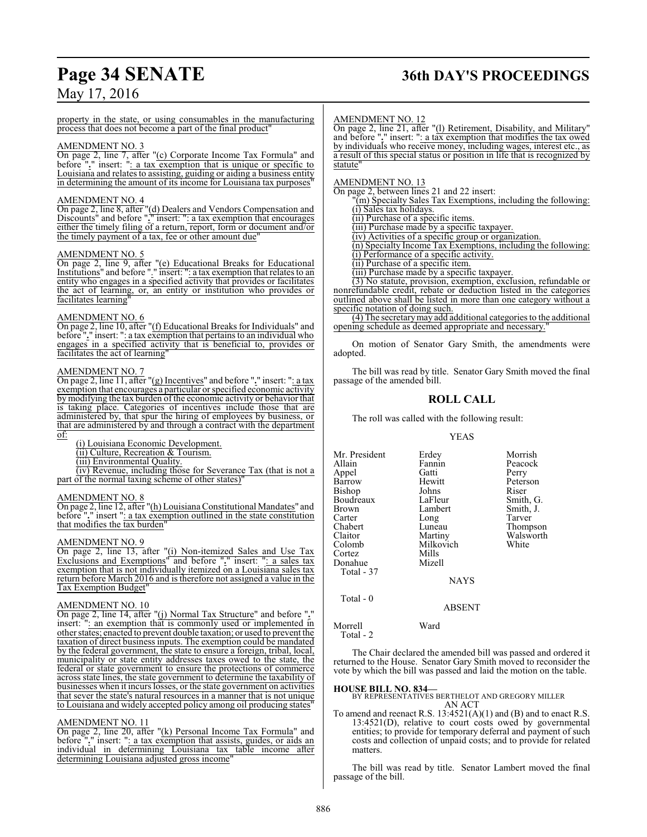# **Page 34 SENATE 36th DAY'S PROCEEDINGS**

## May 17, 2016

property in the state, or using consumables in the manufacturing process that does not become a part of the final product"

#### AMENDMENT NO. 3

On page 2, line 7, after "(c) Corporate Income Tax Formula" and before "**.**" insert: ": a tax exemption that is unique or specific to Louisiana and relates to assisting, guiding or aiding a business entity in determining the amount of its income for Louisiana tax purposes"

#### AMENDMENT NO. 4

On page 2, line 8, after "(d) Dealers and Vendors Compensation and Discounts" and before "**.**" insert: ": a tax exemption that encourages either the timely filing of a return, report, form or document and/or the timely payment of a tax, fee or other amount due"

#### AMENDMENT NO. 5

On page 2, line 9, after "(e) Educational Breaks for Educational Institutions" and before "." insert: ": a tax exemption that relates to an entity who engages in a specified activity that provides or facilitates the act of learning, or, an entity or institution who provides or facilitates learning

#### AMENDMENT NO. 6

On page 2, line 10, after "(f) Educational Breaks for Individuals" and before "**.**" insert: ": a tax exemption that pertains to an individual who engages in a specified activity that is beneficial to, provides or facilitates the act of learning"

#### AMENDMENT NO. 7

On page 2, line 11, after "(g) Incentives" and before "**.**" insert: ": a tax exemption that encourages a particular or specified economic activity bymodifying the tax burden of the economic activity or behavior that is taking place. Categories of incentives include those that are administered by, that spur the hiring of employees by business, or that are administered by and through a contract with the department of:

(i) Louisiana Economic Development.

(ii) Culture, Recreation & Tourism.

(iii) Environmental Quality.

(iv) Revenue, including those for Severance Tax (that is not a part of the normal taxing scheme of other states)

#### AMENDMENT NO. 8

On page 2, line 12, after "(h) LouisianaConstitutional Mandates" and before "**.**" insert ": a tax exemption outlined in the state constitution that modifies the tax burden"

#### AMENDMENT NO. 9

On page 2, line 13, after "(i) Non-itemized Sales and Use Tax Exclusions and Exemptions" and before "**.**" insert: ": a sales tax exemption that is not individually itemized on a Louisiana sales tax return before March 2016 and is therefore not assigned a value in the Tax Exemption Budget"

#### AMENDMENT NO. 10

On page 2, line 14, after "(j) Normal Tax Structure" and before "**.**" insert: ": an exemption that is commonly used or implemented in other states; enacted to prevent double taxation; or used to prevent the taxation of direct business inputs. The exemption could be mandated by the federal government, the state to ensure a foreign, tribal, local, municipality or state entity addresses taxes owed to the state, the federal or state government to ensure the protections of commerce across state lines, the state government to determine the taxability of businesses when it incurs losses, or the state government on activities that sever the state's natural resources in a manner that is not unique to Louisiana and widely accepted policy among oil producing states"

#### AMENDMENT NO. 11

On page 2, line 20, after "(k) Personal Income Tax Formula" and before "**.**" insert: ": a tax exemption that assists, guides, or aids an individual in determining Louisiana tax table income after determining Louisiana adjusted gross income

#### AMENDMENT NO. 12

On page 2, line 21, after "(l) Retirement, Disability, and Military" and before "**.**" insert: ": a tax exemption that modifies the tax owed by individuals who receive money, including wages, interest etc., as a result of this special status or position in life that is recognized by statute"

#### AMENDMENT NO. 13

On page 2, between lines 21 and 22 insert: "(m) Specialty Sales Tax Exemptions, including the following: (i) Sales tax holidays. (ii) Purchase of a specific items. (iii) Purchase made by a specific taxpayer. (iv) Activities of a specific group or organization. (n) Specialty Income Tax Exemptions, including the following: (i) Performance of a specific activity. (ii) Purchase of a specific item. (iii) Purchase made by a specific taxpayer. (3) No statute, provision, exemption, exclusion, refundable or nonrefundable credit, rebate or deduction listed in the categories

outlined above shall be listed in more than one category without a specific notation of doing such. (4) The secretarymay add additional categories to the additional

opening schedule as deemed appropriate and necessary.

On motion of Senator Gary Smith, the amendments were adopted.

The bill was read by title. Senator Gary Smith moved the final passage of the amended bill.

#### **ROLL CALL**

The roll was called with the following result:

#### YEAS

| Mr. President | Erdey       | Morrish   |
|---------------|-------------|-----------|
| Allain        | Fannin      | Peacock   |
| Appel         | Gatti       | Perry     |
| Barrow        | Hewitt      | Peterson  |
| Bishop        | Johns       | Riser     |
| Boudreaux     | LaFleur     | Smith, G. |
| Brown         | Lambert     | Smith, J. |
| Carter        | Long        | Tarver    |
| Chabert       | Luneau      | Thompson  |
| Claitor       | Martiny     | Walsworth |
| Colomb        | Milkovich   | White     |
| Cortez        | Mills       |           |
| Donahue       | Mizell      |           |
| Total - 37    |             |           |
|               | <b>NAYS</b> |           |
| $Total - 0$   |             |           |

Morrell Ward Total - 2

The Chair declared the amended bill was passed and ordered it returned to the House. Senator Gary Smith moved to reconsider the vote by which the bill was passed and laid the motion on the table.

ABSENT

#### **HOUSE BILL NO. 834—**

BY REPRESENTATIVES BERTHELOT AND GREGORY MILLER AN ACT

To amend and reenact R.S.  $13:4521(A)(1)$  and (B) and to enact R.S.  $13:4521(D)$ , relative to court costs owed by governmental entities; to provide for temporary deferral and payment of such costs and collection of unpaid costs; and to provide for related matters.

The bill was read by title. Senator Lambert moved the final passage of the bill.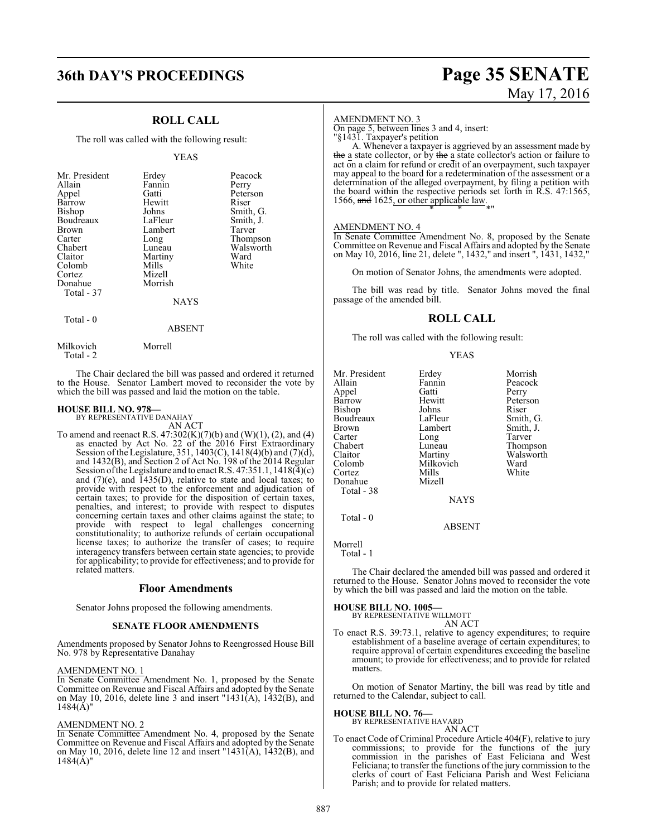## **ROLL CALL**

The roll was called with the following result:

#### YEAS

| Mr. President<br>Allain<br>Appel<br>Barrow<br>Bishop<br>Boudreaux<br>Brown<br>Carter<br>Chabert<br>Claitor<br>Colomb<br>Cortez<br>Donahue<br>Total - 37 | Erdey<br>Fannin<br>Gatti<br>Hewitt<br>Johns<br>LaFleur<br>Lambert<br>Long<br>Luneau<br>Martiny<br>Mills<br>Mizell<br>Morrish<br><b>NAYS</b> | Peacock<br>Perry<br>Peterson<br>Riser<br>Smith, G.<br>Smith, J.<br>Tarver<br>Thompson<br>Walsworth<br>Ward<br>White |
|---------------------------------------------------------------------------------------------------------------------------------------------------------|---------------------------------------------------------------------------------------------------------------------------------------------|---------------------------------------------------------------------------------------------------------------------|
| Total - 0                                                                                                                                               |                                                                                                                                             |                                                                                                                     |

 Total - 2 The Chair declared the bill was passed and ordered it returned

to the House. Senator Lambert moved to reconsider the vote by which the bill was passed and laid the motion on the table.

ABSENT

#### **HOUSE BILL NO. 978—** BY REPRESENTATIVE DANAHAY

Milkovich Morrell

AN ACT

To amend and reenact R.S.  $47:302(K)(7)(b)$  and  $(W)(1)$ ,  $(2)$ , and  $(4)$ as enacted by Act No. 22 of the 2016 First Extraordinary Session ofthe Legislature, 351, 1403(C), 1418(4)(b) and (7)(d), and 1432(B), and Section 2 of Act No. 198 of the 2014 Regular Session oftheLegislature and to enact R.S. 47:351.1, 1418(4)(c) and  $(7)(e)$ , and  $1435(D)$ , relative to state and local taxes; to provide with respect to the enforcement and adjudication of certain taxes; to provide for the disposition of certain taxes, penalties, and interest; to provide with respect to disputes concerning certain taxes and other claims against the state; to provide with respect to legal challenges concerning constitutionality; to authorize refunds of certain occupational license taxes; to authorize the transfer of cases; to require interagency transfers between certain state agencies; to provide for applicability; to provide for effectiveness; and to provide for related matters.

#### **Floor Amendments**

Senator Johns proposed the following amendments.

#### **SENATE FLOOR AMENDMENTS**

Amendments proposed by Senator Johns to Reengrossed House Bill No. 978 by Representative Danahay

#### AMENDMENT NO. 1

In Senate Committee Amendment No. 1, proposed by the Senate Committee on Revenue and Fiscal Affairs and adopted by the Senate on May 10, 2016, delete line 3 and insert "1431(A), 1432(B), and  $1484(A)$ "

#### AMENDMENT NO. 2

In Senate Committee Amendment No. 4, proposed by the Senate Committee on Revenue and Fiscal Affairs and adopted by the Senate on May 10, 2016, delete line 12 and insert "1431(A), 1432(B), and  $1484(\text{\AA})$ "

# **36th DAY'S PROCEEDINGS Page 35 SENATE** May 17, 2016

#### AMENDMENT NO. 3

On page 5, between lines 3 and 4, insert:

"§1431. Taxpayer's petition

A. Whenever a taxpayer is aggrieved by an assessment made by the a state collector, or by the a state collector's action or failure to act on a claim for refund or credit of an overpayment, such taxpayer may appeal to the board for a redetermination of the assessment or a determination of the alleged overpayment, by filing a petition with the board within the respective periods set forth in R.S. 47:1565, 1566, and 1625, or other applicable law. \* \* \*"

#### AMENDMENT NO. 4

In Senate Committee Amendment No. 8, proposed by the Senate Committee on Revenue and Fiscal Affairs and adopted by the Senate on May 10, 2016, line 21, delete ", 1432," and insert ", 1431, 1432,"

On motion of Senator Johns, the amendments were adopted.

The bill was read by title. Senator Johns moved the final passage of the amended bill.

#### **ROLL CALL**

The roll was called with the following result:

#### YEAS

Mr. President Erdey Morrish<br>Allain Fannin Peacock Appel Gatti Perry Barrow Hewitt Peters<br>Bishop Johns Riser Bishop Johns Riser<br>Boudreaux LaFleur Smith, G. Boudreaux LaFleur<br>Brown Lambert Brown Lambert Smith, J.<br>
Carter Long Tarver Carter Long Tarver<br>
Chabert Luneau Thomp Chabert Luneau Thompson<br>Claitor Martiny Walsworth Claitor Martiny Walsworth<br>Colomb Milkovich Ward Cortez Mills White Donahue Mizell Total - 38

Fannin Peacock<br>Gatti Perry Milkovich Ward<br>
Whils White

Total - 0

Morrell

Total - 1

The Chair declared the amended bill was passed and ordered it returned to the House. Senator Johns moved to reconsider the vote by which the bill was passed and laid the motion on the table.

NAYS

ABSENT

# **HOUSE BILL NO. 1005—** BY REPRESENTATIVE WILLMOTT

AN ACT

To enact R.S. 39:73.1, relative to agency expenditures; to require establishment of a baseline average of certain expenditures; to require approval of certain expenditures exceeding the baseline amount; to provide for effectiveness; and to provide for related matters.

On motion of Senator Martiny, the bill was read by title and returned to the Calendar, subject to call.

**HOUSE BILL NO. 76—** BY REPRESENTATIVE HAVARD AN ACT

To enact Code of Criminal Procedure Article 404(F), relative to jury commissions; to provide for the functions of the jury commission in the parishes of East Feliciana and West Feliciana; to transfer the functions of the jury commission to the clerks of court of East Feliciana Parish and West Feliciana Parish; and to provide for related matters.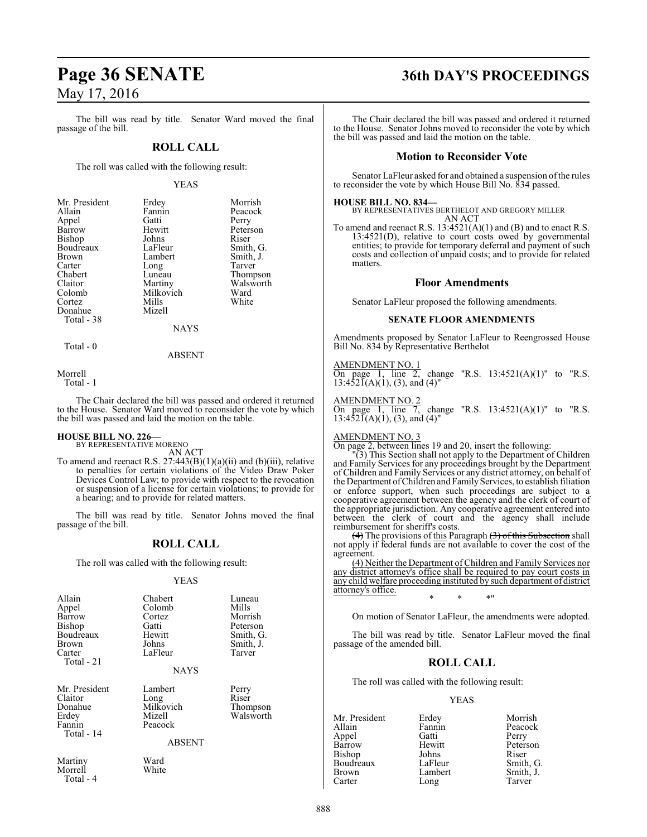The bill was read by title. Senator Ward moved the final passage of the bill.

#### **ROLL CALL**

The roll was called with the following result:

#### YEAS

| Mr. President | Erdey     | Morrish   |
|---------------|-----------|-----------|
| Allain        | Fannin    | Peacock   |
| Appel         | Gatti     | Perry     |
| Barrow        | Hewitt    | Peterson  |
| Bishop        | Johns     | Riser     |
| Boudreaux     | LaFleur   | Smith, G. |
| Brown         | Lambert   | Smith, J. |
| Carter        | Long      | Tarver    |
| Chabert       | Luneau    | Thompson  |
| Claitor       | Martiny   | Walsworth |
| Colomb        | Milkovich | Ward      |
| Cortez        | Mills     | White     |
| Donahue       | Mizell    |           |
| Total - 38    |           |           |
|               | $\cdots$  |           |

NAYS

Total - 0

ABSENT

Morrell

Total - 1

The Chair declared the bill was passed and ordered it returned to the House. Senator Ward moved to reconsider the vote by which the bill was passed and laid the motion on the table.

# **HOUSE BILL NO. 226—** BY REPRESENTATIVE MORENO

AN ACT

To amend and reenact R.S.  $27:443(B)(1)(a)(ii)$  and  $(b)(iii)$ , relative to penalties for certain violations of the Video Draw Poker Devices Control Law; to provide with respect to the revocation or suspension of a license for certain violations; to provide for a hearing; and to provide for related matters.

The bill was read by title. Senator Johns moved the final passage of the bill.

#### **ROLL CALL**

The roll was called with the following result:

#### YEAS

| Allain<br>Appel<br>Barrow<br><b>Bishop</b><br>Boudreaux<br>Brown<br>Carter<br>Total - 21 | Chabert<br>Colomb<br>Cortez<br>Gatti<br>Hewitt<br>Johns<br>LaFleur<br><b>NAYS</b> | Luneau<br>Mills<br>Morrish<br>Peterson<br>Smith, G.<br>Smith, J.<br>Tarver |
|------------------------------------------------------------------------------------------|-----------------------------------------------------------------------------------|----------------------------------------------------------------------------|
| Mr. President<br>Claitor<br>Donahue<br>Erdey<br>Fannin<br>Total - 14                     | Lambert<br>Long<br>Milkovich<br>Mizell<br>Peacock<br>ABSENT                       | Perry<br>Riser<br>Thompson<br>Walsworth                                    |
| Martiny<br>Morrell<br>Total - 4                                                          | Ward<br>White                                                                     |                                                                            |

# **Page 36 SENATE 36th DAY'S PROCEEDINGS**

The Chair declared the bill was passed and ordered it returned to the House. Senator Johns moved to reconsider the vote by which the bill was passed and laid the motion on the table.

#### **Motion to Reconsider Vote**

Senator LaFleur asked for and obtained a suspension of the rules to reconsider the vote by which House Bill No. 834 passed.

#### **HOUSE BILL NO. 834—**

BY REPRESENTATIVES BERTHELOT AND GREGORY MILLER AN ACT

To amend and reenact R.S. 13:4521(A)(1) and (B) and to enact R.S.  $13:4521(D)$ , relative to court costs owed by governmental entities; to provide for temporary deferral and payment of such costs and collection of unpaid costs; and to provide for related matters.

#### **Floor Amendments**

Senator LaFleur proposed the following amendments.

#### **SENATE FLOOR AMENDMENTS**

Amendments proposed by Senator LaFleur to Reengrossed House Bill No. 834 by Representative Berthelot

AMENDMENT NO. 1

On page 1, line 2, change "R.S.  $13:4521(A)(1)$ " to "R.S.  $13:452\overline{I}(A)(1), (3),$  and  $(4)$ "

AMENDMENT NO. 2

On page 1, line 7, change "R.S.  $13:4521(A)(1)$ " to "R.S.  $13:452\overline{I}(A)(1), (3),$  and  $(4)$ "

#### AMENDMENT NO. 3

On page 2, between lines 19 and 20, insert the following:

"(3) This Section shall not apply to the Department of Children and Family Services for any proceedings brought by the Department of Children and Family Services or any district attorney, on behalf of the Department of Children and Family Services, to establish filiation or enforce support, when such proceedings are subject to a cooperative agreement between the agency and the clerk of court of the appropriate jurisdiction. Any cooperative agreement entered into between the clerk of court and the agency shall include reimbursement for sheriff's costs.

(4) The provisions of this Paragraph (3) of this Subsection shall not apply if federal funds are not available to cover the cost of the agreement.

(4) Neither the Department ofChildren and Family Services nor any district attorney's office shall be required to pay court costs in any child welfare proceeding instituted by such department of district attorney's office. \* \* \*"

On motion of Senator LaFleur, the amendments were adopted.

The bill was read by title. Senator LaFleur moved the final passage of the amended bill.

#### **ROLL CALL**

The roll was called with the following result:

#### YEAS

Appel Gatti<br>Barrow Hewitt Boudreaux LaFleur<br>Brown Lambert

Mr. President Erdey Morrish<br>Allain Fannin Peacock Fannin Peacock<br>Gatti Perry Hewitt Peterson<br>Johns Riser Bishop Johns Riser<br>Boudreaux LaFleur Smith, G. Brown Lambert Smith, J.<br>
Carter Long Tarver Carter Long Tarver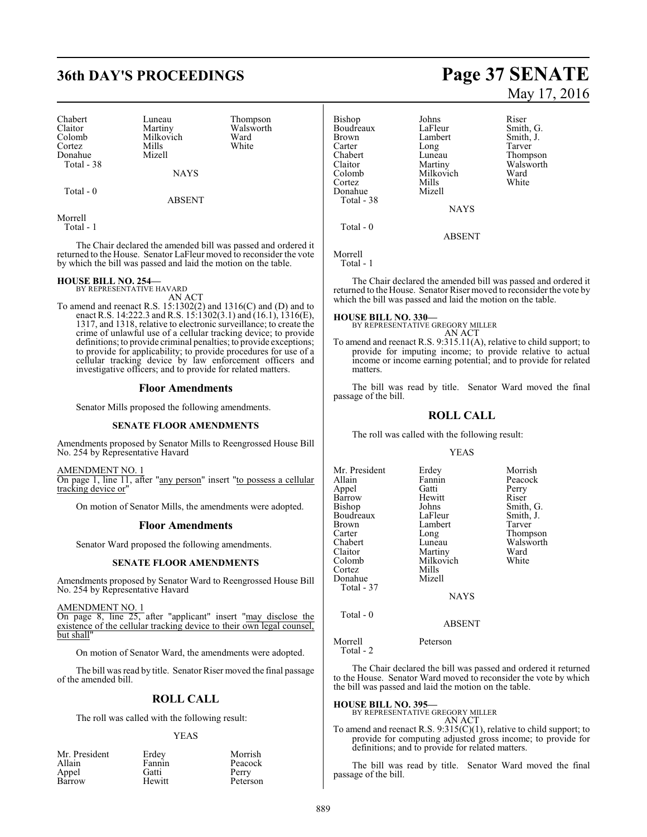# **36th DAY'S PROCEEDINGS Page 37 SENATE**

Chabert Luneau Thompson<br>Claitor Martiny Walsworth Claitor Martiny Walsworth Colomb Milkovich Ward Cortez Mills White Donahue Mizell Total - 38

 $Total = 0$ 

ABSENT

NAYS

Morrell Total - 1

The Chair declared the amended bill was passed and ordered it returned to the House. Senator LaFleur moved to reconsider the vote by which the bill was passed and laid the motion on the table.

#### **HOUSE BILL NO. 254—**

BY REPRESENTATIVE HAVARD

AN ACT To amend and reenact R.S. 15:1302(2) and 1316(C) and (D) and to enact R.S. 14:222.3 and R.S. 15:1302(3.1) and  $(16.1)$ , 1316(E), 1317, and 1318, relative to electronic surveillance; to create the crime of unlawful use of a cellular tracking device; to provide definitions; to provide criminal penalties; to provide exceptions; to provide for applicability; to provide procedures for use of a cellular tracking device by law enforcement officers and investigative officers; and to provide for related matters.

#### **Floor Amendments**

Senator Mills proposed the following amendments.

#### **SENATE FLOOR AMENDMENTS**

Amendments proposed by Senator Mills to Reengrossed House Bill No. 254 by Representative Havard

AMENDMENT NO. 1 On page 1, line 11, after "any person" insert "to possess a cellular tracking device or"

On motion of Senator Mills, the amendments were adopted.

#### **Floor Amendments**

Senator Ward proposed the following amendments.

#### **SENATE FLOOR AMENDMENTS**

Amendments proposed by Senator Ward to Reengrossed House Bill No. 254 by Representative Havard

AMENDMENT NO. 1

On page 8, line 25, after "applicant" insert "may disclose the existence of the cellular tracking device to their own legal counsel, but shall"

On motion of Senator Ward, the amendments were adopted.

The bill was read by title. Senator Riser moved the final passage of the amended bill.

#### **ROLL CALL**

The roll was called with the following result:

#### YEAS

| Mr. President | Erdey  | Morrish  |
|---------------|--------|----------|
| Allain        | Fannin | Peacock  |
| Appel         | Gatti  | Perry    |
| Barrow        | Hewitt | Peterson |

# May 17, 2016

Bishop Johns Riser<br>Boudreaux LaFleur Smith, G. Boudreaux LaFleur Smith, G.<br>Brown Lambert Smith, J. Brown Lambert<br>
Carter Long Carter Long Tarver<br>
Chabert Luneau Thomp Chabert Luneau Thompson Claitor Martiny Walsworth Cortez Mills White Donahue Mizell Total - 38

Milkovich Ward<br>
Whils White **NAYS** 

Morrell Total - 1

Total - 0

The Chair declared the amended bill was passed and ordered it returned to the House. Senator Riser moved to reconsider the vote by which the bill was passed and laid the motion on the table.

ABSENT

**HOUSE BILL NO. 330—** BY REPRESENTATIVE GREGORY MILLER AN ACT

To amend and reenact R.S. 9:315.11(A), relative to child support; to provide for imputing income; to provide relative to actual income or income earning potential; and to provide for related matters.

The bill was read by title. Senator Ward moved the final passage of the bill.

#### **ROLL CALL**

The roll was called with the following result:

#### YEAS

| Mr. President | Erdey       | Morrish   |
|---------------|-------------|-----------|
| Allain        | Fannin      | Peacock   |
| Appel         | Gatti       | Perry     |
| Barrow        | Hewitt      | Riser     |
| Bishop        | Johns       | Smith, G. |
| Boudreaux     | LaFleur     | Smith, J. |
| Brown         | Lambert     | Tarver    |
| Carter        | Long        | Thompson  |
| Chabert       | Luneau      | Walsworth |
| Claitor       | Martiny     | Ward      |
| Colomb        | Milkovich   | White     |
| Cortez        | Mills       |           |
| Donahue       | Mizell      |           |
| Total - 37    |             |           |
|               | <b>NAYS</b> |           |
| Total - 0     |             |           |
|               | ABSENT      |           |

Morrell Peterson

Total - 2

The Chair declared the bill was passed and ordered it returned to the House. Senator Ward moved to reconsider the vote by which the bill was passed and laid the motion on the table.

**HOUSE BILL NO. 395—** BY REPRESENTATIVE GREGORY MILLER

AN ACT To amend and reenact R.S.  $9:315(C)(1)$ , relative to child support; to provide for computing adjusted gross income; to provide for definitions; and to provide for related matters.

The bill was read by title. Senator Ward moved the final passage of the bill.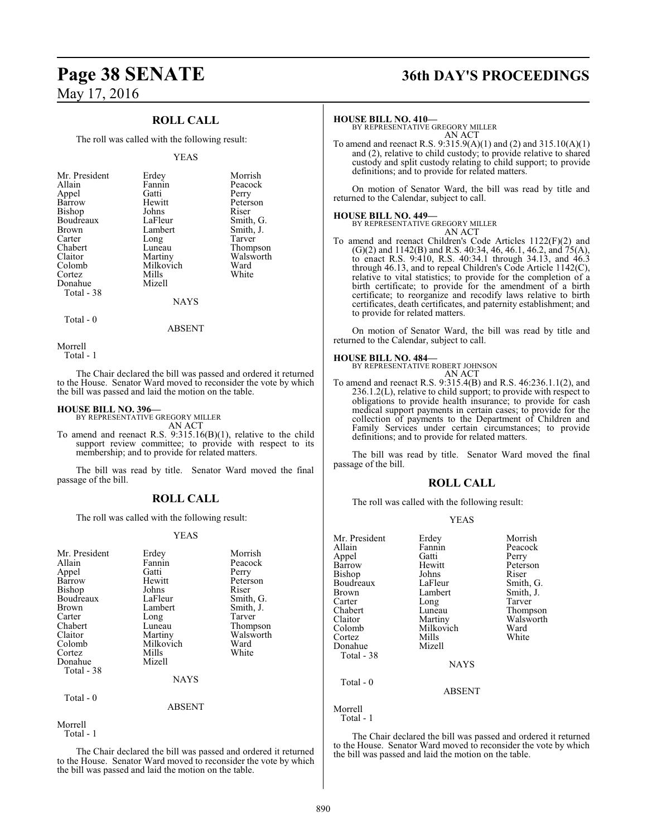### **ROLL CALL**

The roll was called with the following result:

#### YEAS

| Mr. President | Erdey       | Morrish   |
|---------------|-------------|-----------|
| Allain        | Fannin      | Peacock   |
| Appel         | Gatti       | Perry     |
| Barrow        | Hewitt      | Peterson  |
| Bishop        | Johns       | Riser     |
| Boudreaux     | LaFleur     | Smith, G. |
| <b>Brown</b>  | Lambert     | Smith, J. |
| Carter        | Long        | Tarver    |
| Chabert       | Luneau      | Thompson  |
| Claitor       | Martiny     | Walsworth |
| Colomb        | Milkovich   | Ward      |
| Cortez        | Mills       | White     |
| Donahue       | Mizell      |           |
| Total - 38    |             |           |
|               | <b>NAYS</b> |           |

 $Total - 0$ 

ABSENT

Morrell

Total - 1

The Chair declared the bill was passed and ordered it returned to the House. Senator Ward moved to reconsider the vote by which the bill was passed and laid the motion on the table.

#### **HOUSE BILL NO. 396—**

BY REPRESENTATIVE GREGORY MILLER AN ACT

To amend and reenact R.S. 9:315.16(B)(1), relative to the child support review committee; to provide with respect to its membership; and to provide for related matters.

The bill was read by title. Senator Ward moved the final passage of the bill.

#### **ROLL CALL**

The roll was called with the following result:

#### YEAS

| Mr. President<br>Allain<br>Appel<br>Barrow<br>Bishop<br>Boudreaux<br>Brown<br>Carter<br>Chabert<br>Claitor<br>Colomb<br>Cortez | Erdey<br>Fannin<br>Gatti<br>Hewitt<br>Johns<br>LaFleur<br>Lambert<br>Long<br>Luneau<br>Martiny<br>Milkovich<br>Mills | Morrish<br>Peacock<br>Perry<br>Peterson<br>Riser<br>Smith, G.<br>Smith, J.<br>Tarver<br>Thompson<br>Walsworth<br>Ward<br>White |
|--------------------------------------------------------------------------------------------------------------------------------|----------------------------------------------------------------------------------------------------------------------|--------------------------------------------------------------------------------------------------------------------------------|
| Donahue                                                                                                                        | Mizell                                                                                                               |                                                                                                                                |
| Total - 38                                                                                                                     |                                                                                                                      |                                                                                                                                |
|                                                                                                                                | <b>NAYS</b>                                                                                                          |                                                                                                                                |
| Total - 0                                                                                                                      | ABSENT                                                                                                               |                                                                                                                                |
|                                                                                                                                |                                                                                                                      |                                                                                                                                |

Morrell

Total - 1

The Chair declared the bill was passed and ordered it returned to the House. Senator Ward moved to reconsider the vote by which the bill was passed and laid the motion on the table.

# **Page 38 SENATE 36th DAY'S PROCEEDINGS**

#### **HOUSE BILL NO. 410—**

BY REPRESENTATIVE GREGORY MILLER AN ACT

To amend and reenact R.S. 9:315.9(A)(1) and (2) and 315.10(A)(1) and (2), relative to child custody; to provide relative to shared custody and split custody relating to child support; to provide definitions; and to provide for related matters.

On motion of Senator Ward, the bill was read by title and returned to the Calendar, subject to call.

**HOUSE BILL NO. 449—** BY REPRESENTATIVE GREGORY MILLER

AN ACT To amend and reenact Children's Code Articles 1122(F)(2) and  $(G)(2)$  and 1142 $(B)$  and R.S. 40:34, 46, 46.1, 46.2, and 75 $(A)$ , to enact R.S. 9:410, R.S. 40:34.1 through 34.13, and 46.3 through 46.13, and to repeal Children's Code Article 1142(C), relative to vital statistics; to provide for the completion of a birth certificate; to provide for the amendment of a birth certificate; to reorganize and recodify laws relative to birth certificates, death certificates, and paternity establishment; and to provide for related matters.

On motion of Senator Ward, the bill was read by title and returned to the Calendar, subject to call.

**HOUSE BILL NO. 484—** BY REPRESENTATIVE ROBERT JOHNSON

AN ACT To amend and reenact R.S. 9:315.4(B) and R.S. 46:236.1.1(2), and 236.1.2(L), relative to child support; to provide with respect to obligations to provide health insurance; to provide for cash medical support payments in certain cases; to provide for the collection of payments to the Department of Children and Family Services under certain circumstances; to provide definitions; and to provide for related matters.

The bill was read by title. Senator Ward moved the final passage of the bill.

#### **ROLL CALL**

The roll was called with the following result:

#### YEAS

| Mr. President | Erdey         | Morrish   |
|---------------|---------------|-----------|
| Allain        | Fannin        | Peacock   |
| Appel         | Gatti         | Perry     |
| Barrow        | Hewitt        | Peterson  |
| Bishop        | Johns         | Riser     |
| Boudreaux     | LaFleur       | Smith, G. |
| Brown         | Lambert       | Smith, J. |
| Carter        | Long          | Tarver    |
| Chabert       | Luneau        | Thompson  |
| Claitor       | Martiny       | Walsworth |
| Colomb        | Milkovich     | Ward      |
| Cortez        | Mills         | White     |
| Donahue       | Mizell        |           |
| Total - 38    |               |           |
|               | <b>NAYS</b>   |           |
| Total - 0     |               |           |
|               | <b>ABSENT</b> |           |
| Morrell       |               |           |
| Total - 1     |               |           |

The Chair declared the bill was passed and ordered it returned to the House. Senator Ward moved to reconsider the vote by which the bill was passed and laid the motion on the table.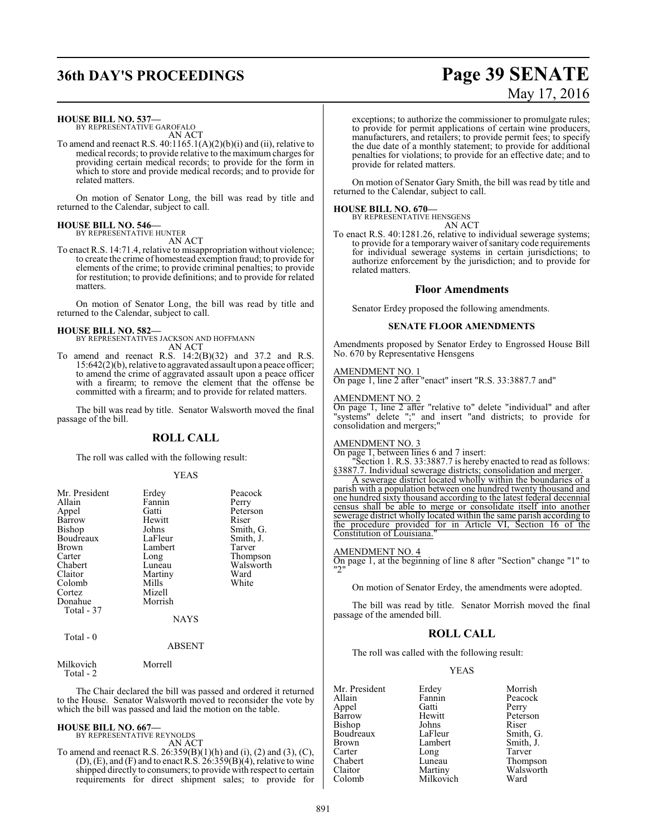# **36th DAY'S PROCEEDINGS Page 39 SENATE** May 17, 2016

#### **HOUSE BILL NO. 537—**

BY REPRESENTATIVE GAROFALO AN ACT

To amend and reenact R.S. 40:1165.1(A)(2)(b)(i) and (ii), relative to medical records; to provide relative to the maximum charges for providing certain medical records; to provide for the form in which to store and provide medical records; and to provide for related matters.

On motion of Senator Long, the bill was read by title and returned to the Calendar, subject to call.

#### **HOUSE BILL NO. 546—** BY REPRESENTATIVE HUNTER

AN ACT

To enact R.S. 14:71.4, relative to misappropriation without violence; to create the crime of homestead exemption fraud; to provide for elements of the crime; to provide criminal penalties; to provide for restitution; to provide definitions; and to provide for related matters.

On motion of Senator Long, the bill was read by title and returned to the Calendar, subject to call.

#### **HOUSE BILL NO. 582—**

BY REPRESENTATIVES JACKSON AND HOFFMANN AN ACT

To amend and reenact R.S. 14:2(B)(32) and 37.2 and R.S. 15:642(2)(b), relative to aggravated assault upon a peace officer; to amend the crime of aggravated assault upon a peace officer with a firearm; to remove the element that the offense be committed with a firearm; and to provide for related matters.

The bill was read by title. Senator Walsworth moved the final passage of the bill.

#### **ROLL CALL**

The roll was called with the following result:

#### YEAS

| Mr. President<br>Allain<br>Appel<br>Barrow<br><b>Bishop</b><br>Boudreaux<br><b>Brown</b><br>Carter<br>Chabert<br>Claitor<br>Colomb<br>Cortez<br>Donahue<br>Total - 37 | Erdey<br>Fannin<br>Gatti<br>Hewitt<br>Johns<br>LaFleur<br>Lambert<br>Long<br>Luneau<br>Martiny<br>Mills<br>Mizell<br>Morrish<br><b>NAYS</b> | Peacock<br>Perry<br>Peterson<br>Riser<br>Smith, G.<br>Smith, J.<br>Tarver<br>Thompson<br>Walsworth<br>Ward<br>White |
|-----------------------------------------------------------------------------------------------------------------------------------------------------------------------|---------------------------------------------------------------------------------------------------------------------------------------------|---------------------------------------------------------------------------------------------------------------------|
| Total $-0$                                                                                                                                                            | <b>ABSENT</b>                                                                                                                               |                                                                                                                     |

Milkovich Morrell Total - 2

The Chair declared the bill was passed and ordered it returned to the House. Senator Walsworth moved to reconsider the vote by which the bill was passed and laid the motion on the table.

#### **HOUSE BILL NO. 667—**

BY REPRESENTATIVE REYNOLDS AN ACT

To amend and reenact R.S.  $26:359(B)(1)(h)$  and  $(i)$ ,  $(2)$  and  $(3)$ ,  $(C)$ ,  $(D)$ ,  $(E)$ , and  $(F)$  and to enact R.S.  $26:359(B)(4)$ , relative to wine shipped directly to consumers; to provide with respect to certain requirements for direct shipment sales; to provide for

exceptions; to authorize the commissioner to promulgate rules; to provide for permit applications of certain wine producers, manufacturers, and retailers; to provide permit fees; to specify the due date of a monthly statement; to provide for additional penalties for violations; to provide for an effective date; and to provide for related matters.

On motion of Senator Gary Smith, the bill was read by title and returned to the Calendar, subject to call.

#### **HOUSE BILL NO. 670—**

BY REPRESENTATIVE HENSGENS

AN ACT

To enact R.S. 40:1281.26, relative to individual sewerage systems; to provide for a temporary waiver of sanitary code requirements for individual sewerage systems in certain jurisdictions; to authorize enforcement by the jurisdiction; and to provide for related matters.

#### **Floor Amendments**

Senator Erdey proposed the following amendments.

#### **SENATE FLOOR AMENDMENTS**

Amendments proposed by Senator Erdey to Engrossed House Bill No. 670 by Representative Hensgens

#### AMENDMENT NO. 1

On page 1, line 2 after "enact" insert "R.S. 33:3887.7 and"

#### AMENDMENT NO. 2

On page 1, line 2 after "relative to" delete "individual" and after "systems" delete ";" and insert "and districts; to provide for consolidation and mergers;"

#### AMENDMENT NO. 3

On page 1, between lines 6 and 7 insert:

"Section 1. R.S. 33:3887.7 is hereby enacted to read as follows: §3887.7. Individual sewerage districts; consolidation and merger.

A sewerage district located wholly within the boundaries of a parish with a population between one hundred twenty thousand and one hundred sixty thousand according to the latest federal decennial census shall be able to merge or consolidate itself into another sewerage district wholly located within the same parish according to the procedure provided for in Article VI, Section 16 of the Constitution of Louisiana."

#### AMENDMENT NO. 4

On page 1, at the beginning of line 8 after "Section" change "1" to "2"

On motion of Senator Erdey, the amendments were adopted.

The bill was read by title. Senator Morrish moved the final passage of the amended bill.

### **ROLL CALL**

The roll was called with the following result:

#### YEAS

| Mr. President | Erdey     | Morrish   |
|---------------|-----------|-----------|
| Allain        | Fannin    | Peacock   |
| Appel         | Gatti     | Perry     |
| Barrow        | Hewitt    | Peterson  |
| Bishop        | Johns     | Riser     |
| Boudreaux     | LaFleur   | Smith, G. |
| <b>Brown</b>  | Lambert   | Smith, J. |
| Carter        | Long      | Tarver    |
| Chabert       | Luneau    | Thompson  |
| Claitor       | Martiny   | Walsworth |
| Colomb        | Milkovich | Ward      |
|               |           |           |

Perry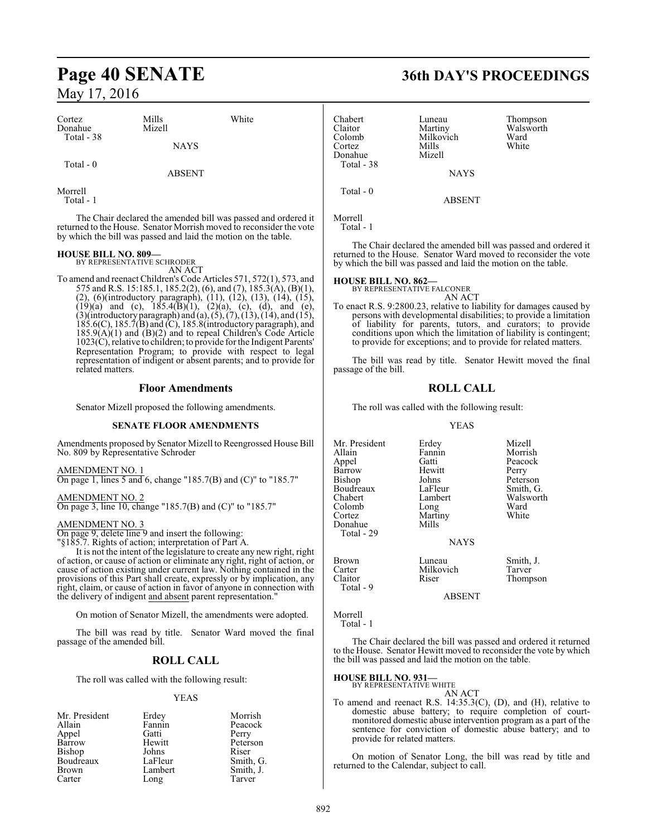#### Cortez Mills White Donahue Mizell Total - 38 **NAYS**  Total - 0 ABSENT Morrell Total - 1 The Chair declared the amended bill was passed and ordered it returned to the House. Senator Morrish moved to reconsider the vote by which the bill was passed and laid the motion on the table. **HOUSE BILL NO. 809—** BY REPRESENTATIVE SCHRODER Chabert Luneau Thompson<br>Claitor Martiny Walsworth Claitor Martiny Walsworth Colomb Milkovich Ward<br>Cortez Mills White Cortez Mills White Donahue Mizell Total - 38 **NAYS**  Total - 0 ABSENT Morrell Total - 1

AN ACT

To amend and reenact Children's Code Articles 571, 572(1), 573, and 575 and R.S. 15:185.1, 185.2(2), (6), and (7), 185.3(A), (B)(1), (2), (6)(introductory paragraph), (11), (12), (13), (14), (15),  $(19)(a)$  and (c),  $185.4(B)(1)$ ,  $(2)(a)$ , (c), (d), and (e),  $(3)$ (introductory paragraph) and  $(a)$ ,  $(5)$ ,  $(7)$ ,  $(13)$ ,  $(14)$ , and  $(15)$ , 185.6(C), 185.7(B) and (C), 185.8(introductory paragraph), and 185.9(A)(1) and (B)(2) and to repeal Children's Code Article 1023(C), relative to children; to provide for the Indigent Parents' Representation Program; to provide with respect to legal representation of indigent or absent parents; and to provide for related matters.

#### **Floor Amendments**

Senator Mizell proposed the following amendments.

#### **SENATE FLOOR AMENDMENTS**

Amendments proposed by Senator Mizell to Reengrossed House Bill No. 809 by Representative Schroder

AMENDMENT NO. 1 On page 1, lines 5 and 6, change "185.7(B) and (C)" to "185.7"

AMENDMENT NO. 2 On page 3, line 10, change "185.7(B) and (C)" to "185.7"

#### AMENDMENT NO. 3

On page 9, delete line 9 and insert the following:

"§185.7. Rights of action; interpretation of Part A.

It is not the intent of the legislature to create any new right, right of action, or cause of action or eliminate any right, right of action, or cause of action existing under current law. Nothing contained in the provisions of this Part shall create, expressly or by implication, any right, claim, or cause of action in favor of anyone in connection with the delivery of indigent and absent parent representation."

On motion of Senator Mizell, the amendments were adopted.

The bill was read by title. Senator Ward moved the final passage of the amended bill.

#### **ROLL CALL**

The roll was called with the following result:

#### YEAS

| Mr. President | Erdey   | Morrish   |
|---------------|---------|-----------|
| Allain        | Fannin  | Peacock   |
| Appel         | Gatti   | Perry     |
| Barrow        | Hewitt  | Peterson  |
| <b>Bishop</b> | Johns   | Riser     |
| Boudreaux     | LaFleur | Smith, G. |
| Brown         | Lambert | Smith, J. |
| Carter        | Long    | Tarver    |

# **Page 40 SENATE 36th DAY'S PROCEEDINGS**

The Chair declared the amended bill was passed and ordered it returned to the House. Senator Ward moved to reconsider the vote by which the bill was passed and laid the motion on the table.

#### **HOUSE BILL NO. 862—**

BY REPRESENTATIVE FALCONER

- AN ACT
- To enact R.S. 9:2800.23, relative to liability for damages caused by persons with developmental disabilities; to provide a limitation of liability for parents, tutors, and curators; to provide conditions upon which the limitation of liability is contingent; to provide for exceptions; and to provide for related matters.

The bill was read by title. Senator Hewitt moved the final passage of the bill.

#### **ROLL CALL**

The roll was called with the following result:

#### YEAS

| Mr. President<br>Allain | Erdey<br>Fannin | Mizell<br>Morrish |
|-------------------------|-----------------|-------------------|
| Appel                   | Gatti           | Peacock           |
| Barrow                  | Hewitt          | Perry             |
| Bishop                  | Johns           | Peterson          |
| Boudreaux               | LaFleur         | Smith, G.         |
| Chabert                 | Lambert         | Walsworth         |
| Colomb                  | Long            | Ward              |
| Cortez                  | Martiny         | White             |
| Donahue                 | Mills           |                   |
| Total - 29              |                 |                   |
|                         | <b>NAYS</b>     |                   |
| Brown                   | Luneau          | Smith, J.         |
| Carter                  | Milkovich       | Tarver            |
| Claitor                 | Riser           | Thompson          |
| Total - 9               |                 |                   |

ABSENT

Morrell

Total - 1

The Chair declared the bill was passed and ordered it returned to the House. Senator Hewitt moved to reconsider the vote by which the bill was passed and laid the motion on the table.

#### **HOUSE BILL NO. 931—**

BY REPRESENTATIVE WHITE AN ACT

To amend and reenact R.S. 14:35.3(C), (D), and (H), relative to domestic abuse battery; to require completion of courtmonitored domestic abuse intervention program as a part of the sentence for conviction of domestic abuse battery; and to provide for related matters.

On motion of Senator Long, the bill was read by title and returned to the Calendar, subject to call.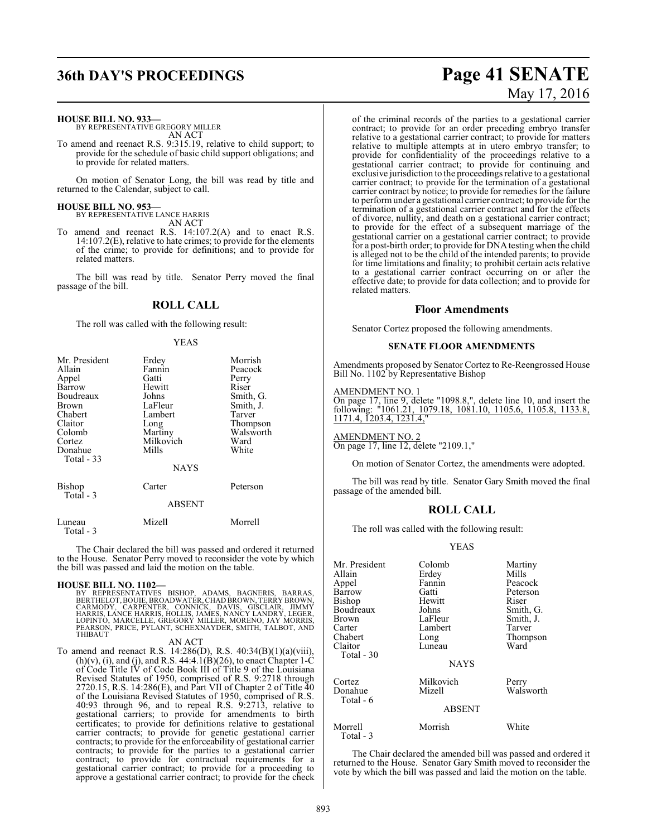**HOUSE BILL NO. 933—**

BY REPRESENTATIVE GREGORY MILLER AN ACT

To amend and reenact R.S. 9:315.19, relative to child support; to provide for the schedule of basic child support obligations; and to provide for related matters.

On motion of Senator Long, the bill was read by title and returned to the Calendar, subject to call.

**HOUSE BILL NO. 953—** BY REPRESENTATIVE LANCE HARRIS

AN ACT

To amend and reenact R.S. 14:107.2(A) and to enact R.S. 14:107.2(E), relative to hate crimes; to provide for the elements of the crime; to provide for definitions; and to provide for related matters.

The bill was read by title. Senator Perry moved the final passage of the bill.

### **ROLL CALL**

The roll was called with the following result:

#### YEAS

| Mr. President              | Erdey         | Morrish   |
|----------------------------|---------------|-----------|
| Allain                     | Fannin        | Peacock   |
| Appel                      | Gatti         | Perry     |
| Barrow                     | Hewitt        | Riser     |
| Boudreaux                  | Johns         | Smith, G. |
| Brown                      | LaFleur       | Smith, J. |
| Chabert                    | Lambert       | Tarver    |
| Claitor                    | Long          | Thompson  |
| Colomb                     | Martiny       | Walsworth |
| Cortez                     | Milkovich     | Ward      |
| Donahue                    | Mills         | White     |
| Total - 33                 |               |           |
|                            | <b>NAYS</b>   |           |
| <b>Bishop</b><br>Total - 3 | Carter        | Peterson  |
|                            | <b>ABSENT</b> |           |
| Luneau<br>Total - 3        | Mizell        | Morrell   |

The Chair declared the bill was passed and ordered it returned to the House. Senator Perry moved to reconsider the vote by which the bill was passed and laid the motion on the table.

**HOUSE BILL NO. 1102—**<br>BY REPRESENTATIVES BISHOP, ADAMS, BAGNERIS, BARRAS,<br>BERTHELOT, BOUIE, BROADWATER, CHAD BROWN, TERRY BROWN, CARMODY, CARPENTER, CONNICK, DAVIS, GISCLAIR, JIMMY<br>HARRIS, LANCE HARRIS, HOLLIS, JAMES, NAN THIBAUT

#### AN ACT

To amend and reenact R.S. 14:286(D), R.S. 40:34(B)(1)(a)(viii),  $(h)(v)$ , (i), and (j), and R.S. 44:4.1(B)(26), to enact Chapter 1-C of Code Title IV of Code Book III of Title 9 of the Louisiana Revised Statutes of 1950, comprised of R.S. 9:2718 through 2720.15, R.S. 14:286(E), and Part VII of Chapter 2 of Title 40 of the Louisiana Revised Statutes of 1950, comprised of R.S. 40:93 through 96, and to repeal R.S. 9:2713, relative to gestational carriers; to provide for amendments to birth certificates; to provide for definitions relative to gestational carrier contracts; to provide for genetic gestational carrier contracts; to provide for the enforceability of gestational carrier contracts; to provide for the parties to a gestational carrier contract; to provide for contractual requirements for a gestational carrier contract; to provide for a proceeding to approve a gestational carrier contract; to provide for the check

# **36th DAY'S PROCEEDINGS Page 41 SENATE** May 17, 2016

of the criminal records of the parties to a gestational carrier contract; to provide for an order preceding embryo transfer relative to a gestational carrier contract; to provide for matters relative to multiple attempts at in utero embryo transfer; to provide for confidentiality of the proceedings relative to a gestational carrier contract; to provide for continuing and exclusive jurisdiction to the proceedings relative to a gestational carrier contract; to provide for the termination of a gestational carrier contract by notice; to provide for remedies for the failure to perform under a gestational carrier contract; to provide for the termination of a gestational carrier contract and for the effects of divorce, nullity, and death on a gestational carrier contract; to provide for the effect of a subsequent marriage of the gestational carrier on a gestational carrier contract; to provide for a post-birth order; to provide for DNA testing when the child is alleged not to be the child of the intended parents; to provide for time limitations and finality; to prohibit certain acts relative to a gestational carrier contract occurring on or after the effective date; to provide for data collection; and to provide for related matters.

#### **Floor Amendments**

Senator Cortez proposed the following amendments.

#### **SENATE FLOOR AMENDMENTS**

Amendments proposed by Senator Cortez to Re-Reengrossed House Bill No. 1102 by Representative Bishop

## AMENDMENT NO. 1

On page 17, line 9, delete "1098.8,", delete line 10, and insert the following: "1061.21, 1079.18, 1081.10, 1105.6, 1105.8, 1133.8, 1171.4, 1203.4, 1231.4,"

#### AMENDMENT NO. 2

On page 17, line 12, delete "2109.1,"

On motion of Senator Cortez, the amendments were adopted.

The bill was read by title. Senator Gary Smith moved the final passage of the amended bill.

#### **ROLL CALL**

The roll was called with the following result:

#### YEAS

| Mr. President | Colomb        | Martiny   |
|---------------|---------------|-----------|
| Allain        | Erdey         | Mills     |
| Appel         | Fannin        | Peacock   |
| Barrow        | Gatti         | Peterson  |
| Bishop        | Hewitt        | Riser     |
| Boudreaux     | Johns         | Smith, G. |
| Brown         | LaFleur       | Smith, J. |
| Carter        | Lambert       | Tarver    |
| Chabert       | Long          | Thompson  |
| Claitor       | Luneau        | Ward      |
| Total - 30    |               |           |
|               | <b>NAYS</b>   |           |
| Cortez        | Milkovich     | Perry     |
| Donahue       | Mizell        | Walsworth |
| Total - 6     |               |           |
|               | <b>ABSENT</b> |           |
| Morrell       | Morrish       | White     |
| Total - 3     |               |           |

The Chair declared the amended bill was passed and ordered it returned to the House. Senator Gary Smith moved to reconsider the vote by which the bill was passed and laid the motion on the table.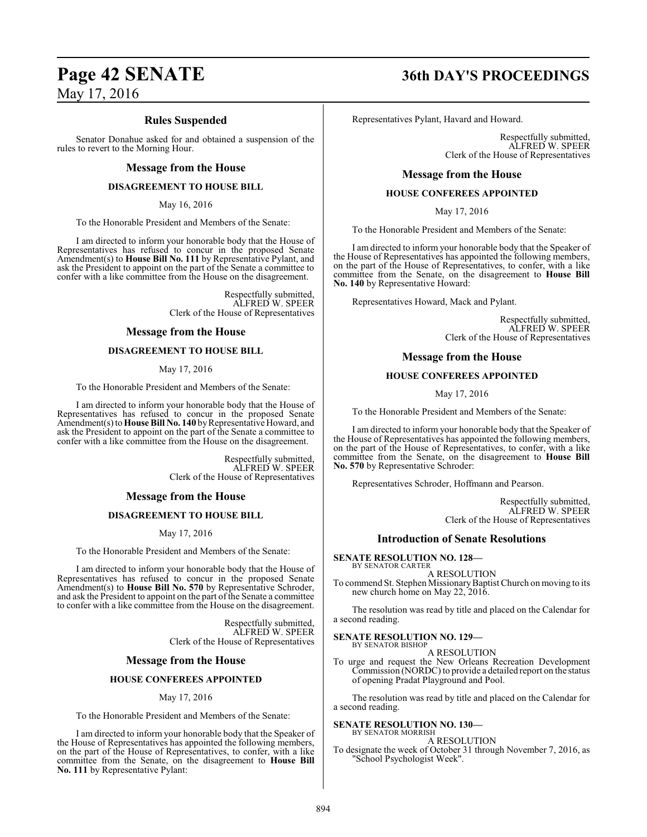#### **Rules Suspended**

Senator Donahue asked for and obtained a suspension of the rules to revert to the Morning Hour.

#### **Message from the House**

#### **DISAGREEMENT TO HOUSE BILL**

May 16, 2016

To the Honorable President and Members of the Senate:

I am directed to inform your honorable body that the House of Representatives has refused to concur in the proposed Senate Amendment(s) to **House Bill No. 111** by Representative Pylant, and ask the President to appoint on the part of the Senate a committee to confer with a like committee from the House on the disagreement.

> Respectfully submitted, ALFRED W. SPEER Clerk of the House of Representatives

#### **Message from the House**

#### **DISAGREEMENT TO HOUSE BILL**

#### May 17, 2016

To the Honorable President and Members of the Senate:

I am directed to inform your honorable body that the House of Representatives has refused to concur in the proposed Senate Amendment(s) to **House Bill No. 140** by Representative Howard, and ask the President to appoint on the part of the Senate a committee to confer with a like committee from the House on the disagreement.

> Respectfully submitted, ALFRED W. SPEER Clerk of the House of Representatives

#### **Message from the House**

#### **DISAGREEMENT TO HOUSE BILL**

May 17, 2016

To the Honorable President and Members of the Senate:

I am directed to inform your honorable body that the House of Representatives has refused to concur in the proposed Senate Amendment(s) to **House Bill No. 570** by Representative Schroder, and ask the President to appoint on the part of the Senate a committee to confer with a like committee from the House on the disagreement.

> Respectfully submitted, ALFRED W. SPEER Clerk of the House of Representatives

#### **Message from the House**

#### **HOUSE CONFEREES APPOINTED**

#### May 17, 2016

To the Honorable President and Members of the Senate:

I am directed to inform your honorable body that the Speaker of the House of Representatives has appointed the following members, on the part of the House of Representatives, to confer, with a like committee from the Senate, on the disagreement to **House Bill No. 111** by Representative Pylant:

# **Page 42 SENATE 36th DAY'S PROCEEDINGS**

Representatives Pylant, Havard and Howard.

Respectfully submitted, ALFRED W. SPEER Clerk of the House of Representatives

#### **Message from the House**

#### **HOUSE CONFEREES APPOINTED**

May 17, 2016

To the Honorable President and Members of the Senate:

I am directed to inform your honorable body that the Speaker of the House of Representatives has appointed the following members, on the part of the House of Representatives, to confer, with a like committee from the Senate, on the disagreement to **House Bill No. 140** by Representative Howard:

Representatives Howard, Mack and Pylant.

Respectfully submitted, ALFRED W. SPEER Clerk of the House of Representatives

#### **Message from the House**

#### **HOUSE CONFEREES APPOINTED**

May 17, 2016

To the Honorable President and Members of the Senate:

I am directed to inform your honorable body that the Speaker of the House of Representatives has appointed the following members, on the part of the House of Representatives, to confer, with a like committee from the Senate, on the disagreement to **House Bill No. 570** by Representative Schroder:

Representatives Schroder, Hoffmann and Pearson.

Respectfully submitted, ALFRED W. SPEER Clerk of the House of Representatives

#### **Introduction of Senate Resolutions**

**SENATE RESOLUTION NO. 128—** BY SENATOR CARTER

A RESOLUTION To commend St. Stephen Missionary Baptist Church on moving to its new church home on May 22, 2016.

The resolution was read by title and placed on the Calendar for a second reading.

#### **SENATE RESOLUTION NO. 129—**

BY SENATOR BISHOP A RESOLUTION

To urge and request the New Orleans Recreation Development Commission (NORDC) to provide a detailed report on the status of opening Pradat Playground and Pool.

The resolution was read by title and placed on the Calendar for a second reading.

#### **SENATE RESOLUTION NO. 130—**

BY SENATOR MORRISH A RESOLUTION

To designate the week of October 31 through November 7, 2016, as "School Psychologist Week".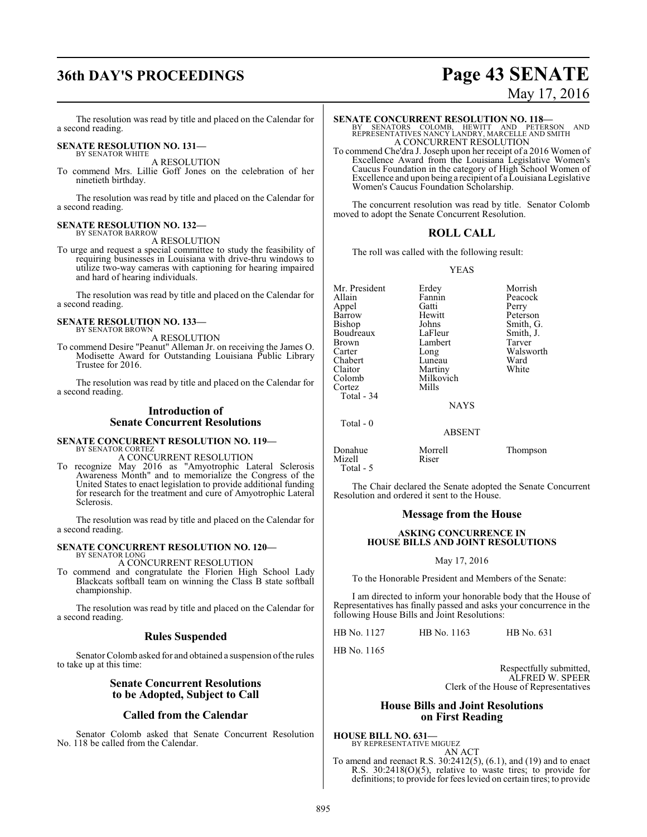# **36th DAY'S PROCEEDINGS Page 43 SENATE**

# May 17, 2016

The resolution was read by title and placed on the Calendar for a second reading.

#### **SENATE RESOLUTION NO. 131—** BY SENATOR WHITE

A RESOLUTION

To commend Mrs. Lillie Goff Jones on the celebration of her ninetieth birthday.

The resolution was read by title and placed on the Calendar for a second reading.

#### **SENATE RESOLUTION NO. 132—** BY SENATOR BARROW

A RESOLUTION

To urge and request a special committee to study the feasibility of requiring businesses in Louisiana with drive-thru windows to utilize two-way cameras with captioning for hearing impaired and hard of hearing individuals.

The resolution was read by title and placed on the Calendar for a second reading.

#### **SENATE RESOLUTION NO. 133—** BY SENATOR BROWN

A RESOLUTION

To commend Desire "Peanut" Alleman Jr. on receiving the James O. Modisette Award for Outstanding Louisiana Public Library Trustee for 2016.

The resolution was read by title and placed on the Calendar for a second reading.

#### **Introduction of Senate Concurrent Resolutions**

#### **SENATE CONCURRENT RESOLUTION NO. 119—** BY SENATOR CORTEZ

A CONCURRENT RESOLUTION

To recognize May 2016 as "Amyotrophic Lateral Sclerosis Awareness Month" and to memorialize the Congress of the United States to enact legislation to provide additional funding for research for the treatment and cure of Amyotrophic Lateral Sclerosis.

The resolution was read by title and placed on the Calendar for a second reading.

#### **SENATE CONCURRENT RESOLUTION NO. 120—** BY SENATOR LONG

A CONCURRENT RESOLUTION

To commend and congratulate the Florien High School Lady Blackcats softball team on winning the Class B state softball championship.

The resolution was read by title and placed on the Calendar for a second reading.

#### **Rules Suspended**

Senator Colomb asked for and obtained a suspension of the rules to take up at this time:

#### **Senate Concurrent Resolutions to be Adopted, Subject to Call**

#### **Called from the Calendar**

Senator Colomb asked that Senate Concurrent Resolution No. 118 be called from the Calendar.

#### **SENATE CONCURRENT RESOLUTION NO. 118—**

BY SENATORS COLOMB, HEWITT AND PETERSON AND REPRESENTATIVES NANCY LANDRY, MARCELLE AND SMITH A CONCURRENT RESOLUTION

To commend Che'dra J. Joseph upon her receipt of a 2016 Women of Excellence Award from the Louisiana Legislative Women's Caucus Foundation in the category of High School Women of Excellence and upon being a recipient of a Louisiana Legislative Women's Caucus Foundation Scholarship.

The concurrent resolution was read by title. Senator Colomb moved to adopt the Senate Concurrent Resolution.

#### **ROLL CALL**

The roll was called with the following result:

#### YEAS

| Mr. President<br>Allain<br>Appel<br>Barrow<br>Bishop<br>Boudreaux<br>Brown<br>Carter<br>Chabert<br>Claitor<br>Colomb<br>Cortez<br>Total - 34<br>Total $-0$ | Erdey<br>Fannin<br>Gatti<br>Hewitt<br>Johns<br>LaFleur<br>Lambert<br>Long<br>Luneau<br>Martiny<br>Milkovich<br>Mills<br><b>NAYS</b> | Morrish<br>Peacock<br>Perry<br>Peterson<br>Smith, G.<br>Smith, J.<br>Tarver<br>Walsworth<br>Ward<br>White |
|------------------------------------------------------------------------------------------------------------------------------------------------------------|-------------------------------------------------------------------------------------------------------------------------------------|-----------------------------------------------------------------------------------------------------------|
|                                                                                                                                                            | <b>ABSENT</b>                                                                                                                       |                                                                                                           |
| Donahue<br>Mizell                                                                                                                                          | Morrell<br>Riser                                                                                                                    | Thompson                                                                                                  |

The Chair declared the Senate adopted the Senate Concurrent Resolution and ordered it sent to the House.

#### **Message from the House**

#### **ASKING CONCURRENCE IN HOUSE BILLS AND JOINT RESOLUTIONS**

#### May 17, 2016

To the Honorable President and Members of the Senate:

I am directed to inform your honorable body that the House of Representatives has finally passed and asks your concurrence in the following House Bills and Joint Resolutions:

HB No. 1127 HB No. 1163 HB No. 631

HB No. 1165

Total - 5

Respectfully submitted, ALFRED W. SPEER Clerk of the House of Representatives

#### **House Bills and Joint Resolutions on First Reading**

**HOUSE BILL NO. 631—**

BY REPRESENTATIVE MIGUEZ AN ACT

To amend and reenact R.S. 30:2412(5), (6.1), and (19) and to enact R.S. 30:2418(O)(5), relative to waste tires; to provide for definitions; to provide for fees levied on certain tires; to provide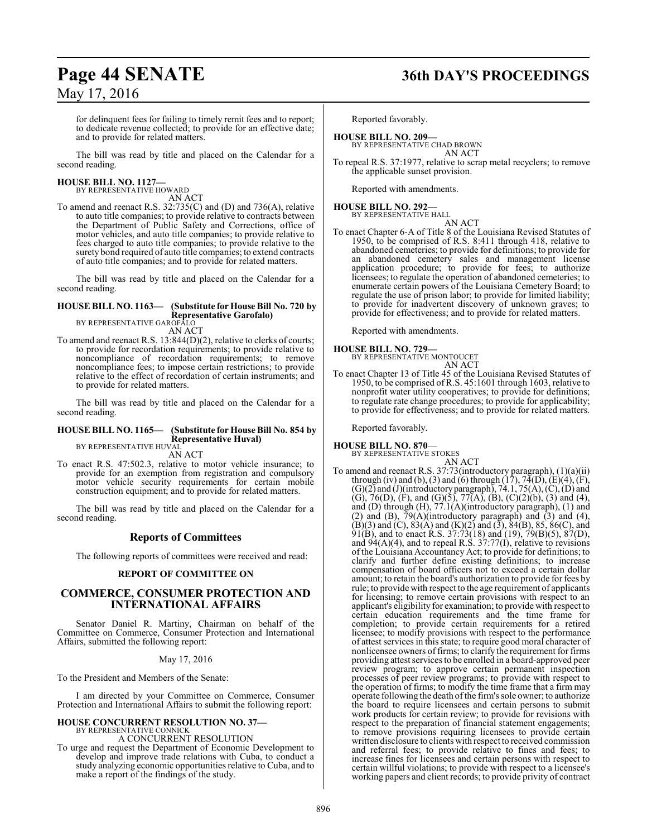for delinquent fees for failing to timely remit fees and to report; to dedicate revenue collected; to provide for an effective date; and to provide for related matters.

The bill was read by title and placed on the Calendar for a second reading.

# **HOUSE BILL NO. 1127—** BY REPRESENTATIVE HOWARD

AN ACT

To amend and reenact R.S. 32:735(C) and (D) and 736(A), relative to auto title companies; to provide relative to contracts between the Department of Public Safety and Corrections, office of motor vehicles, and auto title companies; to provide relative to fees charged to auto title companies; to provide relative to the surety bond required of auto title companies; to extend contracts of auto title companies; and to provide for related matters.

The bill was read by title and placed on the Calendar for a second reading.

#### **HOUSE BILL NO. 1163— (Substitute for House Bill No. 720 by Representative Garofalo)** BY REPRESENTATIVE GAROFALO

AN ACT

To amend and reenact R.S. 13:844(D)(2), relative to clerks of courts; to provide for recordation requirements; to provide relative to noncompliance of recordation requirements; to remove noncompliance fees; to impose certain restrictions; to provide relative to the effect of recordation of certain instruments; and to provide for related matters.

The bill was read by title and placed on the Calendar for a second reading.

#### **HOUSE BILL NO. 1165— (Substitute for House Bill No. 854 by Representative Huval)** BY REPRESENTATIVE HUVAL

AN ACT

To enact R.S. 47:502.3, relative to motor vehicle insurance; to provide for an exemption from registration and compulsory motor vehicle security requirements for certain mobile construction equipment; and to provide for related matters.

The bill was read by title and placed on the Calendar for a second reading.

### **Reports of Committees**

The following reports of committees were received and read:

#### **REPORT OF COMMITTEE ON**

### **COMMERCE, CONSUMER PROTECTION AND INTERNATIONAL AFFAIRS**

Senator Daniel R. Martiny, Chairman on behalf of the Committee on Commerce, Consumer Protection and International Affairs, submitted the following report:

May 17, 2016

To the President and Members of the Senate:

I am directed by your Committee on Commerce, Consumer Protection and International Affairs to submit the following report:

# **HOUSE CONCURRENT RESOLUTION NO. 37—** BY REPRESENTATIVE CONNICK

A CONCURRENT RESOLUTION

To urge and request the Department of Economic Development to develop and improve trade relations with Cuba, to conduct a study analyzing economic opportunities relative to Cuba, and to make a report of the findings of the study.

# **Page 44 SENATE 36th DAY'S PROCEEDINGS**

Reported favorably.

#### **HOUSE BILL NO. 209—** BY REPRESENTATIVE CHAD BROWN AN ACT

To repeal R.S. 37:1977, relative to scrap metal recyclers; to remove the applicable sunset provision.

Reported with amendments.

#### **HOUSE BILL NO. 292—** BY REPRESENTATIVE HALL

AN ACT

To enact Chapter 6-A of Title 8 of the Louisiana Revised Statutes of 1950, to be comprised of R.S. 8:411 through 418, relative to abandoned cemeteries; to provide for definitions; to provide for an abandoned cemetery sales and management license application procedure; to provide for fees; to authorize licensees; to regulate the operation of abandoned cemeteries; to enumerate certain powers of the Louisiana Cemetery Board; to regulate the use of prison labor; to provide for limited liability; to provide for inadvertent discovery of unknown graves; to provide for effectiveness; and to provide for related matters.

Reported with amendments.

#### **HOUSE BILL NO. 729—**

BY REPRESENTATIVE MONTOUCET AN ACT

To enact Chapter 13 of Title 45 of the Louisiana Revised Statutes of 1950, to be comprised of R.S. 45:1601 through 1603, relative to nonprofit water utility cooperatives; to provide for definitions; to regulate rate change procedures; to provide for applicability; to provide for effectiveness; and to provide for related matters.

Reported favorably.

#### **HOUSE BILL NO. 870**— BY REPRESENTATIVE STOKES

AN ACT

To amend and reenact R.S. 37:73(introductory paragraph), (1)(a)(ii) through (iv) and (b), (3) and (6) through  $(17)$ ,  $74(D)$ ,  $(E)(4)$ ,  $(F)$ ,  $(G)(2)$  and  $(J)($ introductory paragraph), 74.1, 75 $(A)$ ,  $(C)$ ,  $(D)$  and (G), 76(D), (F), and (G)(5), 77(A), (B), (C)(2)(b), (3) and (4), and (D) through (H), 77.1(A)(introductory paragraph), (1) and (2) and (B),  $\overline{79(A)}$ (introductory paragraph) and (3) and (4),  $(B)(3)$  and  $(C)$ ,  $83(A)$  and  $(K)(2)$  and  $(3)$ ,  $84(B)$ ,  $85$ ,  $86(C)$ , and 91(B), and to enact R.S.  $37:73(18)$  and (19),  $79(B)(5)$ ,  $87(D)$ , and  $94(A)(4)$ , and to repeal R.S.  $37:77(I)$ , relative to revisions of the Louisiana Accountancy Act; to provide for definitions; to clarify and further define existing definitions; to increase compensation of board officers not to exceed a certain dollar amount; to retain the board's authorization to provide for fees by rule; to provide with respect to the age requirement of applicants for licensing; to remove certain provisions with respect to an applicant's eligibility for examination; to provide with respect to certain education requirements and the time frame for completion; to provide certain requirements for a retired licensee; to modify provisions with respect to the performance of attest services in this state; to require good moral character of nonlicensee owners of firms; to clarify the requirement for firms providing attest services to be enrolled in a board-approved peer review program; to approve certain permanent inspection processes of peer review programs; to provide with respect to the operation of firms; to modify the time frame that a firm may operate following the death ofthe firm's sole owner; to authorize the board to require licensees and certain persons to submit work products for certain review; to provide for revisions with respect to the preparation of financial statement engagements; to remove provisions requiring licensees to provide certain written disclosure to clients with respect to received commission and referral fees; to provide relative to fines and fees; to increase fines for licensees and certain persons with respect to certain willful violations; to provide with respect to a licensee's working papers and client records; to provide privity of contract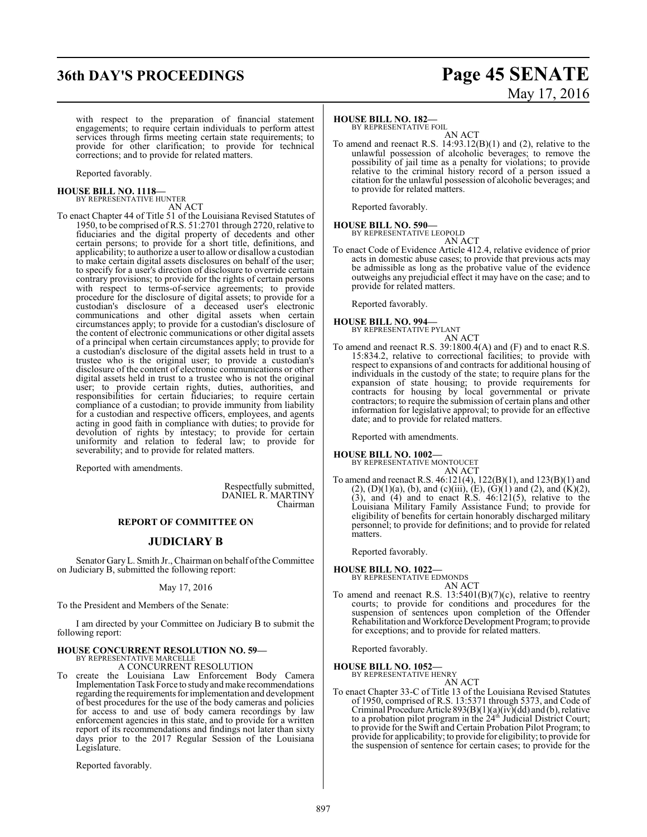# **36th DAY'S PROCEEDINGS Page 45 SENATE**

# May 17, 2016

with respect to the preparation of financial statement engagements; to require certain individuals to perform attest services through firms meeting certain state requirements; to provide for other clarification; to provide for technical corrections; and to provide for related matters.

Reported favorably.

# **HOUSE BILL NO. 1118—** BY REPRESENTATIVE HUNTER

AN ACT

To enact Chapter 44 of Title 51 of the Louisiana Revised Statutes of 1950, to be comprised of R.S. 51:2701 through 2720, relative to fiduciaries and the digital property of decedents and other certain persons; to provide for a short title, definitions, and applicability; to authorize a user to allowor disallow a custodian to make certain digital assets disclosures on behalf of the user; to specify for a user's direction of disclosure to override certain contrary provisions; to provide for the rights of certain persons with respect to terms-of-service agreements; to provide procedure for the disclosure of digital assets; to provide for a custodian's disclosure of a deceased user's electronic communications and other digital assets when certain circumstances apply; to provide for a custodian's disclosure of the content of electronic communications or other digital assets of a principal when certain circumstances apply; to provide for a custodian's disclosure of the digital assets held in trust to a trustee who is the original user; to provide a custodian's disclosure of the content of electronic communications or other digital assets held in trust to a trustee who is not the original user; to provide certain rights, duties, authorities, and responsibilities for certain fiduciaries; to require certain compliance of a custodian; to provide immunity from liability for a custodian and respective officers, employees, and agents acting in good faith in compliance with duties; to provide for devolution of rights by intestacy; to provide for certain uniformity and relation to federal law; to provide for severability; and to provide for related matters.

Reported with amendments.

Respectfully submitted, DANIEL R. MARTINY Chairman

#### **REPORT OF COMMITTEE ON**

#### **JUDICIARY B**

Senator GaryL. Smith Jr., Chairman on behalf ofthe Committee on Judiciary B, submitted the following report:

#### May 17, 2016

To the President and Members of the Senate:

I am directed by your Committee on Judiciary B to submit the following report:

# **HOUSE CONCURRENT RESOLUTION NO. 59—** BY REPRESENTATIVE MARCELLE

A CONCURRENT RESOLUTION

To create the Louisiana Law Enforcement Body Camera Implementation Task Force to study and make recommendations regarding the requirements for implementation and development of best procedures for the use of the body cameras and policies for access to and use of body camera recordings by law enforcement agencies in this state, and to provide for a written report of its recommendations and findings not later than sixty days prior to the 2017 Regular Session of the Louisiana Legislature.

Reported favorably.

#### **HOUSE BILL NO. 182—**

BY REPRESENTATIVE FOIL

AN ACT To amend and reenact R.S. 14:93.12(B)(1) and (2), relative to the unlawful possession of alcoholic beverages; to remove the possibility of jail time as a penalty for violations; to provide relative to the criminal history record of a person issued a citation for the unlawful possession of alcoholic beverages; and to provide for related matters.

Reported favorably.

#### **HOUSE BILL NO. 590—** BY REPRESENTATIVE LEOPOLD AN ACT

To enact Code of Evidence Article 412.4, relative evidence of prior acts in domestic abuse cases; to provide that previous acts may be admissible as long as the probative value of the evidence outweighs any prejudicial effect it may have on the case; and to provide for related matters.

Reported favorably.

# **HOUSE BILL NO. 994—** BY REPRESENTATIVE PYLANT

AN ACT

To amend and reenact R.S. 39:1800.4(A) and (F) and to enact R.S. 15:834.2, relative to correctional facilities; to provide with respect to expansions of and contracts for additional housing of individuals in the custody of the state; to require plans for the expansion of state housing; to provide requirements for contracts for housing by local governmental or private contractors; to require the submission of certain plans and other information for legislative approval; to provide for an effective date; and to provide for related matters.

Reported with amendments.

**HOUSE BILL NO. 1002—**

BY REPRESENTATIVE MONTOUCET AN ACT

To amend and reenact R.S. 46:121(4), 122(B)(1), and 123(B)(1) and  $(2)$ ,  $(D)(1)(a)$ ,  $(b)$ , and  $(c)(iii)$ ,  $(E)$ ,  $(\dot{G})(1)$  and  $(2)$ , and  $(\dot{K})(2)$ ,  $(3)$ , and  $(4)$  and to enact R.S.  $46:121(5)$ , relative to the Louisiana Military Family Assistance Fund; to provide for eligibility of benefits for certain honorably discharged military personnel; to provide for definitions; and to provide for related matters.

Reported favorably.

# **HOUSE BILL NO. 1022—** BY REPRESENTATIVE EDMONDS

AN ACT

To amend and reenact R.S. 13:5401(B)(7)(c), relative to reentry courts; to provide for conditions and procedures for the suspension of sentences upon completion of the Offender Rehabilitation andWorkforceDevelopment Program; to provide for exceptions; and to provide for related matters.

Reported favorably.

**HOUSE BILL NO. 1052—**

BY REPRESENTATIVE HENRY AN ACT

To enact Chapter 33-C of Title 13 of the Louisiana Revised Statutes of 1950, comprised of R.S. 13:5371 through 5373, and Code of Criminal Procedure Article  $893(B)(1)(a)(iv)(dd)$  and (b), relative to a probation pilot program in the 24<sup>th</sup> Judicial District Court; to provide for the Swift and Certain Probation Pilot Program; to provide for applicability; to provide for eligibility; to provide for the suspension of sentence for certain cases; to provide for the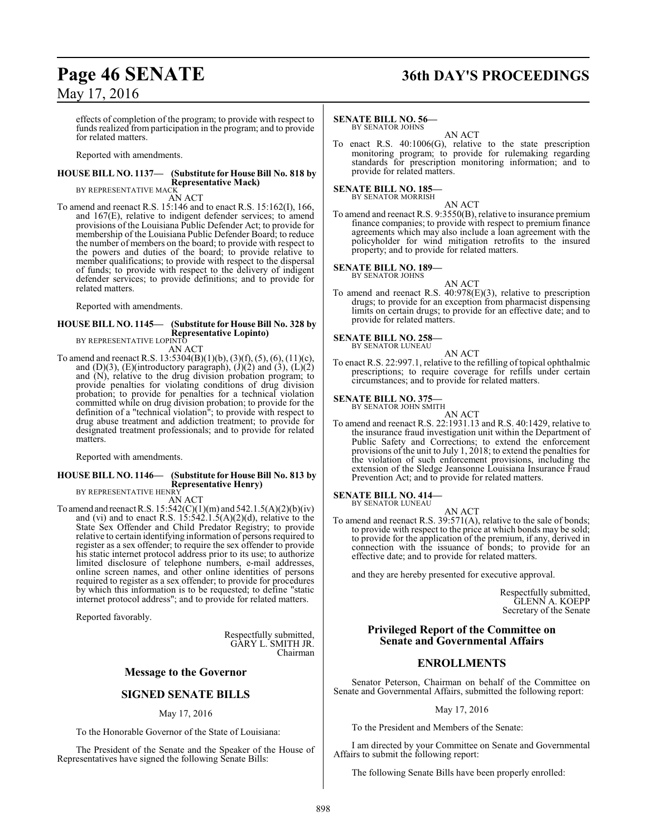# **Page 46 SENATE 36th DAY'S PROCEEDINGS**

May 17, 2016

effects of completion of the program; to provide with respect to funds realized from participation in the program; and to provide for related matters.

Reported with amendments.

#### **HOUSE BILL NO. 1137— (Substitute for House Bill No. 818 by Representative Mack)** BY REPRESENTATIVE MACK

AN ACT

To amend and reenact R.S. 15:146 and to enact R.S. 15:162(I), 166, and 167(E), relative to indigent defender services; to amend provisions of the Louisiana Public Defender Act; to provide for membership of the Louisiana Public Defender Board; to reduce the number of members on the board; to provide with respect to the powers and duties of the board; to provide relative to member qualifications; to provide with respect to the dispersal of funds; to provide with respect to the delivery of indigent defender services; to provide definitions; and to provide for related matters.

Reported with amendments.

#### **HOUSE BILL NO. 1145— (Substitute for House Bill No. 328 by Representative Lopinto)** BY REPRESENTATIVE LOPINTO

AN ACT

To amend and reenact R.S. 13:5304(B)(1)(b), (3)(f), (5), (6), (11)(c), and  $(D)(3)$ ,  $(E)$ (introductory paragraph),  $(J)(2)$  and  $(3)$ ,  $(L)(2)$ and (N), relative to the drug division probation program; to provide penalties for violating conditions of drug division probation; to provide for penalties for a technical violation committed while on drug division probation; to provide for the definition of a "technical violation"; to provide with respect to drug abuse treatment and addiction treatment; to provide for designated treatment professionals; and to provide for related matters.

Reported with amendments.

## **HOUSE BILL NO. 1146— (Substitute for House Bill No. 813 by Representative Henry)** BY REPRESENTATIVE HENRY

AN ACT

To amend and reenact R.S.  $15:542(C)(1)(m)$  and  $542.1.5(A)(2)(b)(iv)$ and (vi) and to enact R.S.  $15:542.1.5(A)(2)(d)$ , relative to the State Sex Offender and Child Predator Registry; to provide relative to certain identifying information of persons required to register as a sex offender; to require the sex offender to provide his static internet protocol address prior to its use; to authorize limited disclosure of telephone numbers, e-mail addresses, online screen names, and other online identities of persons required to register as a sex offender; to provide for procedures by which this information is to be requested; to define "static internet protocol address"; and to provide for related matters.

Reported favorably.

Respectfully submitted, GARY L. SMITH JR. Chairman

#### **Message to the Governor**

#### **SIGNED SENATE BILLS**

May 17, 2016

To the Honorable Governor of the State of Louisiana:

The President of the Senate and the Speaker of the House of Representatives have signed the following Senate Bills:

#### **SENATE BILL NO. 56—**

BY SENATOR JOHNS AN ACT

To enact R.S. 40:1006(G), relative to the state prescription monitoring program; to provide for rulemaking regarding standards for prescription monitoring information; and to provide for related matters.

#### **SENATE BILL NO. 185**

BY SENATOR MORRISH

AN ACT To amend and reenact R.S. 9:3550(B), relative to insurance premium finance companies; to provide with respect to premium finance agreements which may also include a loan agreement with the policyholder for wind mitigation retrofits to the insured property; and to provide for related matters.

#### **SENATE BILL NO. 189—** BY SENATOR JOHNS

- AN ACT
- To amend and reenact R.S. 40:978(E)(3), relative to prescription drugs; to provide for an exception from pharmacist dispensing limits on certain drugs; to provide for an effective date; and to provide for related matters.

#### **SENATE BILL NO. 258—** BY SENATOR LUNEAU

AN ACT

To enact R.S. 22:997.1, relative to the refilling of topical ophthalmic prescriptions; to require coverage for refills under certain circumstances; and to provide for related matters.

#### **SENATE BILL NO. 375—**

BY SENATOR JOHN SMITH

AN ACT To amend and reenact R.S. 22:1931.13 and R.S. 40:1429, relative to the insurance fraud investigation unit within the Department of Public Safety and Corrections; to extend the enforcement provisions of the unit to July 1, 2018; to extend the penalties for the violation of such enforcement provisions, including the extension of the Sledge Jeansonne Louisiana Insurance Fraud Prevention Act; and to provide for related matters.

#### **SENATE BILL NO. 414—** BY SENATOR LUNEAU

To amend and reenact R.S. 39:571(A), relative to the sale of bonds; to provide with respect to the price at which bonds may be sold; to provide for the application of the premium, if any, derived in connection with the issuance of bonds; to provide for an effective date; and to provide for related matters.

AN ACT

and they are hereby presented for executive approval.

Respectfully submitted, GLENN A. KOEPP Secretary of the Senate

#### **Privileged Report of the Committee on Senate and Governmental Affairs**

### **ENROLLMENTS**

Senator Peterson, Chairman on behalf of the Committee on Senate and Governmental Affairs, submitted the following report:

#### May 17, 2016

To the President and Members of the Senate:

I am directed by your Committee on Senate and Governmental Affairs to submit the following report:

The following Senate Bills have been properly enrolled: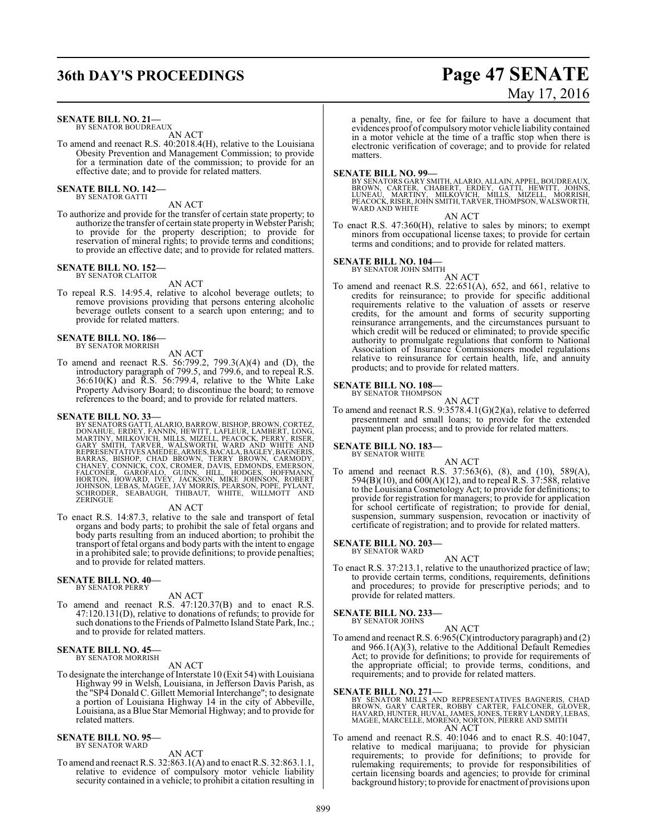# **36th DAY'S PROCEEDINGS Page 47 SENATE**

#### **SENATE BILL NO. 21—**

BY SENATOR BOUDREAUX AN ACT

To amend and reenact R.S. 40:2018.4(H), relative to the Louisiana Obesity Prevention and Management Commission; to provide for a termination date of the commission; to provide for an effective date; and to provide for related matters.

#### **SENATE BILL NO. 142—** BY SENATOR GATTI

AN ACT

To authorize and provide for the transfer of certain state property; to authorize the transfer of certain state property in Webster Parish; to provide for the property description; to provide for reservation of mineral rights; to provide terms and conditions; to provide an effective date; and to provide for related matters.

#### **SENATE BILL NO. 152—** BY SENATOR CLAITOR

AN ACT

To repeal R.S. 14:95.4, relative to alcohol beverage outlets; to remove provisions providing that persons entering alcoholic beverage outlets consent to a search upon entering; and to provide for related matters.

#### **SENATE BILL NO. 186—** BY SENATOR MORRISH

AN ACT

To amend and reenact R.S. 56:799.2, 799.3(A)(4) and (D), the introductory paragraph of 799.5, and 799.6, and to repeal R.S.  $36:610(K)$  and R.S.  $56:799.4$ , relative to the White Lake Property Advisory Board; to discontinue the board; to remove references to the board; and to provide for related matters.

**SENATE BILL NO. 33—**<br>BY SENATORS GATTI, ALARIO, BARROW, BISHOP, BROWN, CORTEZ, BY SENATORS GATTI, ALARIO, BARROW, BISHOP, BROWN, CORTEZ, DONAHUE, ERDEY, FANNIN, HEWITT, LAFLEUR, LAMBERT, LONG, MARTINY, MILKOVICH, MILLIS, MIZELL, PEACOCK, PERRY, RISER, GARY SMITH, TARVER, WALSWORTH, WARD AND WHITE AND

AN ACT

To enact R.S. 14:87.3, relative to the sale and transport of fetal organs and body parts; to prohibit the sale of fetal organs and body parts resulting from an induced abortion; to prohibit the transport of fetal organs and body parts with the intent to engage in a prohibited sale; to provide definitions; to provide penalties; and to provide for related matters.

#### **SENATE BILL NO. 40—** BY SENATOR PERRY

AN ACT

To amend and reenact R.S. 47:120.37(B) and to enact R.S. 47:120.131(D), relative to donations of refunds; to provide for such donations to the Friends of Palmetto Island State Park, Inc.; and to provide for related matters.

#### **SENATE BILL NO. 45—** BY SENATOR MORRISH

AN ACT

To designate the interchange of Interstate 10 (Exit 54) with Louisiana Highway 99 in Welsh, Louisiana, in Jefferson Davis Parish, as the "SP4 Donald C. Gillett Memorial Interchange"; to designate a portion of Louisiana Highway 14 in the city of Abbeville, Louisiana, as a Blue Star Memorial Highway; and to provide for related matters.

#### **SENATE BILL NO. 95—** BY SENATOR WARD

AN ACT

To amend and reenact R.S. 32:863.1(A) and to enact R.S. 32:863.1.1, relative to evidence of compulsory motor vehicle liability security contained in a vehicle; to prohibit a citation resulting in May 17, 2016

a penalty, fine, or fee for failure to have a document that evidences proof of compulsorymotor vehicle liability contained in a motor vehicle at the time of a traffic stop when there is electronic verification of coverage; and to provide for related matters.

#### **SENATE BILL NO. 99—**

BY SENATORS GARY SMITH, ALARIO, ALLAIN, APPEL, BOUDREAUX,<br>BROWN, CARTER, CHABERT, ERDEY, GATTI, HEWITT, JOHNS,<br>LUNEAU, MARTINY, MILKOVICH, MILLS, MIZELL, MORRISH,<br>PEACOCK, RISER, JOHN SMITH, TARVER, T

#### AN ACT

To enact R.S. 47:360(H), relative to sales by minors; to exempt minors from occupational license taxes; to provide for certain terms and conditions; and to provide for related matters.

# **SENATE BILL NO. 104—** BY SENATOR JOHN SMITH

- AN ACT
- To amend and reenact R.S. 22:651(A), 652, and 661, relative to credits for reinsurance; to provide for specific additional requirements relative to the valuation of assets or reserve credits, for the amount and forms of security supporting reinsurance arrangements, and the circumstances pursuant to which credit will be reduced or eliminated; to provide specific authority to promulgate regulations that conform to National Association of Insurance Commissioners model regulations relative to reinsurance for certain health, life, and annuity products; and to provide for related matters.

#### **SENATE BILL NO. 108—**

BY SENATOR THOMPSON AN ACT

To amend and reenact R.S. 9:3578.4.1(G)(2)(a), relative to deferred presentment and small loans; to provide for the extended payment plan process; and to provide for related matters.

#### **SENATE BILL NO. 183—**

- BY SENATOR WHITE
- AN ACT To amend and reenact R.S. 37:563(6), (8), and (10), 589(A), 594(B)(10), and 600(A)(12), and to repeal R.S. 37:588, relative to the Louisiana Cosmetology Act; to provide for definitions; to provide for registration for managers; to provide for application for school certificate of registration; to provide for denial, suspension, summary suspension, revocation or inactivity of certificate of registration; and to provide for related matters.

#### **SENATE BILL NO. 203—** BY SENATOR WARD

AN ACT

To enact R.S. 37:213.1, relative to the unauthorized practice of law; to provide certain terms, conditions, requirements, definitions and procedures; to provide for prescriptive periods; and to provide for related matters.

**SENATE BILL NO. 233—** BY SENATOR JOHNS

AN ACT

To amend and reenact R.S. 6:965(C)(introductory paragraph) and (2) and 966.1(A)(3), relative to the Additional Default Remedies Act; to provide for definitions; to provide for requirements of the appropriate official; to provide terms, conditions, and requirements; and to provide for related matters.

#### **SENATE BILL NO. 271—**

BY SENATOR MILLS AND REPRESENTATIVES BAGNERIS, CHAD<br>BROWN, GARY CARTER, ROBBY CARTER, FALCONER, GLOVER,<br>HAVARD, HUNTER, HUVAL, JAMES, JONES, TERRY LANDRY, LEBAS,<br>MAGEE, MARCELLE, MORENO, NORTON, PIERRE AND SMITH AN ACT

To amend and reenact R.S. 40:1046 and to enact R.S. 40:1047, relative to medical marijuana; to provide for physician requirements; to provide for definitions; to provide for rulemaking requirements; to provide for responsibilities of certain licensing boards and agencies; to provide for criminal background history; to provide for enactment of provisions upon